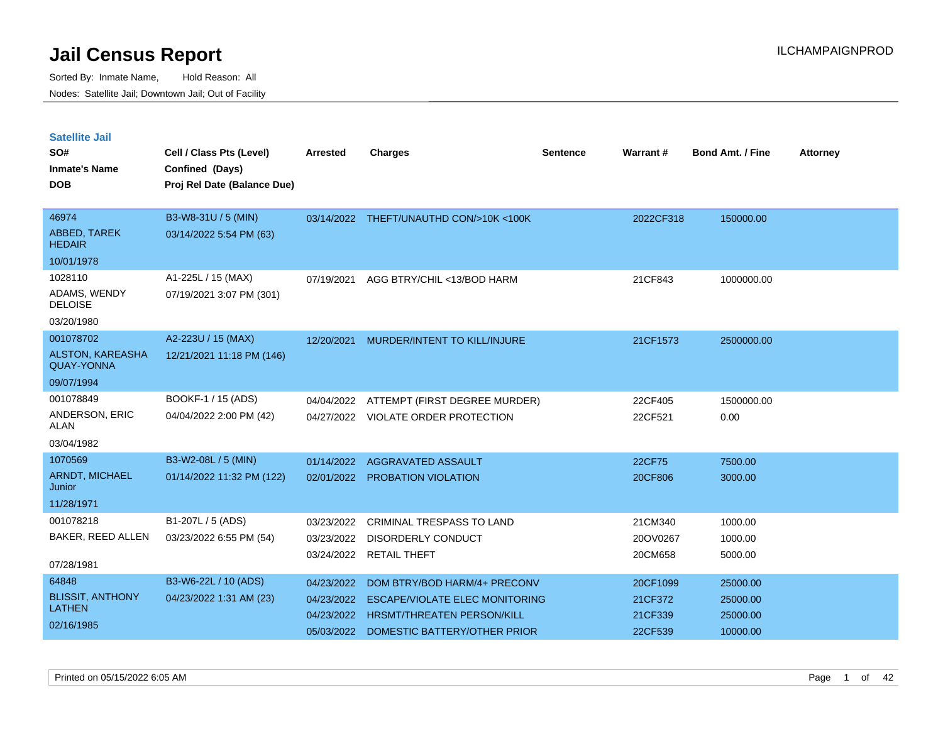Sorted By: Inmate Name, Hold Reason: All Nodes: Satellite Jail; Downtown Jail; Out of Facility

| <b>Satellite Jail</b><br>SO#<br><b>Inmate's Name</b><br><b>DOB</b> | Cell / Class Pts (Level)<br>Confined (Days)<br>Proj Rel Date (Balance Due) | <b>Arrested</b> | <b>Charges</b>                          | <b>Sentence</b> | Warrant#  | <b>Bond Amt. / Fine</b> | <b>Attorney</b> |
|--------------------------------------------------------------------|----------------------------------------------------------------------------|-----------------|-----------------------------------------|-----------------|-----------|-------------------------|-----------------|
| 46974                                                              | B3-W8-31U / 5 (MIN)                                                        |                 | 03/14/2022 THEFT/UNAUTHD CON/>10K <100K |                 | 2022CF318 | 150000.00               |                 |
| ABBED, TAREK<br><b>HEDAIR</b>                                      | 03/14/2022 5:54 PM (63)                                                    |                 |                                         |                 |           |                         |                 |
| 10/01/1978                                                         |                                                                            |                 |                                         |                 |           |                         |                 |
| 1028110                                                            | A1-225L / 15 (MAX)                                                         | 07/19/2021      | AGG BTRY/CHIL <13/BOD HARM              |                 | 21CF843   | 1000000.00              |                 |
| ADAMS, WENDY<br><b>DELOISE</b>                                     | 07/19/2021 3:07 PM (301)                                                   |                 |                                         |                 |           |                         |                 |
| 03/20/1980                                                         |                                                                            |                 |                                         |                 |           |                         |                 |
| 001078702                                                          | A2-223U / 15 (MAX)                                                         | 12/20/2021      | MURDER/INTENT TO KILL/INJURE            |                 | 21CF1573  | 2500000.00              |                 |
| <b>ALSTON, KAREASHA</b><br><b>QUAY-YONNA</b>                       | 12/21/2021 11:18 PM (146)                                                  |                 |                                         |                 |           |                         |                 |
| 09/07/1994                                                         |                                                                            |                 |                                         |                 |           |                         |                 |
| 001078849                                                          | BOOKF-1 / 15 (ADS)                                                         | 04/04/2022      | ATTEMPT (FIRST DEGREE MURDER)           |                 | 22CF405   | 1500000.00              |                 |
| <b>ANDERSON, ERIC</b><br>ALAN                                      | 04/04/2022 2:00 PM (42)                                                    | 04/27/2022      | VIOLATE ORDER PROTECTION                |                 | 22CF521   | 0.00                    |                 |
| 03/04/1982                                                         |                                                                            |                 |                                         |                 |           |                         |                 |
| 1070569                                                            | B3-W2-08L / 5 (MIN)                                                        | 01/14/2022      | AGGRAVATED ASSAULT                      |                 | 22CF75    | 7500.00                 |                 |
| ARNDT, MICHAEL<br>Junior                                           | 01/14/2022 11:32 PM (122)                                                  | 02/01/2022      | <b>PROBATION VIOLATION</b>              |                 | 20CF806   | 3000.00                 |                 |
| 11/28/1971                                                         |                                                                            |                 |                                         |                 |           |                         |                 |
| 001078218                                                          | B1-207L / 5 (ADS)                                                          | 03/23/2022      | <b>CRIMINAL TRESPASS TO LAND</b>        |                 | 21CM340   | 1000.00                 |                 |
| BAKER, REED ALLEN                                                  | 03/23/2022 6:55 PM (54)                                                    | 03/23/2022      | <b>DISORDERLY CONDUCT</b>               |                 | 20OV0267  | 1000.00                 |                 |
| 07/28/1981                                                         |                                                                            | 03/24/2022      | <b>RETAIL THEFT</b>                     |                 | 20CM658   | 5000.00                 |                 |
| 64848                                                              | B3-W6-22L / 10 (ADS)                                                       | 04/23/2022      | DOM BTRY/BOD HARM/4+ PRECONV            |                 | 20CF1099  | 25000.00                |                 |
| <b>BLISSIT, ANTHONY</b>                                            | 04/23/2022 1:31 AM (23)                                                    | 04/23/2022      | <b>ESCAPE/VIOLATE ELEC MONITORING</b>   |                 | 21CF372   | 25000.00                |                 |
| <b>LATHEN</b>                                                      |                                                                            | 04/23/2022      | <b>HRSMT/THREATEN PERSON/KILL</b>       |                 | 21CF339   | 25000.00                |                 |

05/03/2022 DOMESTIC BATTERY/OTHER PRIOR 22CF539 10000.00

02/16/1985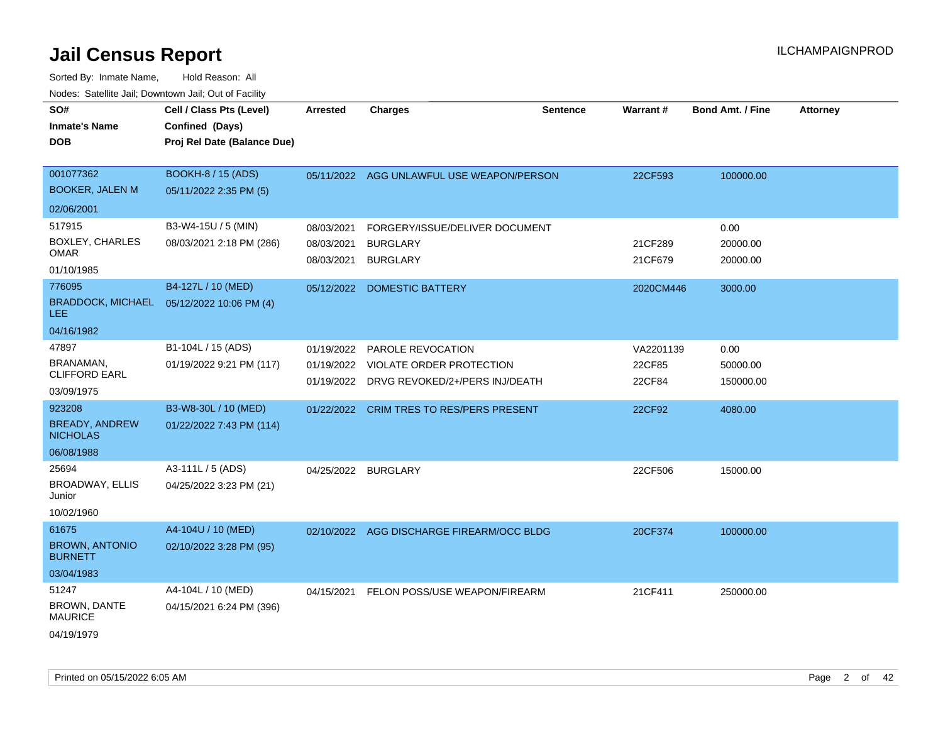| SO#<br><b>Inmate's Name</b><br><b>DOB</b>                        | Cell / Class Pts (Level)<br>Confined (Days)<br>Proj Rel Date (Balance Due) | <b>Arrested</b>                        | <b>Charges</b>                                                                                               | <b>Sentence</b> | Warrant#                      | <b>Bond Amt. / Fine</b>       | <b>Attorney</b> |
|------------------------------------------------------------------|----------------------------------------------------------------------------|----------------------------------------|--------------------------------------------------------------------------------------------------------------|-----------------|-------------------------------|-------------------------------|-----------------|
| 001077362<br><b>BOOKER, JALEN M</b><br>02/06/2001                | <b>BOOKH-8 / 15 (ADS)</b><br>05/11/2022 2:35 PM (5)                        |                                        | 05/11/2022 AGG UNLAWFUL USE WEAPON/PERSON                                                                    |                 | 22CF593                       | 100000.00                     |                 |
| 517915<br><b>BOXLEY, CHARLES</b><br><b>OMAR</b><br>01/10/1985    | B3-W4-15U / 5 (MIN)<br>08/03/2021 2:18 PM (286)                            | 08/03/2021<br>08/03/2021<br>08/03/2021 | FORGERY/ISSUE/DELIVER DOCUMENT<br><b>BURGLARY</b><br><b>BURGLARY</b>                                         |                 | 21CF289<br>21CF679            | 0.00<br>20000.00<br>20000.00  |                 |
| 776095<br><b>BRADDOCK, MICHAEL</b><br>LEE.<br>04/16/1982         | B4-127L / 10 (MED)<br>05/12/2022 10:06 PM (4)                              |                                        | 05/12/2022 DOMESTIC BATTERY                                                                                  |                 | 2020CM446                     | 3000.00                       |                 |
| 47897<br><b>BRANAMAN,</b><br><b>CLIFFORD EARL</b><br>03/09/1975  | B1-104L / 15 (ADS)<br>01/19/2022 9:21 PM (117)                             | 01/19/2022                             | <b>PAROLE REVOCATION</b><br>01/19/2022 VIOLATE ORDER PROTECTION<br>01/19/2022 DRVG REVOKED/2+/PERS INJ/DEATH |                 | VA2201139<br>22CF85<br>22CF84 | 0.00<br>50000.00<br>150000.00 |                 |
| 923208<br><b>BREADY, ANDREW</b><br><b>NICHOLAS</b><br>06/08/1988 | B3-W8-30L / 10 (MED)<br>01/22/2022 7:43 PM (114)                           | 01/22/2022                             | <b>CRIM TRES TO RES/PERS PRESENT</b>                                                                         |                 | 22CF92                        | 4080.00                       |                 |
| 25694<br><b>BROADWAY, ELLIS</b><br>Junior<br>10/02/1960          | A3-111L / 5 (ADS)<br>04/25/2022 3:23 PM (21)                               |                                        | 04/25/2022 BURGLARY                                                                                          |                 | 22CF506                       | 15000.00                      |                 |
| 61675<br><b>BROWN, ANTONIO</b><br><b>BURNETT</b><br>03/04/1983   | A4-104U / 10 (MED)<br>02/10/2022 3:28 PM (95)                              |                                        | 02/10/2022 AGG DISCHARGE FIREARM/OCC BLDG                                                                    |                 | 20CF374                       | 100000.00                     |                 |
| 51247<br>BROWN, DANTE<br><b>MAURICE</b><br>04/19/1979            | A4-104L / 10 (MED)<br>04/15/2021 6:24 PM (396)                             |                                        | 04/15/2021 FELON POSS/USE WEAPON/FIREARM                                                                     |                 | 21CF411                       | 250000.00                     |                 |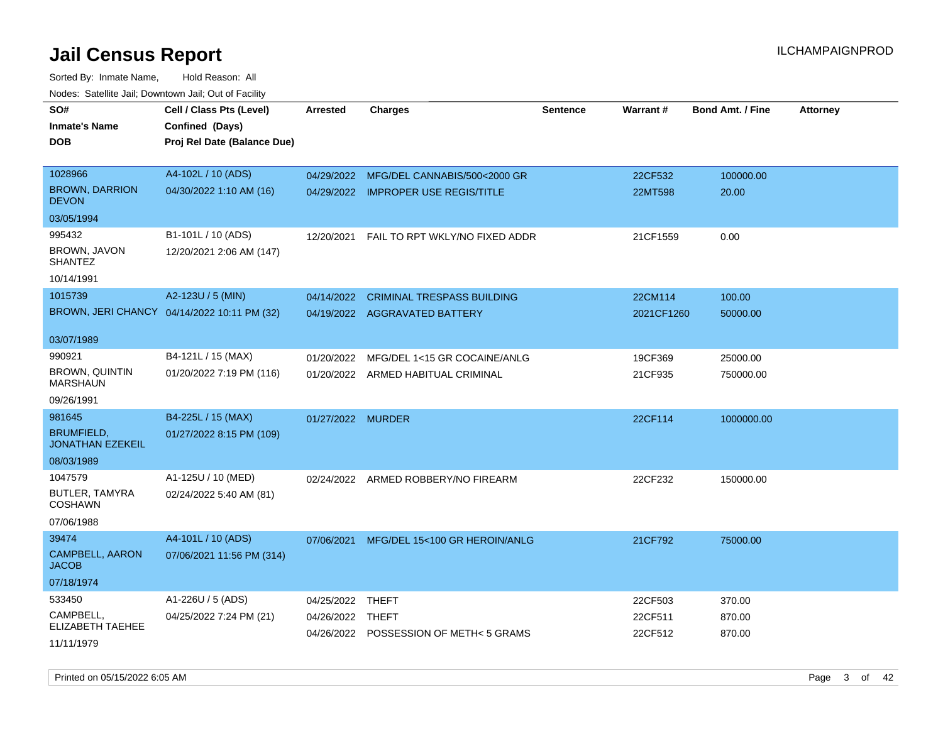Sorted By: Inmate Name, Hold Reason: All Nodes: Satellite Jail; Downtown Jail; Out of Facility

| SO#                                      | Cell / Class Pts (Level)                    | <b>Arrested</b>   | <b>Charges</b>                        | <b>Sentence</b> | Warrant#   | <b>Bond Amt. / Fine</b> | <b>Attorney</b> |
|------------------------------------------|---------------------------------------------|-------------------|---------------------------------------|-----------------|------------|-------------------------|-----------------|
| Inmate's Name                            | Confined (Days)                             |                   |                                       |                 |            |                         |                 |
| DOB                                      | Proj Rel Date (Balance Due)                 |                   |                                       |                 |            |                         |                 |
|                                          |                                             |                   |                                       |                 |            |                         |                 |
| 1028966                                  | A4-102L / 10 (ADS)                          | 04/29/2022        | MFG/DEL CANNABIS/500<2000 GR          |                 | 22CF532    | 100000.00               |                 |
| <b>BROWN, DARRION</b><br><b>DEVON</b>    | 04/30/2022 1:10 AM (16)                     |                   | 04/29/2022 IMPROPER USE REGIS/TITLE   |                 | 22MT598    | 20.00                   |                 |
| 03/05/1994                               |                                             |                   |                                       |                 |            |                         |                 |
| 995432                                   | B1-101L / 10 (ADS)                          | 12/20/2021        | FAIL TO RPT WKLY/NO FIXED ADDR        |                 | 21CF1559   | 0.00                    |                 |
| BROWN, JAVON<br><b>SHANTEZ</b>           | 12/20/2021 2:06 AM (147)                    |                   |                                       |                 |            |                         |                 |
| 10/14/1991                               |                                             |                   |                                       |                 |            |                         |                 |
| 1015739                                  | A2-123U / 5 (MIN)                           | 04/14/2022        | <b>CRIMINAL TRESPASS BUILDING</b>     |                 | 22CM114    | 100.00                  |                 |
|                                          | BROWN, JERI CHANCY 04/14/2022 10:11 PM (32) |                   | 04/19/2022 AGGRAVATED BATTERY         |                 | 2021CF1260 | 50000.00                |                 |
| 03/07/1989                               |                                             |                   |                                       |                 |            |                         |                 |
| 990921                                   | B4-121L / 15 (MAX)                          | 01/20/2022        | MFG/DEL 1<15 GR COCAINE/ANLG          |                 | 19CF369    | 25000.00                |                 |
| <b>BROWN, QUINTIN</b><br><b>MARSHAUN</b> | 01/20/2022 7:19 PM (116)                    |                   | 01/20/2022 ARMED HABITUAL CRIMINAL    |                 | 21CF935    | 750000.00               |                 |
| 09/26/1991                               |                                             |                   |                                       |                 |            |                         |                 |
| 981645                                   | B4-225L / 15 (MAX)                          | 01/27/2022 MURDER |                                       |                 | 22CF114    | 1000000.00              |                 |
| BRUMFIELD,<br><b>JONATHAN EZEKEIL</b>    | 01/27/2022 8:15 PM (109)                    |                   |                                       |                 |            |                         |                 |
| 08/03/1989                               |                                             |                   |                                       |                 |            |                         |                 |
| 1047579                                  | A1-125U / 10 (MED)                          |                   | 02/24/2022 ARMED ROBBERY/NO FIREARM   |                 | 22CF232    | 150000.00               |                 |
| BUTLER, TAMYRA<br><b>COSHAWN</b>         | 02/24/2022 5:40 AM (81)                     |                   |                                       |                 |            |                         |                 |
| 07/06/1988                               |                                             |                   |                                       |                 |            |                         |                 |
| 39474                                    | A4-101L / 10 (ADS)                          | 07/06/2021        | MFG/DEL 15<100 GR HEROIN/ANLG         |                 | 21CF792    | 75000.00                |                 |
| CAMPBELL, AARON<br><b>JACOB</b>          | 07/06/2021 11:56 PM (314)                   |                   |                                       |                 |            |                         |                 |
| 07/18/1974                               |                                             |                   |                                       |                 |            |                         |                 |
| 533450                                   | A1-226U / 5 (ADS)                           | 04/25/2022        | THEFT                                 |                 | 22CF503    | 370.00                  |                 |
| CAMPBELL,<br>ELIZABETH TAEHEE            | 04/25/2022 7:24 PM (21)                     | 04/26/2022 THEFT  |                                       |                 | 22CF511    | 870.00                  |                 |
| 11/11/1979                               |                                             |                   | 04/26/2022 POSSESSION OF METH<5 GRAMS |                 | 22CF512    | 870.00                  |                 |

Printed on 05/15/2022 6:05 AM Page 3 of 42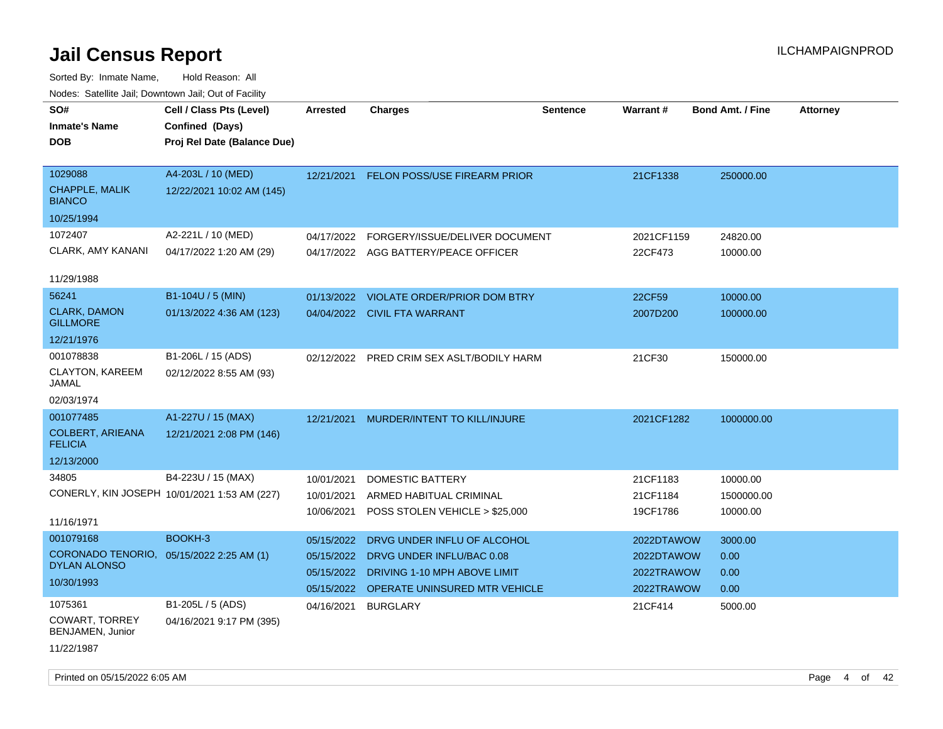| SO#                                       | Cell / Class Pts (Level)                     | Arrested   | <b>Charges</b>                            | <b>Sentence</b> | <b>Warrant#</b> | <b>Bond Amt. / Fine</b> | <b>Attorney</b> |
|-------------------------------------------|----------------------------------------------|------------|-------------------------------------------|-----------------|-----------------|-------------------------|-----------------|
| <b>Inmate's Name</b>                      | Confined (Days)                              |            |                                           |                 |                 |                         |                 |
| DOB                                       | Proj Rel Date (Balance Due)                  |            |                                           |                 |                 |                         |                 |
|                                           |                                              |            |                                           |                 |                 |                         |                 |
| 1029088                                   | A4-203L / 10 (MED)                           | 12/21/2021 | FELON POSS/USE FIREARM PRIOR              |                 | 21CF1338        | 250000.00               |                 |
| CHAPPLE, MALIK<br><b>BIANCO</b>           | 12/22/2021 10:02 AM (145)                    |            |                                           |                 |                 |                         |                 |
| 10/25/1994                                |                                              |            |                                           |                 |                 |                         |                 |
| 1072407                                   | A2-221L / 10 (MED)                           | 04/17/2022 | FORGERY/ISSUE/DELIVER DOCUMENT            |                 | 2021CF1159      | 24820.00                |                 |
| CLARK, AMY KANANI                         | 04/17/2022 1:20 AM (29)                      |            | 04/17/2022 AGG BATTERY/PEACE OFFICER      |                 | 22CF473         | 10000.00                |                 |
| 11/29/1988                                |                                              |            |                                           |                 |                 |                         |                 |
| 56241                                     | B1-104U / 5 (MIN)                            | 01/13/2022 | <b>VIOLATE ORDER/PRIOR DOM BTRY</b>       |                 | 22CF59          | 10000.00                |                 |
| <b>CLARK, DAMON</b><br><b>GILLMORE</b>    | 01/13/2022 4:36 AM (123)                     |            | 04/04/2022 CIVIL FTA WARRANT              |                 | 2007D200        | 100000.00               |                 |
| 12/21/1976                                |                                              |            |                                           |                 |                 |                         |                 |
| 001078838                                 | B1-206L / 15 (ADS)                           |            | 02/12/2022 PRED CRIM SEX ASLT/BODILY HARM |                 | 21CF30          | 150000.00               |                 |
| CLAYTON, KAREEM<br><b>JAMAL</b>           | 02/12/2022 8:55 AM (93)                      |            |                                           |                 |                 |                         |                 |
| 02/03/1974                                |                                              |            |                                           |                 |                 |                         |                 |
| 001077485                                 | A1-227U / 15 (MAX)                           | 12/21/2021 | MURDER/INTENT TO KILL/INJURE              |                 | 2021CF1282      | 1000000.00              |                 |
| <b>COLBERT, ARIEANA</b><br><b>FELICIA</b> | 12/21/2021 2:08 PM (146)                     |            |                                           |                 |                 |                         |                 |
| 12/13/2000                                |                                              |            |                                           |                 |                 |                         |                 |
| 34805                                     | B4-223U / 15 (MAX)                           | 10/01/2021 | <b>DOMESTIC BATTERY</b>                   |                 | 21CF1183        | 10000.00                |                 |
|                                           | CONERLY, KIN JOSEPH 10/01/2021 1:53 AM (227) | 10/01/2021 | ARMED HABITUAL CRIMINAL                   |                 | 21CF1184        | 1500000.00              |                 |
|                                           |                                              | 10/06/2021 | POSS STOLEN VEHICLE > \$25,000            |                 | 19CF1786        | 10000.00                |                 |
| 11/16/1971                                |                                              |            |                                           |                 |                 |                         |                 |
| 001079168                                 | BOOKH-3                                      | 05/15/2022 | DRVG UNDER INFLU OF ALCOHOL               |                 | 2022DTAWOW      | 3000.00                 |                 |
| CORONADO TENORIO,<br><b>DYLAN ALONSO</b>  | 05/15/2022 2:25 AM (1)                       | 05/15/2022 | DRVG UNDER INFLU/BAC 0.08                 |                 | 2022DTAWOW      | 0.00                    |                 |
| 10/30/1993                                |                                              | 05/15/2022 | DRIVING 1-10 MPH ABOVE LIMIT              |                 | 2022TRAWOW      | 0.00                    |                 |
|                                           |                                              | 05/15/2022 | <b>OPERATE UNINSURED MTR VEHICLE</b>      |                 | 2022TRAWOW      | 0.00                    |                 |
| 1075361<br>COWART, TORREY                 | B1-205L / 5 (ADS)                            | 04/16/2021 | <b>BURGLARY</b>                           |                 | 21CF414         | 5000.00                 |                 |
| BENJAMEN, Junior                          | 04/16/2021 9:17 PM (395)                     |            |                                           |                 |                 |                         |                 |
| 11/22/1987                                |                                              |            |                                           |                 |                 |                         |                 |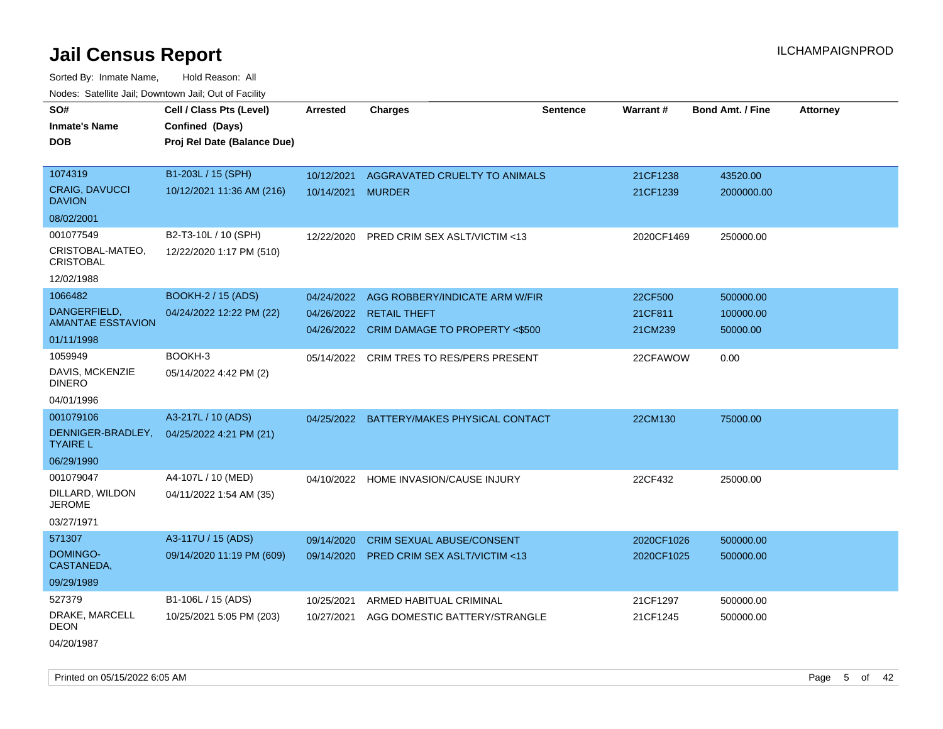Sorted By: Inmate Name, Hold Reason: All Nodes: Satellite Jail; Downtown Jail; Out of Facility

| SO#                                    | Cell / Class Pts (Level)    | <b>Arrested</b> | <b>Charges</b>                            | <b>Sentence</b> | Warrant#   | <b>Bond Amt. / Fine</b> | <b>Attorney</b> |
|----------------------------------------|-----------------------------|-----------------|-------------------------------------------|-----------------|------------|-------------------------|-----------------|
|                                        |                             |                 |                                           |                 |            |                         |                 |
| <b>Inmate's Name</b>                   | Confined (Days)             |                 |                                           |                 |            |                         |                 |
| <b>DOB</b>                             | Proj Rel Date (Balance Due) |                 |                                           |                 |            |                         |                 |
|                                        |                             |                 |                                           |                 |            |                         |                 |
| 1074319                                | B1-203L / 15 (SPH)          | 10/12/2021      | AGGRAVATED CRUELTY TO ANIMALS             |                 | 21CF1238   | 43520.00                |                 |
| <b>CRAIG, DAVUCCI</b><br><b>DAVION</b> | 10/12/2021 11:36 AM (216)   | 10/14/2021      | <b>MURDER</b>                             |                 | 21CF1239   | 2000000.00              |                 |
| 08/02/2001                             |                             |                 |                                           |                 |            |                         |                 |
| 001077549                              | B2-T3-10L / 10 (SPH)        | 12/22/2020      | PRED CRIM SEX ASLT/VICTIM <13             |                 | 2020CF1469 | 250000.00               |                 |
| CRISTOBAL-MATEO,<br><b>CRISTOBAL</b>   | 12/22/2020 1:17 PM (510)    |                 |                                           |                 |            |                         |                 |
| 12/02/1988                             |                             |                 |                                           |                 |            |                         |                 |
| 1066482                                | <b>BOOKH-2 / 15 (ADS)</b>   | 04/24/2022      | AGG ROBBERY/INDICATE ARM W/FIR            |                 | 22CF500    | 500000.00               |                 |
| DANGERFIELD,                           | 04/24/2022 12:22 PM (22)    |                 | 04/26/2022 RETAIL THEFT                   |                 | 21CF811    | 100000.00               |                 |
| <b>AMANTAE ESSTAVION</b>               |                             |                 | 04/26/2022 CRIM DAMAGE TO PROPERTY <\$500 |                 | 21CM239    | 50000.00                |                 |
| 01/11/1998                             |                             |                 |                                           |                 |            |                         |                 |
| 1059949                                | BOOKH-3                     |                 | 05/14/2022 CRIM TRES TO RES/PERS PRESENT  |                 | 22CFAWOW   | 0.00                    |                 |
| DAVIS, MCKENZIE<br><b>DINERO</b>       | 05/14/2022 4:42 PM (2)      |                 |                                           |                 |            |                         |                 |
| 04/01/1996                             |                             |                 |                                           |                 |            |                         |                 |
| 001079106                              | A3-217L / 10 (ADS)          | 04/25/2022      | BATTERY/MAKES PHYSICAL CONTACT            |                 | 22CM130    | 75000.00                |                 |
| DENNIGER-BRADLEY,<br><b>TYAIRE L</b>   | 04/25/2022 4:21 PM (21)     |                 |                                           |                 |            |                         |                 |
| 06/29/1990                             |                             |                 |                                           |                 |            |                         |                 |
| 001079047                              | A4-107L / 10 (MED)          |                 | 04/10/2022 HOME INVASION/CAUSE INJURY     |                 | 22CF432    | 25000.00                |                 |
| DILLARD, WILDON<br><b>JEROME</b>       | 04/11/2022 1:54 AM (35)     |                 |                                           |                 |            |                         |                 |
| 03/27/1971                             |                             |                 |                                           |                 |            |                         |                 |
| 571307                                 | A3-117U / 15 (ADS)          | 09/14/2020      | <b>CRIM SEXUAL ABUSE/CONSENT</b>          |                 | 2020CF1026 | 500000.00               |                 |
| <b>DOMINGO-</b><br>CASTANEDA,          | 09/14/2020 11:19 PM (609)   | 09/14/2020      | <b>PRED CRIM SEX ASLT/VICTIM &lt;13</b>   |                 | 2020CF1025 | 500000.00               |                 |
| 09/29/1989                             |                             |                 |                                           |                 |            |                         |                 |
| 527379                                 | B1-106L / 15 (ADS)          | 10/25/2021      | ARMED HABITUAL CRIMINAL                   |                 | 21CF1297   | 500000.00               |                 |
| DRAKE, MARCELL<br><b>DEON</b>          | 10/25/2021 5:05 PM (203)    | 10/27/2021      | AGG DOMESTIC BATTERY/STRANGLE             |                 | 21CF1245   | 500000.00               |                 |
|                                        |                             |                 |                                           |                 |            |                         |                 |

04/20/1987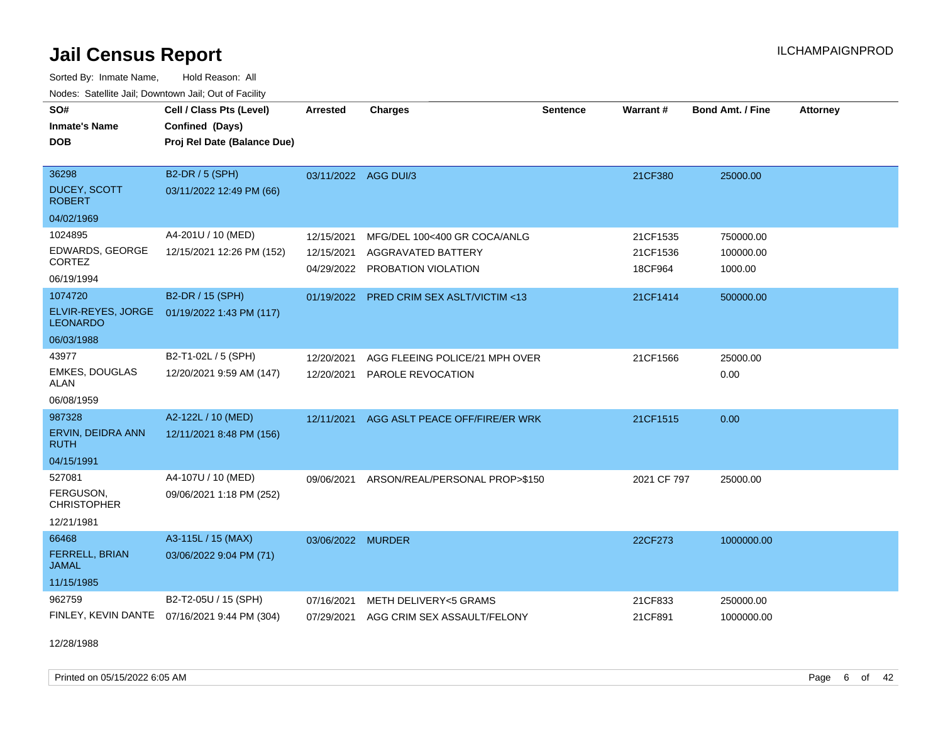Sorted By: Inmate Name, Hold Reason: All Nodes: Satellite Jail; Downtown Jail; Out of Facility

| Noues. Sateme Jan, Downtown Jan, Out or Facility |                                              |                      |                                          |                 |             |                         |                 |
|--------------------------------------------------|----------------------------------------------|----------------------|------------------------------------------|-----------------|-------------|-------------------------|-----------------|
| SO#                                              | Cell / Class Pts (Level)                     | <b>Arrested</b>      | <b>Charges</b>                           | <b>Sentence</b> | Warrant#    | <b>Bond Amt. / Fine</b> | <b>Attorney</b> |
| <b>Inmate's Name</b>                             | Confined (Days)                              |                      |                                          |                 |             |                         |                 |
| <b>DOB</b>                                       | Proj Rel Date (Balance Due)                  |                      |                                          |                 |             |                         |                 |
|                                                  |                                              |                      |                                          |                 |             |                         |                 |
| 36298                                            | B2-DR / 5 (SPH)                              | 03/11/2022 AGG DUI/3 |                                          |                 | 21CF380     | 25000.00                |                 |
| <b>DUCEY, SCOTT</b><br><b>ROBERT</b>             | 03/11/2022 12:49 PM (66)                     |                      |                                          |                 |             |                         |                 |
| 04/02/1969                                       |                                              |                      |                                          |                 |             |                         |                 |
| 1024895                                          | A4-201U / 10 (MED)                           | 12/15/2021           | MFG/DEL 100<400 GR COCA/ANLG             |                 | 21CF1535    | 750000.00               |                 |
| EDWARDS, GEORGE                                  | 12/15/2021 12:26 PM (152)                    | 12/15/2021           | AGGRAVATED BATTERY                       |                 | 21CF1536    | 100000.00               |                 |
| <b>CORTEZ</b>                                    |                                              |                      | 04/29/2022 PROBATION VIOLATION           |                 | 18CF964     | 1000.00                 |                 |
| 06/19/1994                                       |                                              |                      |                                          |                 |             |                         |                 |
| 1074720                                          | B2-DR / 15 (SPH)                             |                      | 01/19/2022 PRED CRIM SEX ASLT/VICTIM <13 |                 | 21CF1414    | 500000.00               |                 |
| ELVIR-REYES, JORGE<br><b>LEONARDO</b>            | 01/19/2022 1:43 PM (117)                     |                      |                                          |                 |             |                         |                 |
| 06/03/1988                                       |                                              |                      |                                          |                 |             |                         |                 |
| 43977                                            | B2-T1-02L / 5 (SPH)                          | 12/20/2021           | AGG FLEEING POLICE/21 MPH OVER           |                 | 21CF1566    | 25000.00                |                 |
| <b>EMKES, DOUGLAS</b><br><b>ALAN</b>             | 12/20/2021 9:59 AM (147)                     | 12/20/2021           | <b>PAROLE REVOCATION</b>                 |                 |             | 0.00                    |                 |
| 06/08/1959                                       |                                              |                      |                                          |                 |             |                         |                 |
| 987328                                           | A2-122L / 10 (MED)                           | 12/11/2021           | AGG ASLT PEACE OFF/FIRE/ER WRK           |                 | 21CF1515    | 0.00                    |                 |
| ERVIN, DEIDRA ANN<br>RUTH                        | 12/11/2021 8:48 PM (156)                     |                      |                                          |                 |             |                         |                 |
| 04/15/1991                                       |                                              |                      |                                          |                 |             |                         |                 |
| 527081                                           | A4-107U / 10 (MED)                           | 09/06/2021           | ARSON/REAL/PERSONAL PROP>\$150           |                 | 2021 CF 797 | 25000.00                |                 |
| FERGUSON,<br>CHRISTOPHER                         | 09/06/2021 1:18 PM (252)                     |                      |                                          |                 |             |                         |                 |
| 12/21/1981                                       |                                              |                      |                                          |                 |             |                         |                 |
| 66468                                            | A3-115L / 15 (MAX)                           | 03/06/2022 MURDER    |                                          |                 | 22CF273     | 1000000.00              |                 |
| <b>FERRELL, BRIAN</b><br><b>JAMAL</b>            | 03/06/2022 9:04 PM (71)                      |                      |                                          |                 |             |                         |                 |
| 11/15/1985                                       |                                              |                      |                                          |                 |             |                         |                 |
| 962759                                           | B2-T2-05U / 15 (SPH)                         | 07/16/2021           | METH DELIVERY<5 GRAMS                    |                 | 21CF833     | 250000.00               |                 |
|                                                  | FINLEY, KEVIN DANTE 07/16/2021 9:44 PM (304) | 07/29/2021           | AGG CRIM SEX ASSAULT/FELONY              |                 | 21CF891     | 1000000.00              |                 |

12/28/1988

Printed on 05/15/2022 6:05 AM Page 6 of 42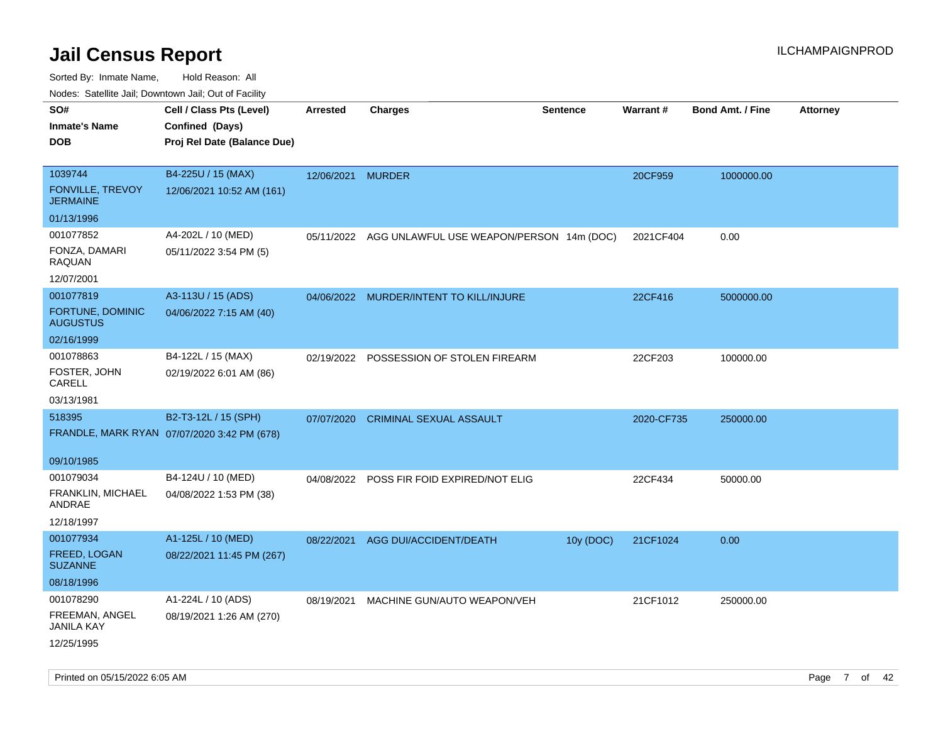| SO#<br><b>Inmate's Name</b><br><b>DOB</b>                        | Cell / Class Pts (Level)<br>Confined (Days)<br>Proj Rel Date (Balance Due) | Arrested   | <b>Charges</b>                            | <b>Sentence</b> | <b>Warrant#</b> | <b>Bond Amt. / Fine</b> | <b>Attorney</b> |
|------------------------------------------------------------------|----------------------------------------------------------------------------|------------|-------------------------------------------|-----------------|-----------------|-------------------------|-----------------|
| 1039744<br><b>FONVILLE, TREVOY</b><br><b>JERMAINE</b>            | B4-225U / 15 (MAX)<br>12/06/2021 10:52 AM (161)                            | 12/06/2021 | <b>MURDER</b>                             |                 | 20CF959         | 1000000.00              |                 |
| 01/13/1996<br>001077852<br>FONZA, DAMARI<br>RAQUAN<br>12/07/2001 | A4-202L / 10 (MED)<br>05/11/2022 3:54 PM (5)                               | 05/11/2022 | AGG UNLAWFUL USE WEAPON/PERSON 14m (DOC)  |                 | 2021CF404       | 0.00                    |                 |
| 001077819<br>FORTUNE, DOMINIC<br><b>AUGUSTUS</b><br>02/16/1999   | A3-113U / 15 (ADS)<br>04/06/2022 7:15 AM (40)                              |            | 04/06/2022 MURDER/INTENT TO KILL/INJURE   |                 | 22CF416         | 5000000.00              |                 |
| 001078863<br>FOSTER, JOHN<br>CARELL<br>03/13/1981                | B4-122L / 15 (MAX)<br>02/19/2022 6:01 AM (86)                              |            | 02/19/2022 POSSESSION OF STOLEN FIREARM   |                 | 22CF203         | 100000.00               |                 |
| 518395<br>09/10/1985                                             | B2-T3-12L / 15 (SPH)<br>FRANDLE, MARK RYAN 07/07/2020 3:42 PM (678)        | 07/07/2020 | <b>CRIMINAL SEXUAL ASSAULT</b>            |                 | 2020-CF735      | 250000.00               |                 |
| 001079034<br>FRANKLIN, MICHAEL<br>ANDRAE<br>12/18/1997           | B4-124U / 10 (MED)<br>04/08/2022 1:53 PM (38)                              |            | 04/08/2022 POSS FIR FOID EXPIRED/NOT ELIG |                 | 22CF434         | 50000.00                |                 |
| 001077934<br>FREED, LOGAN<br><b>SUZANNE</b><br>08/18/1996        | A1-125L / 10 (MED)<br>08/22/2021 11:45 PM (267)                            | 08/22/2021 | AGG DUI/ACCIDENT/DEATH                    | 10y (DOC)       | 21CF1024        | 0.00                    |                 |
| 001078290<br>FREEMAN, ANGEL<br><b>JANILA KAY</b><br>12/25/1995   | A1-224L / 10 (ADS)<br>08/19/2021 1:26 AM (270)                             | 08/19/2021 | MACHINE GUN/AUTO WEAPON/VEH               |                 | 21CF1012        | 250000.00               |                 |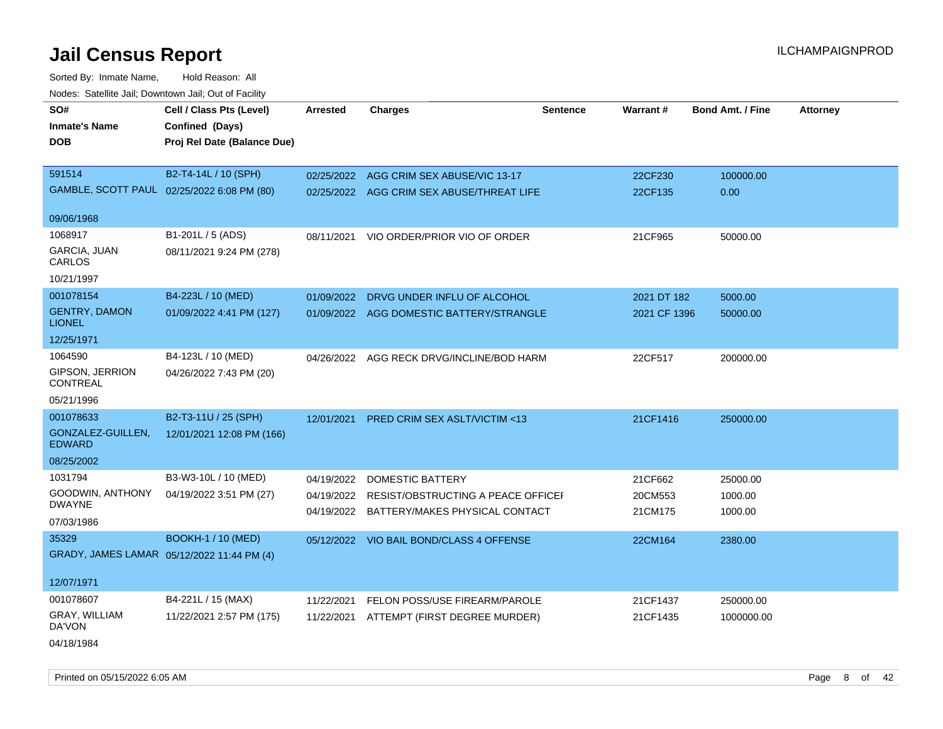Sorted By: Inmate Name, Hold Reason: All Nodes: Satellite Jail; Downtown Jail; Out of Facility

| SO#                                   | Cell / Class Pts (Level)                   | <b>Arrested</b> | <b>Charges</b>                                | <b>Sentence</b> | Warrant#     | <b>Bond Amt. / Fine</b> | <b>Attorney</b> |
|---------------------------------------|--------------------------------------------|-----------------|-----------------------------------------------|-----------------|--------------|-------------------------|-----------------|
| <b>Inmate's Name</b>                  | Confined (Days)                            |                 |                                               |                 |              |                         |                 |
| <b>DOB</b>                            | Proj Rel Date (Balance Due)                |                 |                                               |                 |              |                         |                 |
|                                       |                                            |                 |                                               |                 |              |                         |                 |
| 591514                                | B2-T4-14L / 10 (SPH)                       |                 | 02/25/2022 AGG CRIM SEX ABUSE/VIC 13-17       |                 | 22CF230      | 100000.00               |                 |
|                                       | GAMBLE, SCOTT PAUL 02/25/2022 6:08 PM (80) |                 | 02/25/2022 AGG CRIM SEX ABUSE/THREAT LIFE     |                 | 22CF135      | 0.00                    |                 |
|                                       |                                            |                 |                                               |                 |              |                         |                 |
| 09/06/1968                            |                                            |                 |                                               |                 |              |                         |                 |
| 1068917                               | B1-201L / 5 (ADS)                          | 08/11/2021      | VIO ORDER/PRIOR VIO OF ORDER                  |                 | 21CF965      | 50000.00                |                 |
| GARCIA, JUAN<br>CARLOS                | 08/11/2021 9:24 PM (278)                   |                 |                                               |                 |              |                         |                 |
| 10/21/1997                            |                                            |                 |                                               |                 |              |                         |                 |
| 001078154                             | B4-223L / 10 (MED)                         |                 | 01/09/2022 DRVG UNDER INFLU OF ALCOHOL        |                 | 2021 DT 182  | 5000.00                 |                 |
| <b>GENTRY, DAMON</b><br><b>LIONEL</b> | 01/09/2022 4:41 PM (127)                   |                 | 01/09/2022 AGG DOMESTIC BATTERY/STRANGLE      |                 | 2021 CF 1396 | 50000.00                |                 |
| 12/25/1971                            |                                            |                 |                                               |                 |              |                         |                 |
| 1064590                               | B4-123L / 10 (MED)                         |                 | 04/26/2022 AGG RECK DRVG/INCLINE/BOD HARM     |                 | 22CF517      | 200000.00               |                 |
| GIPSON, JERRION<br>CONTREAL           | 04/26/2022 7:43 PM (20)                    |                 |                                               |                 |              |                         |                 |
| 05/21/1996                            |                                            |                 |                                               |                 |              |                         |                 |
| 001078633                             | B2-T3-11U / 25 (SPH)                       | 12/01/2021      | PRED CRIM SEX ASLT/VICTIM <13                 |                 | 21CF1416     | 250000.00               |                 |
| GONZALEZ-GUILLEN,<br><b>EDWARD</b>    | 12/01/2021 12:08 PM (166)                  |                 |                                               |                 |              |                         |                 |
| 08/25/2002                            |                                            |                 |                                               |                 |              |                         |                 |
| 1031794                               | B3-W3-10L / 10 (MED)                       | 04/19/2022      | <b>DOMESTIC BATTERY</b>                       |                 | 21CF662      | 25000.00                |                 |
| GOODWIN, ANTHONY                      | 04/19/2022 3:51 PM (27)                    |                 | 04/19/2022 RESIST/OBSTRUCTING A PEACE OFFICEL |                 | 20CM553      | 1000.00                 |                 |
| <b>DWAYNE</b>                         |                                            |                 | 04/19/2022 BATTERY/MAKES PHYSICAL CONTACT     |                 | 21CM175      | 1000.00                 |                 |
| 07/03/1986                            |                                            |                 |                                               |                 |              |                         |                 |
| 35329                                 | <b>BOOKH-1 / 10 (MED)</b>                  |                 | 05/12/2022 VIO BAIL BOND/CLASS 4 OFFENSE      |                 | 22CM164      | 2380.00                 |                 |
|                                       | GRADY, JAMES LAMAR 05/12/2022 11:44 PM (4) |                 |                                               |                 |              |                         |                 |
| 12/07/1971                            |                                            |                 |                                               |                 |              |                         |                 |
| 001078607                             | B4-221L / 15 (MAX)                         | 11/22/2021      | FELON POSS/USE FIREARM/PAROLE                 |                 | 21CF1437     | 250000.00               |                 |
| GRAY, WILLIAM<br>DA'VON               | 11/22/2021 2:57 PM (175)                   | 11/22/2021      | ATTEMPT (FIRST DEGREE MURDER)                 |                 | 21CF1435     | 1000000.00              |                 |
| 04/18/1984                            |                                            |                 |                                               |                 |              |                         |                 |

Printed on 05/15/2022 6:05 AM Page 8 of 42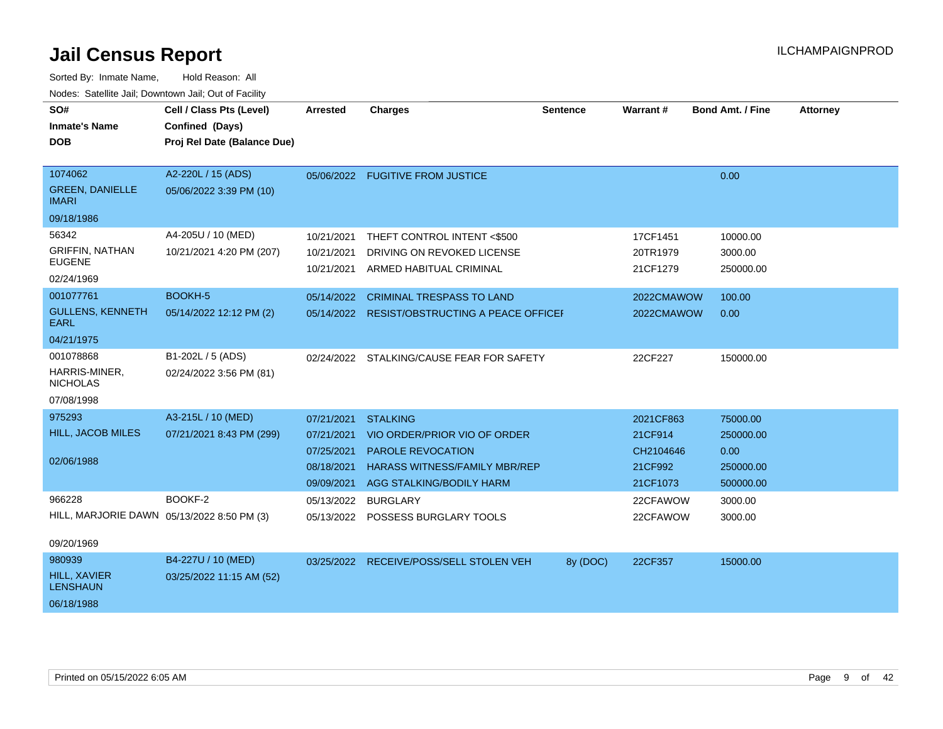| Sorted By: Inmate Name,                               | Hold Reason: All            |                 |                                               |                 |            |                  |                 |
|-------------------------------------------------------|-----------------------------|-----------------|-----------------------------------------------|-----------------|------------|------------------|-----------------|
| Nodes: Satellite Jail; Downtown Jail; Out of Facility |                             |                 |                                               |                 |            |                  |                 |
| SO#                                                   | Cell / Class Pts (Level)    | <b>Arrested</b> | <b>Charges</b>                                | <b>Sentence</b> | Warrant#   | Bond Amt. / Fine | <b>Attorney</b> |
| <b>Inmate's Name</b>                                  | Confined (Days)             |                 |                                               |                 |            |                  |                 |
| <b>DOB</b>                                            | Proj Rel Date (Balance Due) |                 |                                               |                 |            |                  |                 |
|                                                       |                             |                 |                                               |                 |            |                  |                 |
| 1074062                                               | A2-220L / 15 (ADS)          |                 | 05/06/2022 FUGITIVE FROM JUSTICE              |                 |            | 0.00             |                 |
| <b>GREEN, DANIELLE</b><br><b>IMARI</b>                | 05/06/2022 3:39 PM (10)     |                 |                                               |                 |            |                  |                 |
| 09/18/1986                                            |                             |                 |                                               |                 |            |                  |                 |
| 56342                                                 | A4-205U / 10 (MED)          | 10/21/2021      | THEFT CONTROL INTENT <\$500                   |                 | 17CF1451   | 10000.00         |                 |
| <b>GRIFFIN, NATHAN</b>                                | 10/21/2021 4:20 PM (207)    | 10/21/2021      | DRIVING ON REVOKED LICENSE                    |                 | 20TR1979   | 3000.00          |                 |
| <b>EUGENE</b>                                         |                             | 10/21/2021      | ARMED HABITUAL CRIMINAL                       |                 | 21CF1279   | 250000.00        |                 |
| 02/24/1969                                            |                             |                 |                                               |                 |            |                  |                 |
| 001077761                                             | BOOKH-5                     |                 | 05/14/2022 CRIMINAL TRESPASS TO LAND          |                 | 2022CMAWOW | 100.00           |                 |
| <b>GULLENS, KENNETH</b><br><b>EARL</b>                | 05/14/2022 12:12 PM (2)     |                 | 05/14/2022 RESIST/OBSTRUCTING A PEACE OFFICEI |                 | 2022CMAWOW | 0.00             |                 |
| 04/21/1975                                            |                             |                 |                                               |                 |            |                  |                 |
| 001078868                                             | B1-202L / 5 (ADS)           |                 | 02/24/2022 STALKING/CAUSE FEAR FOR SAFETY     |                 | 22CF227    | 150000.00        |                 |
| HARRIS-MINER,<br><b>NICHOLAS</b>                      | 02/24/2022 3:56 PM (81)     |                 |                                               |                 |            |                  |                 |
| 07/08/1998                                            |                             |                 |                                               |                 |            |                  |                 |
| 975293                                                | A3-215L / 10 (MED)          | 07/21/2021      | <b>STALKING</b>                               |                 | 2021CF863  | 75000.00         |                 |
| HILL, JACOB MILES                                     | 07/21/2021 8:43 PM (299)    | 07/21/2021      | VIO ORDER/PRIOR VIO OF ORDER                  |                 | 21CF914    | 250000.00        |                 |
|                                                       |                             | 07/25/2021      | <b>PAROLE REVOCATION</b>                      |                 | CH2104646  | 0.00             |                 |
| 02/06/1988                                            |                             | 08/18/2021      | <b>HARASS WITNESS/FAMILY MBR/REP</b>          |                 | 21CF992    | 250000.00        |                 |
|                                                       |                             | 09/09/2021      | AGG STALKING/BODILY HARM                      |                 | 21CF1073   | 500000.00        |                 |
| 966228                                                | BOOKF-2                     | 05/13/2022      | <b>BURGLARY</b>                               |                 | 22CFAWOW   | 3000.00          |                 |
| HILL, MARJORIE DAWN 05/13/2022 8:50 PM (3)            |                             |                 | 05/13/2022 POSSESS BURGLARY TOOLS             |                 | 22CFAWOW   | 3000.00          |                 |
|                                                       |                             |                 |                                               |                 |            |                  |                 |
| 09/20/1969                                            |                             |                 |                                               |                 |            |                  |                 |
| 980939                                                | B4-227U / 10 (MED)          |                 | 03/25/2022 RECEIVE/POSS/SELL STOLEN VEH       | 8y (DOC)        | 22CF357    | 15000.00         |                 |
| <b>HILL, XAVIER</b><br><b>LENSHAUN</b>                | 03/25/2022 11:15 AM (52)    |                 |                                               |                 |            |                  |                 |
| 06/18/1988                                            |                             |                 |                                               |                 |            |                  |                 |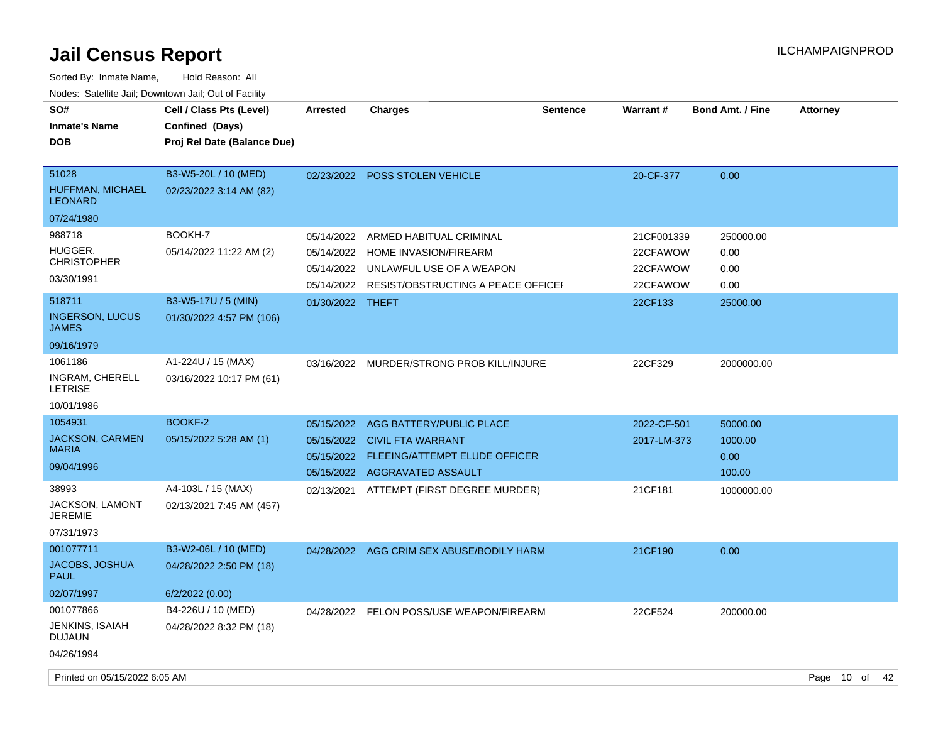| SO#<br><b>Inmate's Name</b><br><b>DOB</b>          | Cell / Class Pts (Level)<br>Confined (Days)<br>Proj Rel Date (Balance Due) | <b>Arrested</b>  | <b>Charges</b>                                | <b>Sentence</b> | Warrant#    | <b>Bond Amt. / Fine</b> | <b>Attorney</b> |  |
|----------------------------------------------------|----------------------------------------------------------------------------|------------------|-----------------------------------------------|-----------------|-------------|-------------------------|-----------------|--|
| 51028<br><b>HUFFMAN, MICHAEL</b><br><b>LEONARD</b> | B3-W5-20L / 10 (MED)<br>02/23/2022 3:14 AM (82)                            |                  | 02/23/2022 POSS STOLEN VEHICLE                |                 | 20-CF-377   | 0.00                    |                 |  |
| 07/24/1980                                         |                                                                            |                  |                                               |                 |             |                         |                 |  |
| 988718                                             | BOOKH-7                                                                    | 05/14/2022       | ARMED HABITUAL CRIMINAL                       |                 | 21CF001339  | 250000.00               |                 |  |
| HUGGER.<br><b>CHRISTOPHER</b>                      | 05/14/2022 11:22 AM (2)                                                    | 05/14/2022       | HOME INVASION/FIREARM                         |                 | 22CFAWOW    | 0.00                    |                 |  |
| 03/30/1991                                         |                                                                            |                  | 05/14/2022 UNLAWFUL USE OF A WEAPON           |                 | 22CFAWOW    | 0.00                    |                 |  |
|                                                    |                                                                            |                  | 05/14/2022 RESIST/OBSTRUCTING A PEACE OFFICEF |                 | 22CFAWOW    | 0.00                    |                 |  |
| 518711                                             | B3-W5-17U / 5 (MIN)                                                        | 01/30/2022 THEFT |                                               |                 | 22CF133     | 25000.00                |                 |  |
| <b>INGERSON, LUCUS</b><br><b>JAMES</b>             | 01/30/2022 4:57 PM (106)                                                   |                  |                                               |                 |             |                         |                 |  |
| 09/16/1979                                         |                                                                            |                  |                                               |                 |             |                         |                 |  |
| 1061186                                            | A1-224U / 15 (MAX)                                                         |                  | 03/16/2022 MURDER/STRONG PROB KILL/INJURE     |                 | 22CF329     | 2000000.00              |                 |  |
| INGRAM, CHERELL<br><b>LETRISE</b>                  | 03/16/2022 10:17 PM (61)                                                   |                  |                                               |                 |             |                         |                 |  |
| 10/01/1986                                         |                                                                            |                  |                                               |                 |             |                         |                 |  |
| 1054931                                            | BOOKF-2                                                                    |                  | 05/15/2022 AGG BATTERY/PUBLIC PLACE           |                 | 2022-CF-501 | 50000.00                |                 |  |
| <b>JACKSON, CARMEN</b>                             | 05/15/2022 5:28 AM (1)                                                     |                  | 05/15/2022 CIVIL FTA WARRANT                  |                 | 2017-LM-373 | 1000.00                 |                 |  |
| <b>MARIA</b>                                       |                                                                            |                  | 05/15/2022 FLEEING/ATTEMPT ELUDE OFFICER      |                 |             | 0.00                    |                 |  |
| 09/04/1996                                         |                                                                            |                  | 05/15/2022 AGGRAVATED ASSAULT                 |                 |             | 100.00                  |                 |  |
| 38993                                              | A4-103L / 15 (MAX)                                                         |                  | 02/13/2021 ATTEMPT (FIRST DEGREE MURDER)      |                 | 21CF181     | 1000000.00              |                 |  |
| JACKSON, LAMONT<br><b>JEREMIE</b>                  | 02/13/2021 7:45 AM (457)                                                   |                  |                                               |                 |             |                         |                 |  |
| 07/31/1973                                         |                                                                            |                  |                                               |                 |             |                         |                 |  |
| 001077711                                          | B3-W2-06L / 10 (MED)                                                       |                  | 04/28/2022 AGG CRIM SEX ABUSE/BODILY HARM     |                 | 21CF190     | 0.00                    |                 |  |
| JACOBS, JOSHUA<br><b>PAUL</b>                      | 04/28/2022 2:50 PM (18)                                                    |                  |                                               |                 |             |                         |                 |  |
| 02/07/1997                                         | 6/2/2022 (0.00)                                                            |                  |                                               |                 |             |                         |                 |  |
| 001077866                                          | B4-226U / 10 (MED)                                                         |                  | 04/28/2022 FELON POSS/USE WEAPON/FIREARM      |                 | 22CF524     | 200000.00               |                 |  |
| JENKINS, ISAIAH<br><b>DUJAUN</b>                   | 04/28/2022 8:32 PM (18)                                                    |                  |                                               |                 |             |                         |                 |  |
| 04/26/1994                                         |                                                                            |                  |                                               |                 |             |                         |                 |  |
| Printed on 05/15/2022 6:05 AM                      |                                                                            |                  |                                               |                 |             |                         | Page 10 of 42   |  |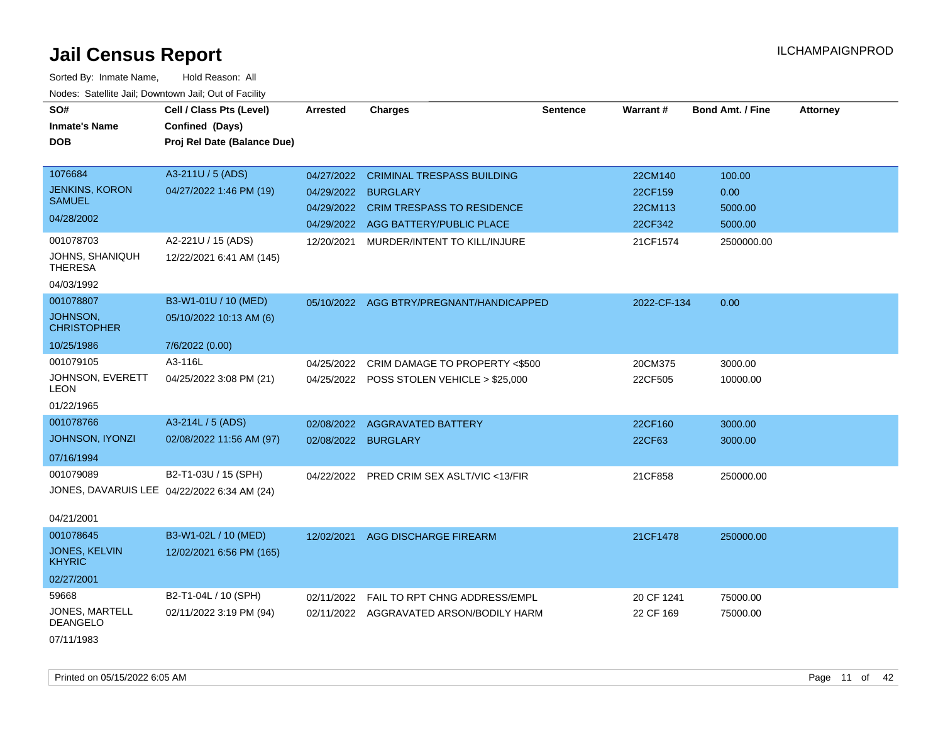| SO#                                      | Cell / Class Pts (Level)                    | <b>Arrested</b> | <b>Charges</b>                            | <b>Sentence</b> | Warrant#    | <b>Bond Amt. / Fine</b> | <b>Attorney</b> |
|------------------------------------------|---------------------------------------------|-----------------|-------------------------------------------|-----------------|-------------|-------------------------|-----------------|
| <b>Inmate's Name</b>                     | Confined (Days)                             |                 |                                           |                 |             |                         |                 |
| <b>DOB</b>                               | Proj Rel Date (Balance Due)                 |                 |                                           |                 |             |                         |                 |
|                                          |                                             |                 |                                           |                 |             |                         |                 |
| 1076684                                  | A3-211U / 5 (ADS)                           | 04/27/2022      | <b>CRIMINAL TRESPASS BUILDING</b>         |                 | 22CM140     | 100.00                  |                 |
| <b>JENKINS, KORON</b>                    | 04/27/2022 1:46 PM (19)                     | 04/29/2022      | <b>BURGLARY</b>                           |                 | 22CF159     | 0.00                    |                 |
| <b>SAMUEL</b>                            |                                             | 04/29/2022      | <b>CRIM TRESPASS TO RESIDENCE</b>         |                 | 22CM113     | 5000.00                 |                 |
| 04/28/2002                               |                                             | 04/29/2022      | AGG BATTERY/PUBLIC PLACE                  |                 | 22CF342     | 5000.00                 |                 |
| 001078703                                | A2-221U / 15 (ADS)                          | 12/20/2021      | MURDER/INTENT TO KILL/INJURE              |                 | 21CF1574    | 2500000.00              |                 |
| JOHNS, SHANIQUH<br><b>THERESA</b>        | 12/22/2021 6:41 AM (145)                    |                 |                                           |                 |             |                         |                 |
| 04/03/1992                               |                                             |                 |                                           |                 |             |                         |                 |
| 001078807                                | B3-W1-01U / 10 (MED)                        |                 | 05/10/2022 AGG BTRY/PREGNANT/HANDICAPPED  |                 | 2022-CF-134 | 0.00                    |                 |
| JOHNSON,<br><b>CHRISTOPHER</b>           | 05/10/2022 10:13 AM (6)                     |                 |                                           |                 |             |                         |                 |
| 10/25/1986                               | 7/6/2022 (0.00)                             |                 |                                           |                 |             |                         |                 |
| 001079105                                | A3-116L                                     | 04/25/2022      | CRIM DAMAGE TO PROPERTY <\$500            |                 | 20CM375     | 3000.00                 |                 |
| JOHNSON, EVERETT<br>LEON                 | 04/25/2022 3:08 PM (21)                     |                 | 04/25/2022 POSS STOLEN VEHICLE > \$25,000 |                 | 22CF505     | 10000.00                |                 |
| 01/22/1965                               |                                             |                 |                                           |                 |             |                         |                 |
| 001078766                                | A3-214L / 5 (ADS)                           | 02/08/2022      | <b>AGGRAVATED BATTERY</b>                 |                 | 22CF160     | 3000.00                 |                 |
| JOHNSON, IYONZI                          | 02/08/2022 11:56 AM (97)                    | 02/08/2022      | <b>BURGLARY</b>                           |                 | 22CF63      | 3000.00                 |                 |
| 07/16/1994                               |                                             |                 |                                           |                 |             |                         |                 |
| 001079089                                | B2-T1-03U / 15 (SPH)                        | 04/22/2022      | <b>PRED CRIM SEX ASLT/VIC &lt;13/FIR</b>  |                 | 21CF858     | 250000.00               |                 |
|                                          | JONES, DAVARUIS LEE 04/22/2022 6:34 AM (24) |                 |                                           |                 |             |                         |                 |
|                                          |                                             |                 |                                           |                 |             |                         |                 |
| 04/21/2001                               |                                             |                 |                                           |                 |             |                         |                 |
| 001078645                                | B3-W1-02L / 10 (MED)                        | 12/02/2021      | AGG DISCHARGE FIREARM                     |                 | 21CF1478    | 250000.00               |                 |
| <b>JONES, KELVIN</b><br><b>KHYRIC</b>    | 12/02/2021 6:56 PM (165)                    |                 |                                           |                 |             |                         |                 |
| 02/27/2001                               |                                             |                 |                                           |                 |             |                         |                 |
| 59668                                    | B2-T1-04L / 10 (SPH)                        | 02/11/2022      | <b>FAIL TO RPT CHNG ADDRESS/EMPL</b>      |                 | 20 CF 1241  | 75000.00                |                 |
| <b>JONES, MARTELL</b><br><b>DEANGELO</b> | 02/11/2022 3:19 PM (94)                     |                 | 02/11/2022 AGGRAVATED ARSON/BODILY HARM   |                 | 22 CF 169   | 75000.00                |                 |
| 07/11/1983                               |                                             |                 |                                           |                 |             |                         |                 |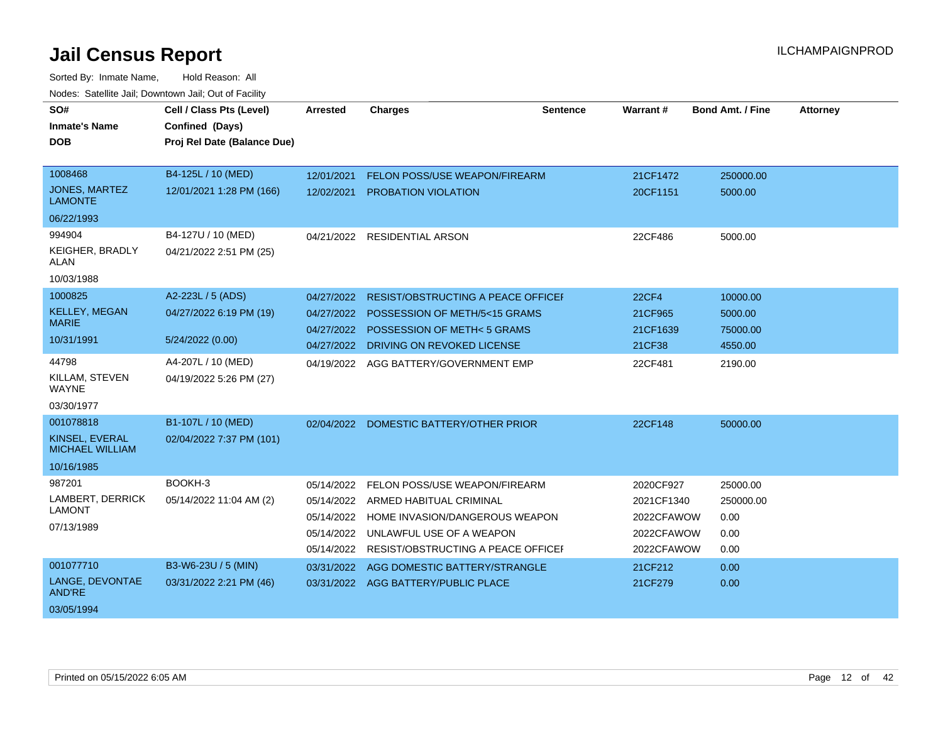| SO#<br><b>Inmate's Name</b><br><b>DOB</b> | Cell / Class Pts (Level)<br>Confined (Days)<br>Proj Rel Date (Balance Due) | <b>Arrested</b> | <b>Charges</b>                            | Sentence | Warrant#     | <b>Bond Amt. / Fine</b> | <b>Attorney</b> |
|-------------------------------------------|----------------------------------------------------------------------------|-----------------|-------------------------------------------|----------|--------------|-------------------------|-----------------|
| 1008468                                   | B4-125L / 10 (MED)                                                         | 12/01/2021      | <b>FELON POSS/USE WEAPON/FIREARM</b>      |          | 21CF1472     | 250000.00               |                 |
| <b>JONES, MARTEZ</b><br><b>LAMONTE</b>    | 12/01/2021 1:28 PM (166)                                                   | 12/02/2021      | PROBATION VIOLATION                       |          | 20CF1151     | 5000.00                 |                 |
| 06/22/1993                                |                                                                            |                 |                                           |          |              |                         |                 |
| 994904                                    | B4-127U / 10 (MED)                                                         |                 | 04/21/2022 RESIDENTIAL ARSON              |          | 22CF486      | 5000.00                 |                 |
| KEIGHER, BRADLY<br>ALAN                   | 04/21/2022 2:51 PM (25)                                                    |                 |                                           |          |              |                         |                 |
| 10/03/1988                                |                                                                            |                 |                                           |          |              |                         |                 |
| 1000825                                   | A2-223L / 5 (ADS)                                                          | 04/27/2022      | <b>RESIST/OBSTRUCTING A PEACE OFFICEF</b> |          | <b>22CF4</b> | 10000.00                |                 |
| <b>KELLEY, MEGAN</b>                      | 04/27/2022 6:19 PM (19)                                                    | 04/27/2022      | POSSESSION OF METH/5<15 GRAMS             |          | 21CF965      | 5000.00                 |                 |
| <b>MARIE</b>                              |                                                                            | 04/27/2022      | POSSESSION OF METH< 5 GRAMS               |          | 21CF1639     | 75000.00                |                 |
| 10/31/1991                                | 5/24/2022 (0.00)                                                           | 04/27/2022      | DRIVING ON REVOKED LICENSE                |          | 21CF38       | 4550.00                 |                 |
| 44798                                     | A4-207L / 10 (MED)                                                         | 04/19/2022      | AGG BATTERY/GOVERNMENT EMP                |          | 22CF481      | 2190.00                 |                 |
| KILLAM, STEVEN<br><b>WAYNE</b>            | 04/19/2022 5:26 PM (27)                                                    |                 |                                           |          |              |                         |                 |
| 03/30/1977                                |                                                                            |                 |                                           |          |              |                         |                 |
| 001078818                                 | B1-107L / 10 (MED)                                                         | 02/04/2022      | DOMESTIC BATTERY/OTHER PRIOR              |          | 22CF148      | 50000.00                |                 |
| KINSEL, EVERAL<br><b>MICHAEL WILLIAM</b>  | 02/04/2022 7:37 PM (101)                                                   |                 |                                           |          |              |                         |                 |
| 10/16/1985                                |                                                                            |                 |                                           |          |              |                         |                 |
| 987201                                    | BOOKH-3                                                                    | 05/14/2022      | FELON POSS/USE WEAPON/FIREARM             |          | 2020CF927    | 25000.00                |                 |
| LAMBERT, DERRICK                          | 05/14/2022 11:04 AM (2)                                                    | 05/14/2022      | ARMED HABITUAL CRIMINAL                   |          | 2021CF1340   | 250000.00               |                 |
| <b>LAMONT</b>                             |                                                                            | 05/14/2022      | HOME INVASION/DANGEROUS WEAPON            |          | 2022CFAWOW   | 0.00                    |                 |
| 07/13/1989                                |                                                                            | 05/14/2022      | UNLAWFUL USE OF A WEAPON                  |          | 2022CFAWOW   | 0.00                    |                 |
|                                           |                                                                            | 05/14/2022      | <b>RESIST/OBSTRUCTING A PEACE OFFICEF</b> |          | 2022CFAWOW   | 0.00                    |                 |
| 001077710                                 | B3-W6-23U / 5 (MIN)                                                        | 03/31/2022      | AGG DOMESTIC BATTERY/STRANGLE             |          | 21CF212      | 0.00                    |                 |
| LANGE, DEVONTAE<br><b>AND'RE</b>          | 03/31/2022 2:21 PM (46)                                                    | 03/31/2022      | AGG BATTERY/PUBLIC PLACE                  |          | 21CF279      | 0.00                    |                 |
| 03/05/1994                                |                                                                            |                 |                                           |          |              |                         |                 |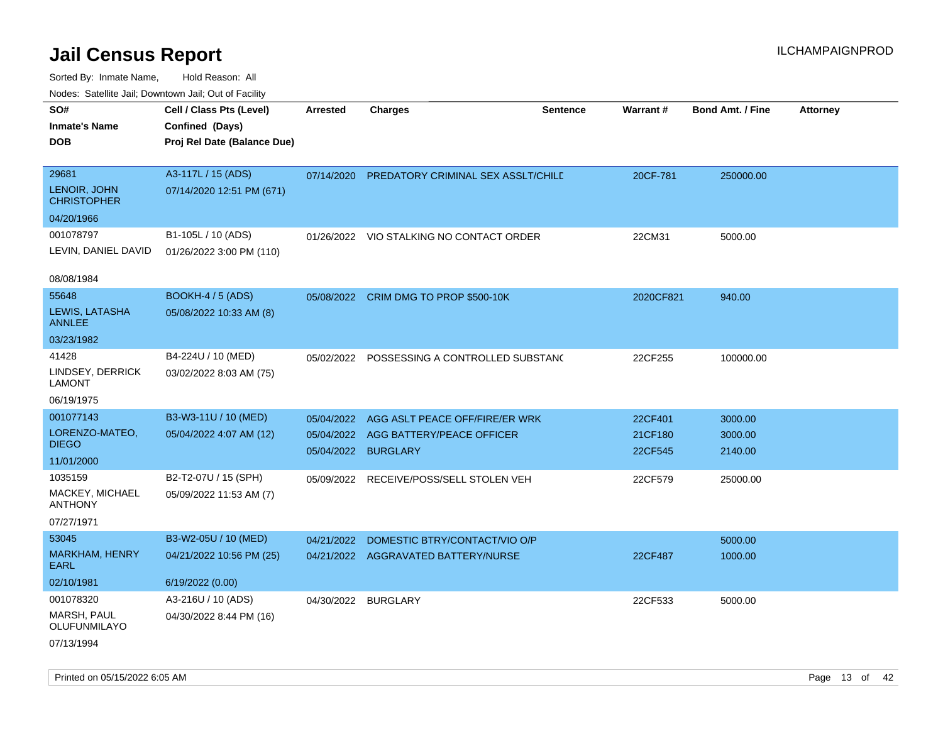| rougs. Calcing Jan, Downtown Jan, Out of Facility |                                                                            |                 |                                             |                 |           |                         |                 |
|---------------------------------------------------|----------------------------------------------------------------------------|-----------------|---------------------------------------------|-----------------|-----------|-------------------------|-----------------|
| SO#<br><b>Inmate's Name</b><br><b>DOB</b>         | Cell / Class Pts (Level)<br>Confined (Days)<br>Proj Rel Date (Balance Due) | <b>Arrested</b> | <b>Charges</b>                              | <b>Sentence</b> | Warrant#  | <b>Bond Amt. / Fine</b> | <b>Attorney</b> |
|                                                   |                                                                            |                 |                                             |                 |           |                         |                 |
| 29681                                             | A3-117L / 15 (ADS)                                                         | 07/14/2020      | PREDATORY CRIMINAL SEX ASSLT/CHILD          |                 | 20CF-781  | 250000.00               |                 |
| LENOIR, JOHN<br><b>CHRISTOPHER</b>                | 07/14/2020 12:51 PM (671)                                                  |                 |                                             |                 |           |                         |                 |
| 04/20/1966                                        |                                                                            |                 |                                             |                 |           |                         |                 |
| 001078797                                         | B1-105L / 10 (ADS)                                                         |                 | 01/26/2022 VIO STALKING NO CONTACT ORDER    |                 | 22CM31    | 5000.00                 |                 |
| LEVIN, DANIEL DAVID                               | 01/26/2022 3:00 PM (110)                                                   |                 |                                             |                 |           |                         |                 |
| 08/08/1984                                        |                                                                            |                 |                                             |                 |           |                         |                 |
| 55648                                             | BOOKH-4 / 5 (ADS)                                                          |                 | 05/08/2022 CRIM DMG TO PROP \$500-10K       |                 | 2020CF821 | 940.00                  |                 |
| LEWIS, LATASHA<br><b>ANNLEE</b>                   | 05/08/2022 10:33 AM (8)                                                    |                 |                                             |                 |           |                         |                 |
| 03/23/1982                                        |                                                                            |                 |                                             |                 |           |                         |                 |
| 41428                                             | B4-224U / 10 (MED)                                                         |                 | 05/02/2022 POSSESSING A CONTROLLED SUBSTANG |                 | 22CF255   | 100000.00               |                 |
| LINDSEY, DERRICK<br>LAMONT                        | 03/02/2022 8:03 AM (75)                                                    |                 |                                             |                 |           |                         |                 |
| 06/19/1975                                        |                                                                            |                 |                                             |                 |           |                         |                 |
| 001077143                                         | B3-W3-11U / 10 (MED)                                                       | 05/04/2022      | AGG ASLT PEACE OFF/FIRE/ER WRK              |                 | 22CF401   | 3000.00                 |                 |
| LORENZO-MATEO,                                    | 05/04/2022 4:07 AM (12)                                                    |                 | 05/04/2022 AGG BATTERY/PEACE OFFICER        |                 | 21CF180   | 3000.00                 |                 |
| <b>DIEGO</b>                                      |                                                                            |                 | 05/04/2022 BURGLARY                         |                 | 22CF545   | 2140.00                 |                 |
| 11/01/2000                                        |                                                                            |                 |                                             |                 |           |                         |                 |
| 1035159<br>MACKEY, MICHAEL                        | B2-T2-07U / 15 (SPH)                                                       |                 | 05/09/2022 RECEIVE/POSS/SELL STOLEN VEH     |                 | 22CF579   | 25000.00                |                 |
| <b>ANTHONY</b>                                    | 05/09/2022 11:53 AM (7)                                                    |                 |                                             |                 |           |                         |                 |
| 07/27/1971                                        |                                                                            |                 |                                             |                 |           |                         |                 |
| 53045                                             | B3-W2-05U / 10 (MED)                                                       | 04/21/2022      | DOMESTIC BTRY/CONTACT/VIO O/P               |                 |           | 5000.00                 |                 |
| <b>MARKHAM, HENRY</b><br>EARL                     | 04/21/2022 10:56 PM (25)                                                   |                 | 04/21/2022 AGGRAVATED BATTERY/NURSE         |                 | 22CF487   | 1000.00                 |                 |
| 02/10/1981                                        | 6/19/2022 (0.00)                                                           |                 |                                             |                 |           |                         |                 |
| 001078320                                         | A3-216U / 10 (ADS)                                                         |                 | 04/30/2022 BURGLARY                         |                 | 22CF533   | 5000.00                 |                 |
| MARSH, PAUL<br>OLUFUNMILAYO                       | 04/30/2022 8:44 PM (16)                                                    |                 |                                             |                 |           |                         |                 |
| 07/13/1994                                        |                                                                            |                 |                                             |                 |           |                         |                 |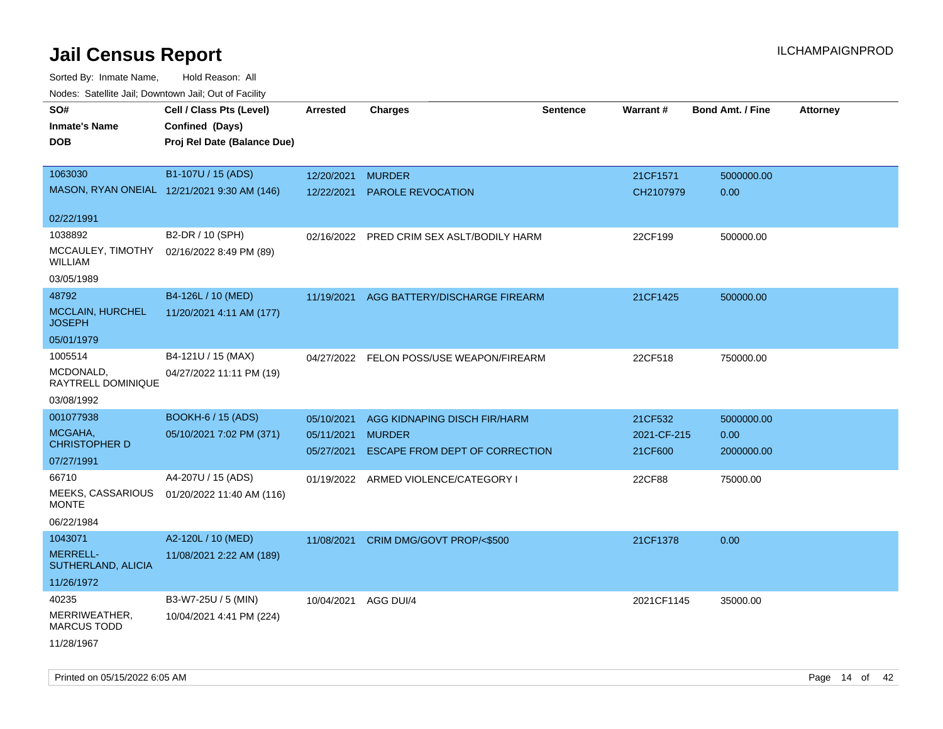Sorted By: Inmate Name, Hold Reason: All Nodes: Satellite Jail; Downtown Jail; Out of Facility

| ivuuto. Galtiilit vall, Duwilluwii vall, Oul of Facility |                                             |            |                                           |                 |             |                         |                 |
|----------------------------------------------------------|---------------------------------------------|------------|-------------------------------------------|-----------------|-------------|-------------------------|-----------------|
| SO#                                                      | Cell / Class Pts (Level)                    | Arrested   | <b>Charges</b>                            | <b>Sentence</b> | Warrant#    | <b>Bond Amt. / Fine</b> | <b>Attorney</b> |
| <b>Inmate's Name</b>                                     | Confined (Days)                             |            |                                           |                 |             |                         |                 |
| DOB                                                      | Proj Rel Date (Balance Due)                 |            |                                           |                 |             |                         |                 |
|                                                          |                                             |            |                                           |                 |             |                         |                 |
| 1063030                                                  | B1-107U / 15 (ADS)                          | 12/20/2021 | <b>MURDER</b>                             |                 | 21CF1571    | 5000000.00              |                 |
|                                                          | MASON, RYAN ONEIAL 12/21/2021 9:30 AM (146) | 12/22/2021 | PAROLE REVOCATION                         |                 | CH2107979   | 0.00                    |                 |
| 02/22/1991                                               |                                             |            |                                           |                 |             |                         |                 |
| 1038892                                                  | B2-DR / 10 (SPH)                            |            | 02/16/2022 PRED CRIM SEX ASLT/BODILY HARM |                 | 22CF199     | 500000.00               |                 |
| MCCAULEY, TIMOTHY<br><b>WILLIAM</b>                      | 02/16/2022 8:49 PM (89)                     |            |                                           |                 |             |                         |                 |
| 03/05/1989                                               |                                             |            |                                           |                 |             |                         |                 |
| 48792                                                    | B4-126L / 10 (MED)                          | 11/19/2021 | AGG BATTERY/DISCHARGE FIREARM             |                 | 21CF1425    | 500000.00               |                 |
| <b>MCCLAIN, HURCHEL</b><br><b>JOSEPH</b>                 | 11/20/2021 4:11 AM (177)                    |            |                                           |                 |             |                         |                 |
| 05/01/1979                                               |                                             |            |                                           |                 |             |                         |                 |
| 1005514                                                  | B4-121U / 15 (MAX)                          |            | 04/27/2022 FELON POSS/USE WEAPON/FIREARM  |                 | 22CF518     | 750000.00               |                 |
| MCDONALD,<br>RAYTRELL DOMINIQUE                          | 04/27/2022 11:11 PM (19)                    |            |                                           |                 |             |                         |                 |
| 03/08/1992                                               |                                             |            |                                           |                 |             |                         |                 |
| 001077938                                                | <b>BOOKH-6 / 15 (ADS)</b>                   | 05/10/2021 | AGG KIDNAPING DISCH FIR/HARM              |                 | 21CF532     | 5000000.00              |                 |
| MCGAHA,<br><b>CHRISTOPHER D</b>                          | 05/10/2021 7:02 PM (371)                    | 05/11/2021 | <b>MURDER</b>                             |                 | 2021-CF-215 | 0.00                    |                 |
| 07/27/1991                                               |                                             | 05/27/2021 | ESCAPE FROM DEPT OF CORRECTION            |                 | 21CF600     | 2000000.00              |                 |
| 66710                                                    | A4-207U / 15 (ADS)                          |            | 01/19/2022 ARMED VIOLENCE/CATEGORY I      |                 | 22CF88      | 75000.00                |                 |
| MEEKS, CASSARIOUS<br><b>MONTE</b>                        | 01/20/2022 11:40 AM (116)                   |            |                                           |                 |             |                         |                 |
| 06/22/1984                                               |                                             |            |                                           |                 |             |                         |                 |
| 1043071                                                  | A2-120L / 10 (MED)                          | 11/08/2021 | CRIM DMG/GOVT PROP/<\$500                 |                 | 21CF1378    | 0.00                    |                 |
| <b>MERRELL-</b><br>SUTHERLAND, ALICIA                    | 11/08/2021 2:22 AM (189)                    |            |                                           |                 |             |                         |                 |
| 11/26/1972                                               |                                             |            |                                           |                 |             |                         |                 |
| 40235                                                    | B3-W7-25U / 5 (MIN)                         | 10/04/2021 | AGG DUI/4                                 |                 | 2021CF1145  | 35000.00                |                 |
| MERRIWEATHER,<br><b>MARCUS TODD</b>                      | 10/04/2021 4:41 PM (224)                    |            |                                           |                 |             |                         |                 |
| 11/28/1967                                               |                                             |            |                                           |                 |             |                         |                 |

Printed on 05/15/2022 6:05 AM **Page 14** of 42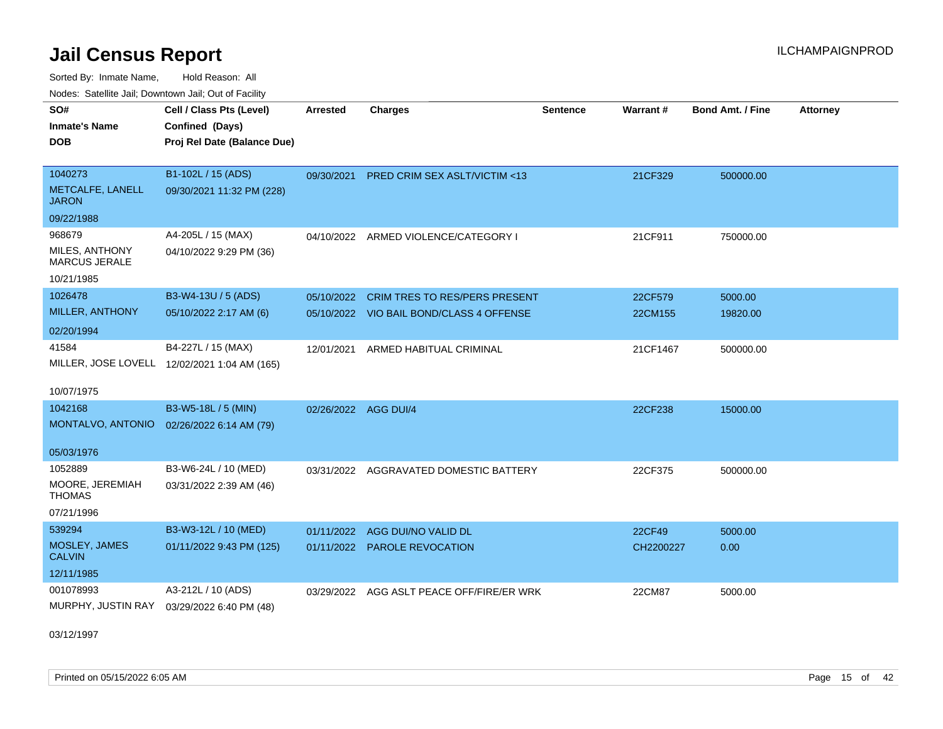Sorted By: Inmate Name, Hold Reason: All

| Nodes: Satellite Jail; Downtown Jail; Out of Facility |                                              |                 |                                          |                 |           |                         |                 |  |  |
|-------------------------------------------------------|----------------------------------------------|-----------------|------------------------------------------|-----------------|-----------|-------------------------|-----------------|--|--|
| SO#                                                   | Cell / Class Pts (Level)                     | <b>Arrested</b> | <b>Charges</b>                           | <b>Sentence</b> | Warrant#  | <b>Bond Amt. / Fine</b> | <b>Attorney</b> |  |  |
| <b>Inmate's Name</b>                                  | Confined (Days)                              |                 |                                          |                 |           |                         |                 |  |  |
| <b>DOB</b>                                            | Proj Rel Date (Balance Due)                  |                 |                                          |                 |           |                         |                 |  |  |
|                                                       |                                              |                 |                                          |                 |           |                         |                 |  |  |
| 1040273                                               | B1-102L / 15 (ADS)                           |                 | 09/30/2021 PRED CRIM SEX ASLT/VICTIM <13 |                 | 21CF329   | 500000.00               |                 |  |  |
| METCALFE, LANELL<br><b>JARON</b>                      | 09/30/2021 11:32 PM (228)                    |                 |                                          |                 |           |                         |                 |  |  |
| 09/22/1988                                            |                                              |                 |                                          |                 |           |                         |                 |  |  |
| 968679                                                | A4-205L / 15 (MAX)                           | 04/10/2022      | ARMED VIOLENCE/CATEGORY I                |                 | 21CF911   | 750000.00               |                 |  |  |
| MILES, ANTHONY<br><b>MARCUS JERALE</b>                | 04/10/2022 9:29 PM (36)                      |                 |                                          |                 |           |                         |                 |  |  |
| 10/21/1985                                            |                                              |                 |                                          |                 |           |                         |                 |  |  |
| 1026478                                               | B3-W4-13U / 5 (ADS)                          | 05/10/2022      | <b>CRIM TRES TO RES/PERS PRESENT</b>     |                 | 22CF579   | 5000.00                 |                 |  |  |
| MILLER, ANTHONY                                       | 05/10/2022 2:17 AM (6)                       |                 | 05/10/2022 VIO BAIL BOND/CLASS 4 OFFENSE |                 | 22CM155   | 19820.00                |                 |  |  |
| 02/20/1994                                            |                                              |                 |                                          |                 |           |                         |                 |  |  |
| 41584                                                 | B4-227L / 15 (MAX)                           | 12/01/2021      | ARMED HABITUAL CRIMINAL                  |                 | 21CF1467  | 500000.00               |                 |  |  |
|                                                       | MILLER, JOSE LOVELL 12/02/2021 1:04 AM (165) |                 |                                          |                 |           |                         |                 |  |  |
| 10/07/1975                                            |                                              |                 |                                          |                 |           |                         |                 |  |  |
| 1042168                                               | B3-W5-18L / 5 (MIN)                          |                 | 02/26/2022 AGG DUI/4                     |                 | 22CF238   | 15000.00                |                 |  |  |
| MONTALVO, ANTONIO                                     | 02/26/2022 6:14 AM (79)                      |                 |                                          |                 |           |                         |                 |  |  |
|                                                       |                                              |                 |                                          |                 |           |                         |                 |  |  |
| 05/03/1976                                            |                                              |                 |                                          |                 |           |                         |                 |  |  |
| 1052889                                               | B3-W6-24L / 10 (MED)                         |                 | 03/31/2022 AGGRAVATED DOMESTIC BATTERY   |                 | 22CF375   | 500000.00               |                 |  |  |
| MOORE, JEREMIAH<br><b>THOMAS</b>                      | 03/31/2022 2:39 AM (46)                      |                 |                                          |                 |           |                         |                 |  |  |
| 07/21/1996                                            |                                              |                 |                                          |                 |           |                         |                 |  |  |
| 539294                                                | B3-W3-12L / 10 (MED)                         |                 | 01/11/2022 AGG DUI/NO VALID DL           |                 | 22CF49    | 5000.00                 |                 |  |  |
| MOSLEY, JAMES<br><b>CALVIN</b>                        | 01/11/2022 9:43 PM (125)                     |                 | 01/11/2022 PAROLE REVOCATION             |                 | CH2200227 | 0.00                    |                 |  |  |
| 12/11/1985                                            |                                              |                 |                                          |                 |           |                         |                 |  |  |
| 001078993                                             | A3-212L / 10 (ADS)                           | 03/29/2022      | AGG ASLT PEACE OFF/FIRE/ER WRK           |                 | 22CM87    | 5000.00                 |                 |  |  |
| MURPHY, JUSTIN RAY                                    | 03/29/2022 6:40 PM (48)                      |                 |                                          |                 |           |                         |                 |  |  |
|                                                       |                                              |                 |                                          |                 |           |                         |                 |  |  |

03/12/1997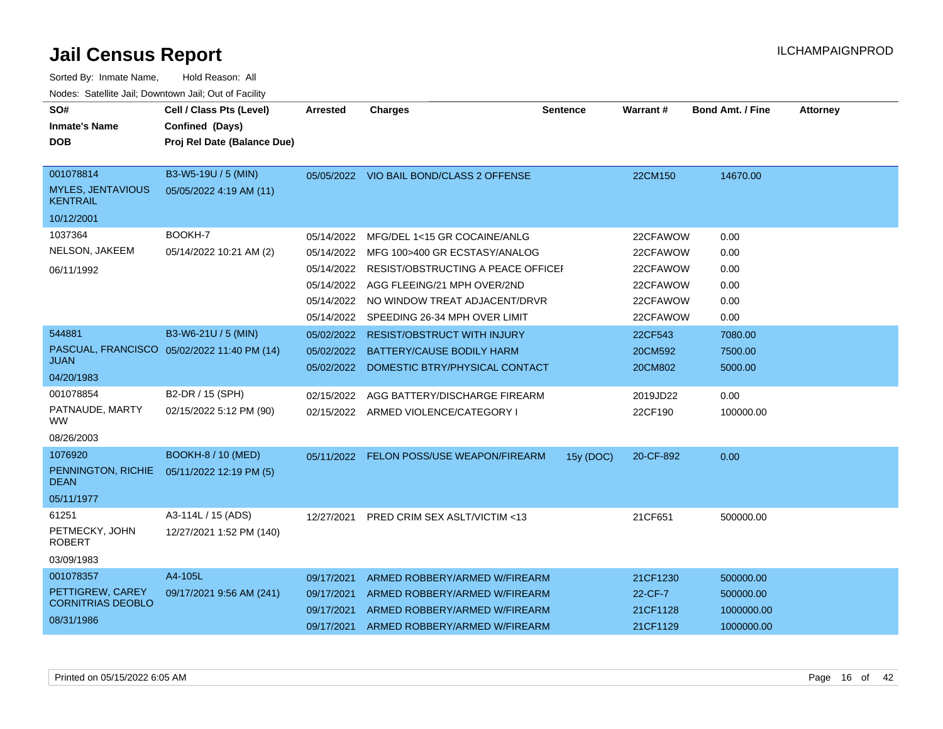| Sorted By: Inmate Name,                               | Hold Reason: All                            |            |                                          |           |                 |                         |                 |
|-------------------------------------------------------|---------------------------------------------|------------|------------------------------------------|-----------|-----------------|-------------------------|-----------------|
| Nodes: Satellite Jail; Downtown Jail; Out of Facility |                                             |            |                                          |           |                 |                         |                 |
| SO#                                                   | Cell / Class Pts (Level)                    | Arrested   | <b>Charges</b>                           | Sentence  | <b>Warrant#</b> | <b>Bond Amt. / Fine</b> | <b>Attorney</b> |
| Inmate's Name                                         | Confined (Days)                             |            |                                          |           |                 |                         |                 |
| <b>DOB</b>                                            | Proj Rel Date (Balance Due)                 |            |                                          |           |                 |                         |                 |
| 001078814                                             | B3-W5-19U / 5 (MIN)                         |            | 05/05/2022 VIO BAIL BOND/CLASS 2 OFFENSE |           | 22CM150         | 14670.00                |                 |
| MYLES, JENTAVIOUS<br>KENTRAIL                         | 05/05/2022 4:19 AM (11)                     |            |                                          |           |                 |                         |                 |
| 10/12/2001                                            |                                             |            |                                          |           |                 |                         |                 |
| 1037364                                               | BOOKH-7                                     | 05/14/2022 | MFG/DEL 1<15 GR COCAINE/ANLG             |           | 22CFAWOW        | 0.00                    |                 |
| NELSON, JAKEEM                                        | 05/14/2022 10:21 AM (2)                     | 05/14/2022 | MFG 100>400 GR ECSTASY/ANALOG            |           | 22CFAWOW        | 0.00                    |                 |
| 06/11/1992                                            |                                             | 05/14/2022 | RESIST/OBSTRUCTING A PEACE OFFICEF       |           | 22CFAWOW        | 0.00                    |                 |
|                                                       |                                             | 05/14/2022 | AGG FLEEING/21 MPH OVER/2ND              |           | 22CFAWOW        | 0.00                    |                 |
|                                                       |                                             | 05/14/2022 | NO WINDOW TREAT ADJACENT/DRVR            |           | 22CFAWOW        | 0.00                    |                 |
|                                                       |                                             | 05/14/2022 | SPEEDING 26-34 MPH OVER LIMIT            |           | 22CFAWOW        | 0.00                    |                 |
| 544881                                                | B3-W6-21U / 5 (MIN)                         | 05/02/2022 | <b>RESIST/OBSTRUCT WITH INJURY</b>       |           | 22CF543         | 7080.00                 |                 |
|                                                       | PASCUAL, FRANCISCO 05/02/2022 11:40 PM (14) | 05/02/2022 | BATTERY/CAUSE BODILY HARM                |           | 20CM592         | 7500.00                 |                 |
| JUAN                                                  |                                             | 05/02/2022 | DOMESTIC BTRY/PHYSICAL CONTACT           |           | 20CM802         | 5000.00                 |                 |
| 04/20/1983                                            |                                             |            |                                          |           |                 |                         |                 |
| 001078854                                             | B2-DR / 15 (SPH)                            | 02/15/2022 | AGG BATTERY/DISCHARGE FIREARM            |           | 2019JD22        | 0.00                    |                 |
| PATNAUDE, MARTY<br>WW                                 | 02/15/2022 5:12 PM (90)                     | 02/15/2022 | ARMED VIOLENCE/CATEGORY I                |           | 22CF190         | 100000.00               |                 |
| 08/26/2003                                            |                                             |            |                                          |           |                 |                         |                 |
| 1076920                                               | <b>BOOKH-8 / 10 (MED)</b>                   |            | 05/11/2022 FELON POSS/USE WEAPON/FIREARM | 15y (DOC) | 20-CF-892       | 0.00                    |                 |
| PENNINGTON, RICHIE<br>DEAN                            | 05/11/2022 12:19 PM (5)                     |            |                                          |           |                 |                         |                 |
| 05/11/1977                                            |                                             |            |                                          |           |                 |                         |                 |
| 61251                                                 | A3-114L / 15 (ADS)                          | 12/27/2021 | <b>PRED CRIM SEX ASLT/VICTIM &lt;13</b>  |           | 21CF651         | 500000.00               |                 |
| PETMECKY, JOHN<br>ROBERT                              | 12/27/2021 1:52 PM (140)                    |            |                                          |           |                 |                         |                 |
| 03/09/1983                                            |                                             |            |                                          |           |                 |                         |                 |
| 001078357                                             | A4-105L                                     | 09/17/2021 | ARMED ROBBERY/ARMED W/FIREARM            |           | 21CF1230        | 500000.00               |                 |
| PETTIGREW, CAREY                                      | 09/17/2021 9:56 AM (241)                    | 09/17/2021 | ARMED ROBBERY/ARMED W/FIREARM            |           | 22-CF-7         | 500000.00               |                 |
| <b>CORNITRIAS DEOBLO</b>                              |                                             | 09/17/2021 | ARMED ROBBERY/ARMED W/FIREARM            |           | 21CF1128        | 1000000.00              |                 |
| 08/31/1986                                            |                                             | 09/17/2021 | ARMED ROBBERY/ARMED W/FIREARM            |           | 21CF1129        | 1000000.00              |                 |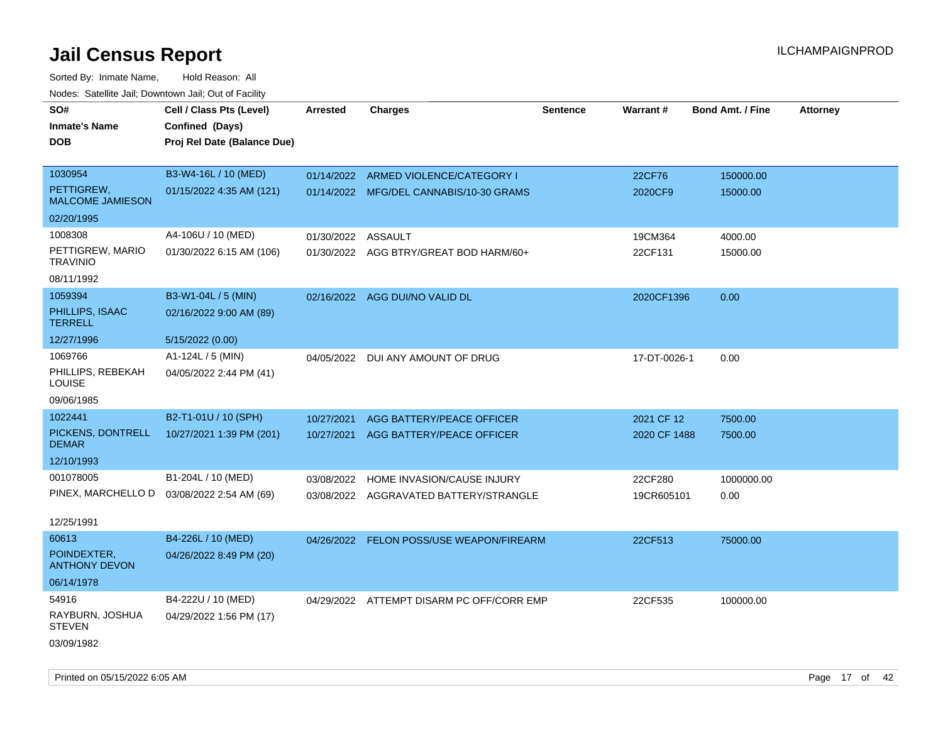| roaco. Calcinio dan, Domnomi dan, Cal or Fability |                                             |            |                                           |                 |              |                         |                 |
|---------------------------------------------------|---------------------------------------------|------------|-------------------------------------------|-----------------|--------------|-------------------------|-----------------|
| SO#                                               | Cell / Class Pts (Level)                    | Arrested   | <b>Charges</b>                            | <b>Sentence</b> | Warrant#     | <b>Bond Amt. / Fine</b> | <b>Attorney</b> |
| <b>Inmate's Name</b>                              | Confined (Days)                             |            |                                           |                 |              |                         |                 |
| <b>DOB</b>                                        | Proj Rel Date (Balance Due)                 |            |                                           |                 |              |                         |                 |
|                                                   |                                             |            |                                           |                 |              |                         |                 |
| 1030954                                           | B3-W4-16L / 10 (MED)                        |            | 01/14/2022 ARMED VIOLENCE/CATEGORY I      |                 | 22CF76       | 150000.00               |                 |
| PETTIGREW,<br><b>MALCOME JAMIESON</b>             | 01/15/2022 4:35 AM (121)                    |            | 01/14/2022 MFG/DEL CANNABIS/10-30 GRAMS   |                 | 2020CF9      | 15000.00                |                 |
| 02/20/1995                                        |                                             |            |                                           |                 |              |                         |                 |
| 1008308                                           | A4-106U / 10 (MED)                          | 01/30/2022 | ASSAULT                                   |                 | 19CM364      | 4000.00                 |                 |
| PETTIGREW, MARIO<br><b>TRAVINIO</b>               | 01/30/2022 6:15 AM (106)                    |            | 01/30/2022 AGG BTRY/GREAT BOD HARM/60+    |                 | 22CF131      | 15000.00                |                 |
| 08/11/1992                                        |                                             |            |                                           |                 |              |                         |                 |
| 1059394                                           | B3-W1-04L / 5 (MIN)                         |            | 02/16/2022 AGG DUI/NO VALID DL            |                 | 2020CF1396   | 0.00                    |                 |
| PHILLIPS, ISAAC<br><b>TERRELL</b>                 | 02/16/2022 9:00 AM (89)                     |            |                                           |                 |              |                         |                 |
| 12/27/1996                                        | 5/15/2022 (0.00)                            |            |                                           |                 |              |                         |                 |
| 1069766                                           | A1-124L / 5 (MIN)                           | 04/05/2022 | DUI ANY AMOUNT OF DRUG                    |                 | 17-DT-0026-1 | 0.00                    |                 |
| PHILLIPS, REBEKAH<br>LOUISE                       | 04/05/2022 2:44 PM (41)                     |            |                                           |                 |              |                         |                 |
| 09/06/1985                                        |                                             |            |                                           |                 |              |                         |                 |
| 1022441                                           | B2-T1-01U / 10 (SPH)                        | 10/27/2021 | AGG BATTERY/PEACE OFFICER                 |                 | 2021 CF 12   | 7500.00                 |                 |
| PICKENS, DONTRELL<br><b>DEMAR</b>                 | 10/27/2021 1:39 PM (201)                    | 10/27/2021 | AGG BATTERY/PEACE OFFICER                 |                 | 2020 CF 1488 | 7500.00                 |                 |
| 12/10/1993                                        |                                             |            |                                           |                 |              |                         |                 |
| 001078005                                         | B1-204L / 10 (MED)                          | 03/08/2022 | HOME INVASION/CAUSE INJURY                |                 | 22CF280      | 1000000.00              |                 |
|                                                   | PINEX, MARCHELLO D  03/08/2022 2:54 AM (69) |            | 03/08/2022 AGGRAVATED BATTERY/STRANGLE    |                 | 19CR605101   | 0.00                    |                 |
|                                                   |                                             |            |                                           |                 |              |                         |                 |
| 12/25/1991                                        |                                             |            |                                           |                 |              |                         |                 |
| 60613                                             | B4-226L / 10 (MED)                          |            | 04/26/2022 FELON POSS/USE WEAPON/FIREARM  |                 | 22CF513      | 75000.00                |                 |
| POINDEXTER.<br><b>ANTHONY DEVON</b>               | 04/26/2022 8:49 PM (20)                     |            |                                           |                 |              |                         |                 |
| 06/14/1978                                        |                                             |            |                                           |                 |              |                         |                 |
| 54916                                             | B4-222U / 10 (MED)                          |            | 04/29/2022 ATTEMPT DISARM PC OFF/CORR EMP |                 | 22CF535      | 100000.00               |                 |
| RAYBURN, JOSHUA<br><b>STEVEN</b>                  | 04/29/2022 1:56 PM (17)                     |            |                                           |                 |              |                         |                 |
| 03/09/1982                                        |                                             |            |                                           |                 |              |                         |                 |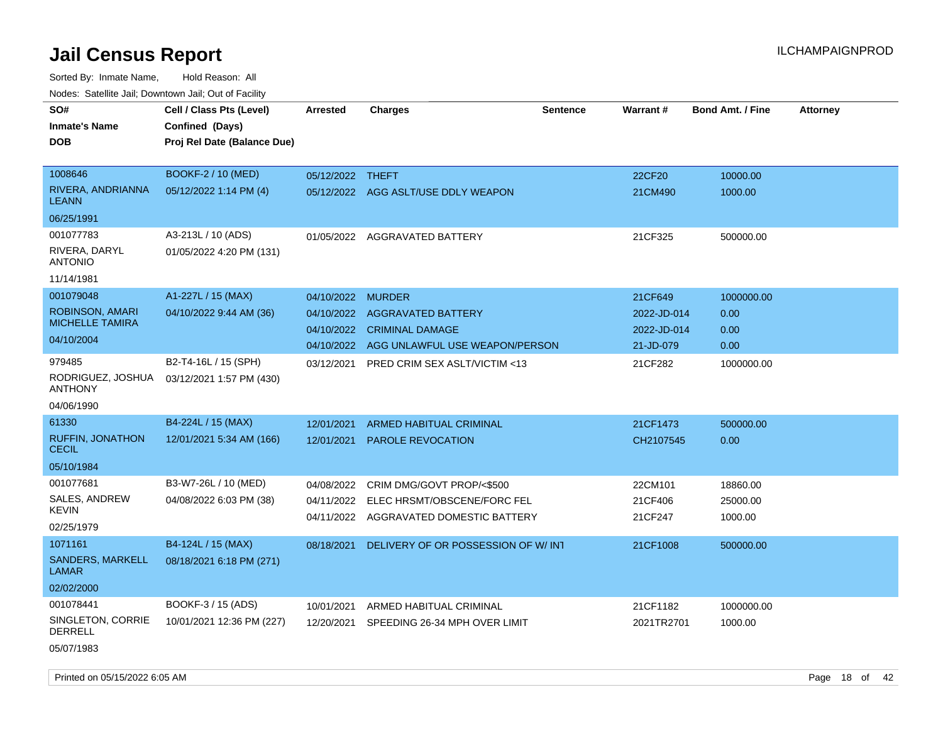Sorted By: Inmate Name, Hold Reason: All Nodes: Satellite Jail; Downtown Jail; Out of Facility

| i vuuto. Talelille Jall, Duwilluwii Jall, Out of Facility |                             |                  |                                        |                 |             |                         |                 |
|-----------------------------------------------------------|-----------------------------|------------------|----------------------------------------|-----------------|-------------|-------------------------|-----------------|
| SO#                                                       | Cell / Class Pts (Level)    | <b>Arrested</b>  | <b>Charges</b>                         | <b>Sentence</b> | Warrant#    | <b>Bond Amt. / Fine</b> | <b>Attorney</b> |
| <b>Inmate's Name</b>                                      | Confined (Days)             |                  |                                        |                 |             |                         |                 |
| <b>DOB</b>                                                | Proj Rel Date (Balance Due) |                  |                                        |                 |             |                         |                 |
|                                                           |                             |                  |                                        |                 |             |                         |                 |
| 1008646                                                   | BOOKF-2 / 10 (MED)          | 05/12/2022 THEFT |                                        |                 | 22CF20      | 10000.00                |                 |
| RIVERA, ANDRIANNA<br><b>LEANN</b>                         | 05/12/2022 1:14 PM (4)      |                  | 05/12/2022 AGG ASLT/USE DDLY WEAPON    |                 | 21CM490     | 1000.00                 |                 |
| 06/25/1991                                                |                             |                  |                                        |                 |             |                         |                 |
| 001077783                                                 | A3-213L / 10 (ADS)          |                  | 01/05/2022 AGGRAVATED BATTERY          |                 | 21CF325     | 500000.00               |                 |
| RIVERA, DARYL<br><b>ANTONIO</b>                           | 01/05/2022 4:20 PM (131)    |                  |                                        |                 |             |                         |                 |
| 11/14/1981                                                |                             |                  |                                        |                 |             |                         |                 |
| 001079048                                                 | A1-227L / 15 (MAX)          | 04/10/2022       | <b>MURDER</b>                          |                 | 21CF649     | 1000000.00              |                 |
| ROBINSON, AMARI                                           | 04/10/2022 9:44 AM (36)     | 04/10/2022       | AGGRAVATED BATTERY                     |                 | 2022-JD-014 | 0.00                    |                 |
| <b>MICHELLE TAMIRA</b>                                    |                             | 04/10/2022       | <b>CRIMINAL DAMAGE</b>                 |                 | 2022-JD-014 | 0.00                    |                 |
| 04/10/2004                                                |                             | 04/10/2022       | AGG UNLAWFUL USE WEAPON/PERSON         |                 | 21-JD-079   | 0.00                    |                 |
| 979485                                                    | B2-T4-16L / 15 (SPH)        | 03/12/2021       | PRED CRIM SEX ASLT/VICTIM <13          |                 | 21CF282     | 1000000.00              |                 |
| RODRIGUEZ, JOSHUA<br><b>ANTHONY</b>                       | 03/12/2021 1:57 PM (430)    |                  |                                        |                 |             |                         |                 |
| 04/06/1990                                                |                             |                  |                                        |                 |             |                         |                 |
| 61330                                                     | B4-224L / 15 (MAX)          | 12/01/2021       | ARMED HABITUAL CRIMINAL                |                 | 21CF1473    | 500000.00               |                 |
| <b>RUFFIN, JONATHON</b><br><b>CECIL</b>                   | 12/01/2021 5:34 AM (166)    | 12/01/2021       | PAROLE REVOCATION                      |                 | CH2107545   | 0.00                    |                 |
| 05/10/1984                                                |                             |                  |                                        |                 |             |                         |                 |
| 001077681                                                 | B3-W7-26L / 10 (MED)        | 04/08/2022       | CRIM DMG/GOVT PROP/<\$500              |                 | 22CM101     | 18860.00                |                 |
| SALES, ANDREW                                             | 04/08/2022 6:03 PM (38)     | 04/11/2022       | ELEC HRSMT/OBSCENE/FORC FEL            |                 | 21CF406     | 25000.00                |                 |
| <b>KEVIN</b>                                              |                             |                  | 04/11/2022 AGGRAVATED DOMESTIC BATTERY |                 | 21CF247     | 1000.00                 |                 |
| 02/25/1979                                                |                             |                  |                                        |                 |             |                         |                 |
| 1071161                                                   | B4-124L / 15 (MAX)          | 08/18/2021       | DELIVERY OF OR POSSESSION OF W/INT     |                 | 21CF1008    | 500000.00               |                 |
| SANDERS, MARKELL<br><b>LAMAR</b>                          | 08/18/2021 6:18 PM (271)    |                  |                                        |                 |             |                         |                 |
| 02/02/2000                                                |                             |                  |                                        |                 |             |                         |                 |
| 001078441                                                 | BOOKF-3 / 15 (ADS)          | 10/01/2021       | ARMED HABITUAL CRIMINAL                |                 | 21CF1182    | 1000000.00              |                 |
| SINGLETON, CORRIE<br><b>DERRELL</b>                       | 10/01/2021 12:36 PM (227)   | 12/20/2021       | SPEEDING 26-34 MPH OVER LIMIT          |                 | 2021TR2701  | 1000.00                 |                 |
| 05/07/1983                                                |                             |                  |                                        |                 |             |                         |                 |

Printed on 05/15/2022 6:05 AM **Page 18** of 42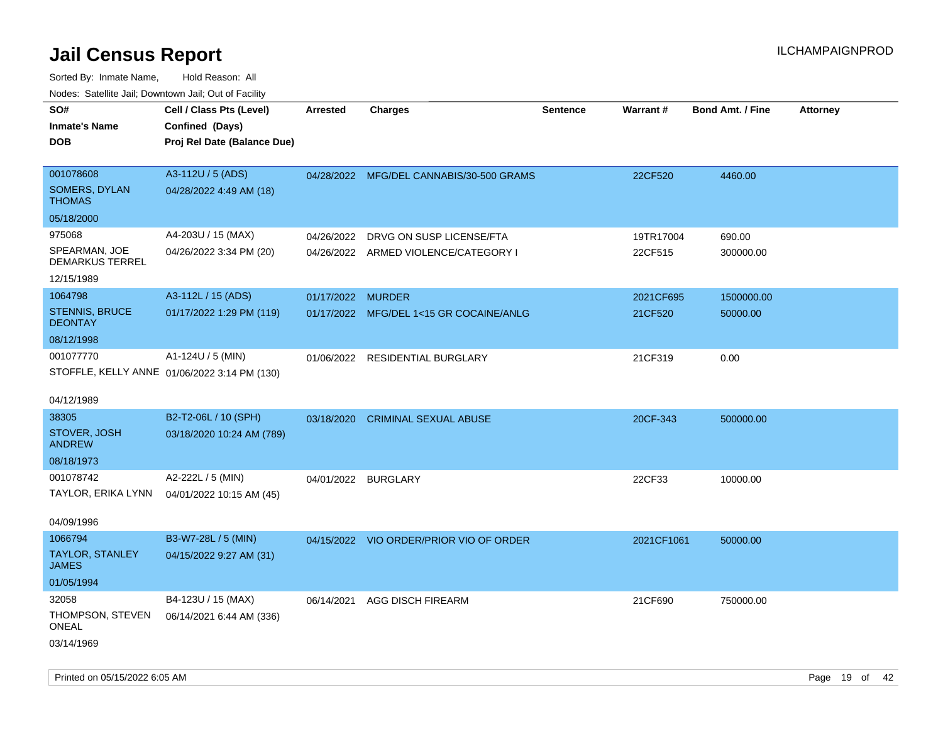| Nodes. Satellite Jali, Downtown Jali, Out of Facility |                                              |                   |                                          |                 |                 |                         |                 |
|-------------------------------------------------------|----------------------------------------------|-------------------|------------------------------------------|-----------------|-----------------|-------------------------|-----------------|
| SO#                                                   | Cell / Class Pts (Level)                     | <b>Arrested</b>   | <b>Charges</b>                           | <b>Sentence</b> | <b>Warrant#</b> | <b>Bond Amt. / Fine</b> | <b>Attorney</b> |
| Inmate's Name                                         | Confined (Days)                              |                   |                                          |                 |                 |                         |                 |
| DOB                                                   | Proj Rel Date (Balance Due)                  |                   |                                          |                 |                 |                         |                 |
|                                                       |                                              |                   |                                          |                 |                 |                         |                 |
| 001078608                                             | A3-112U / 5 (ADS)                            |                   | 04/28/2022 MFG/DEL CANNABIS/30-500 GRAMS |                 | 22CF520         | 4460.00                 |                 |
| <b>SOMERS, DYLAN</b><br>THOMAS                        | 04/28/2022 4:49 AM (18)                      |                   |                                          |                 |                 |                         |                 |
| 05/18/2000                                            |                                              |                   |                                          |                 |                 |                         |                 |
| 975068                                                | A4-203U / 15 (MAX)                           | 04/26/2022        | DRVG ON SUSP LICENSE/FTA                 |                 | 19TR17004       | 690.00                  |                 |
| SPEARMAN, JOE<br><b>DEMARKUS TERREL</b>               | 04/26/2022 3:34 PM (20)                      |                   | 04/26/2022 ARMED VIOLENCE/CATEGORY I     |                 | 22CF515         | 300000.00               |                 |
| 12/15/1989                                            |                                              |                   |                                          |                 |                 |                         |                 |
| 1064798                                               | A3-112L / 15 (ADS)                           | 01/17/2022 MURDER |                                          |                 | 2021CF695       | 1500000.00              |                 |
| <b>STENNIS, BRUCE</b><br><b>DEONTAY</b>               | 01/17/2022 1:29 PM (119)                     |                   | 01/17/2022 MFG/DEL 1<15 GR COCAINE/ANLG  |                 | 21CF520         | 50000.00                |                 |
| 08/12/1998                                            |                                              |                   |                                          |                 |                 |                         |                 |
| 001077770                                             | A1-124U / 5 (MIN)                            |                   | 01/06/2022 RESIDENTIAL BURGLARY          |                 | 21CF319         | 0.00                    |                 |
|                                                       | STOFFLE, KELLY ANNE 01/06/2022 3:14 PM (130) |                   |                                          |                 |                 |                         |                 |
| 04/12/1989                                            |                                              |                   |                                          |                 |                 |                         |                 |
| 38305                                                 | B2-T2-06L / 10 (SPH)                         | 03/18/2020        | <b>CRIMINAL SEXUAL ABUSE</b>             |                 | 20CF-343        | 500000.00               |                 |
| STOVER, JOSH<br><b>ANDREW</b>                         | 03/18/2020 10:24 AM (789)                    |                   |                                          |                 |                 |                         |                 |
| 08/18/1973                                            |                                              |                   |                                          |                 |                 |                         |                 |
| 001078742                                             | A2-222L / 5 (MIN)                            |                   | 04/01/2022 BURGLARY                      |                 | 22CF33          | 10000.00                |                 |
|                                                       | TAYLOR, ERIKA LYNN 04/01/2022 10:15 AM (45)  |                   |                                          |                 |                 |                         |                 |
|                                                       |                                              |                   |                                          |                 |                 |                         |                 |
| 04/09/1996                                            |                                              |                   |                                          |                 |                 |                         |                 |
| 1066794                                               | B3-W7-28L / 5 (MIN)                          |                   | 04/15/2022 VIO ORDER/PRIOR VIO OF ORDER  |                 | 2021CF1061      | 50000.00                |                 |
| TAYLOR, STANLEY<br>JAMES                              | 04/15/2022 9:27 AM (31)                      |                   |                                          |                 |                 |                         |                 |
| 01/05/1994                                            |                                              |                   |                                          |                 |                 |                         |                 |
| 32058                                                 | B4-123U / 15 (MAX)                           |                   | 06/14/2021 AGG DISCH FIREARM             |                 | 21CF690         | 750000.00               |                 |
| THOMPSON, STEVEN<br>ONEAL                             | 06/14/2021 6:44 AM (336)                     |                   |                                          |                 |                 |                         |                 |
| 03/14/1969                                            |                                              |                   |                                          |                 |                 |                         |                 |
|                                                       |                                              |                   |                                          |                 |                 |                         |                 |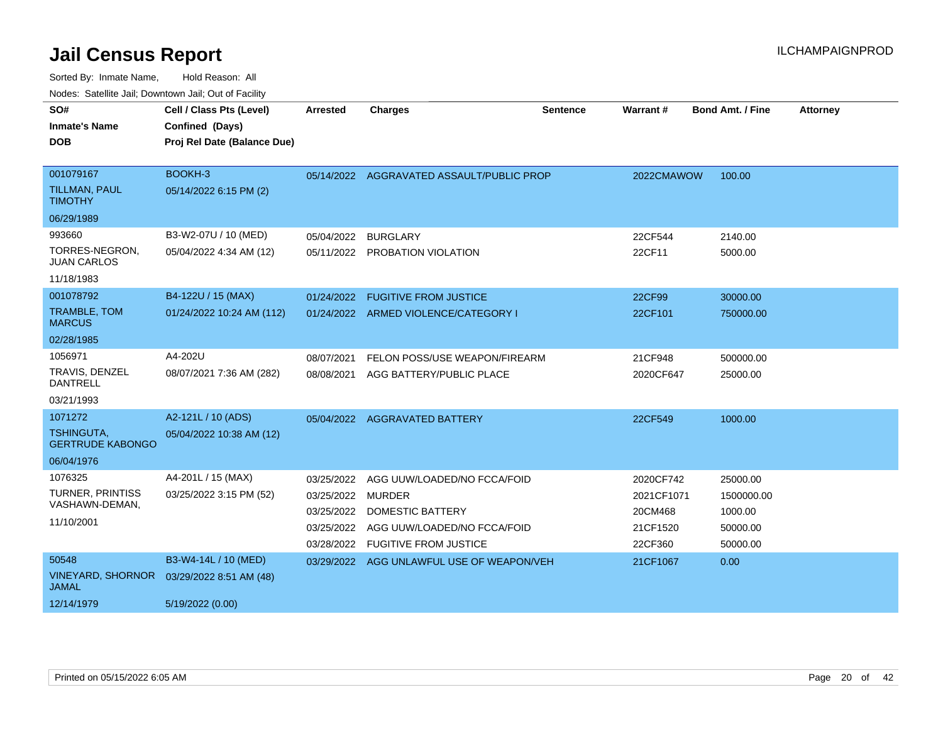| SO#<br><b>Inmate's Name</b><br><b>DOB</b>                             | Cell / Class Pts (Level)<br>Confined (Days)<br>Proj Rel Date (Balance Due) | Arrested                                                    | <b>Charges</b>                                                                                                     | <b>Sentence</b> | Warrant #                                                 | <b>Bond Amt. / Fine</b>                                   | <b>Attorney</b> |
|-----------------------------------------------------------------------|----------------------------------------------------------------------------|-------------------------------------------------------------|--------------------------------------------------------------------------------------------------------------------|-----------------|-----------------------------------------------------------|-----------------------------------------------------------|-----------------|
| 001079167<br><b>TILLMAN, PAUL</b><br><b>TIMOTHY</b><br>06/29/1989     | BOOKH-3<br>05/14/2022 6:15 PM (2)                                          |                                                             | 05/14/2022 AGGRAVATED ASSAULT/PUBLIC PROP                                                                          |                 | 2022CMAWOW                                                | 100.00                                                    |                 |
| 993660<br>TORRES-NEGRON,<br><b>JUAN CARLOS</b><br>11/18/1983          | B3-W2-07U / 10 (MED)<br>05/04/2022 4:34 AM (12)                            | 05/04/2022                                                  | <b>BURGLARY</b><br>05/11/2022 PROBATION VIOLATION                                                                  |                 | 22CF544<br>22CF11                                         | 2140.00<br>5000.00                                        |                 |
| 001078792<br>TRAMBLE, TOM<br><b>MARCUS</b><br>02/28/1985              | B4-122U / 15 (MAX)<br>01/24/2022 10:24 AM (112)                            |                                                             | 01/24/2022 FUGITIVE FROM JUSTICE<br>01/24/2022 ARMED VIOLENCE/CATEGORY I                                           |                 | 22CF99<br>22CF101                                         | 30000.00<br>750000.00                                     |                 |
| 1056971<br>TRAVIS, DENZEL<br><b>DANTRELL</b><br>03/21/1993            | A4-202U<br>08/07/2021 7:36 AM (282)                                        | 08/07/2021<br>08/08/2021                                    | FELON POSS/USE WEAPON/FIREARM<br>AGG BATTERY/PUBLIC PLACE                                                          |                 | 21CF948<br>2020CF647                                      | 500000.00<br>25000.00                                     |                 |
| 1071272<br><b>TSHINGUTA,</b><br><b>GERTRUDE KABONGO</b><br>06/04/1976 | A2-121L / 10 (ADS)<br>05/04/2022 10:38 AM (12)                             | 05/04/2022                                                  | <b>AGGRAVATED BATTERY</b>                                                                                          |                 | 22CF549                                                   | 1000.00                                                   |                 |
| 1076325<br><b>TURNER, PRINTISS</b><br>VASHAWN-DEMAN,<br>11/10/2001    | A4-201L / 15 (MAX)<br>03/25/2022 3:15 PM (52)                              | 03/25/2022<br>03/25/2022 MURDER<br>03/25/2022<br>03/25/2022 | AGG UUW/LOADED/NO FCCA/FOID<br>DOMESTIC BATTERY<br>AGG UUW/LOADED/NO FCCA/FOID<br>03/28/2022 FUGITIVE FROM JUSTICE |                 | 2020CF742<br>2021CF1071<br>20CM468<br>21CF1520<br>22CF360 | 25000.00<br>1500000.00<br>1000.00<br>50000.00<br>50000.00 |                 |
| 50548<br><b>VINEYARD, SHORNOR</b><br><b>JAMAL</b><br>12/14/1979       | B3-W4-14L / 10 (MED)<br>03/29/2022 8:51 AM (48)<br>5/19/2022 (0.00)        | 03/29/2022                                                  | AGG UNLAWFUL USE OF WEAPON/VEH                                                                                     |                 | 21CF1067                                                  | 0.00                                                      |                 |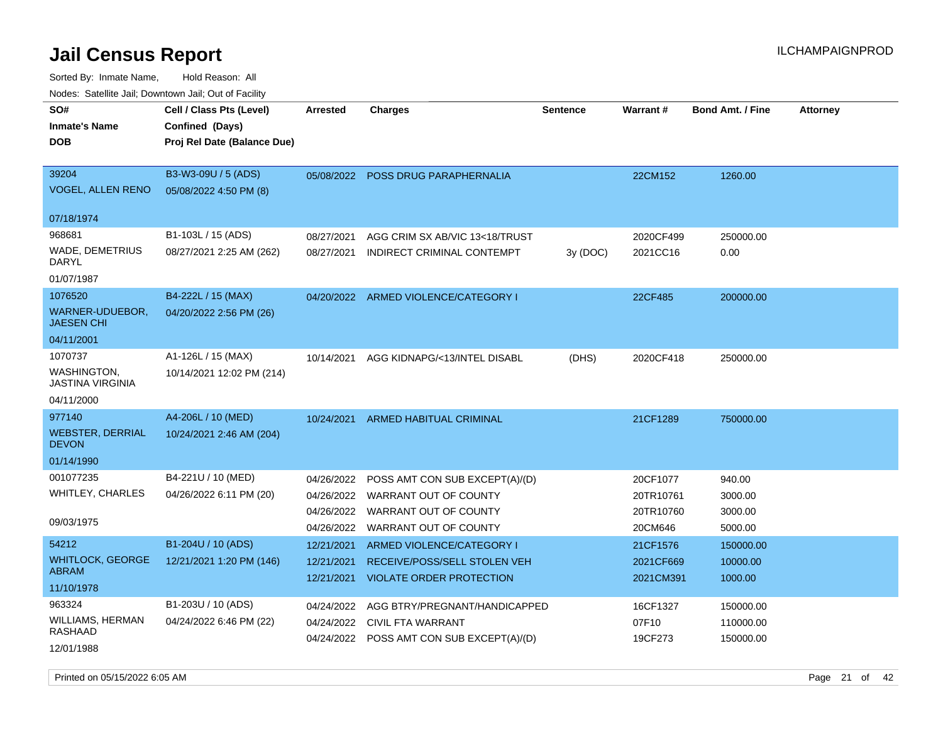| rouco. Calcillo Jali, Downtown Jali, Out of Facility |                             |            |                                           |                 |           |                         |                 |
|------------------------------------------------------|-----------------------------|------------|-------------------------------------------|-----------------|-----------|-------------------------|-----------------|
| SO#                                                  | Cell / Class Pts (Level)    | Arrested   | <b>Charges</b>                            | <b>Sentence</b> | Warrant#  | <b>Bond Amt. / Fine</b> | <b>Attorney</b> |
| <b>Inmate's Name</b>                                 | Confined (Days)             |            |                                           |                 |           |                         |                 |
| <b>DOB</b>                                           | Proj Rel Date (Balance Due) |            |                                           |                 |           |                         |                 |
|                                                      |                             |            |                                           |                 |           |                         |                 |
| 39204                                                | B3-W3-09U / 5 (ADS)         |            | 05/08/2022 POSS DRUG PARAPHERNALIA        |                 | 22CM152   | 1260.00                 |                 |
| VOGEL, ALLEN RENO                                    | 05/08/2022 4:50 PM (8)      |            |                                           |                 |           |                         |                 |
| 07/18/1974                                           |                             |            |                                           |                 |           |                         |                 |
| 968681                                               |                             |            |                                           |                 |           |                         |                 |
|                                                      | B1-103L / 15 (ADS)          | 08/27/2021 | AGG CRIM SX AB/VIC 13<18/TRUST            |                 | 2020CF499 | 250000.00               |                 |
| WADE, DEMETRIUS<br>DARYL                             | 08/27/2021 2:25 AM (262)    | 08/27/2021 | INDIRECT CRIMINAL CONTEMPT                | 3y (DOC)        | 2021CC16  | 0.00                    |                 |
| 01/07/1987                                           |                             |            |                                           |                 |           |                         |                 |
| 1076520                                              | B4-222L / 15 (MAX)          |            | 04/20/2022 ARMED VIOLENCE/CATEGORY I      |                 | 22CF485   | 200000.00               |                 |
| WARNER-UDUEBOR,<br><b>JAESEN CHI</b>                 | 04/20/2022 2:56 PM (26)     |            |                                           |                 |           |                         |                 |
| 04/11/2001                                           |                             |            |                                           |                 |           |                         |                 |
| 1070737                                              | A1-126L / 15 (MAX)          | 10/14/2021 | AGG KIDNAPG/<13/INTEL DISABL              | (DHS)           | 2020CF418 | 250000.00               |                 |
| WASHINGTON,<br>JASTINA VIRGINIA                      | 10/14/2021 12:02 PM (214)   |            |                                           |                 |           |                         |                 |
| 04/11/2000                                           |                             |            |                                           |                 |           |                         |                 |
| 977140                                               | A4-206L / 10 (MED)          | 10/24/2021 | ARMED HABITUAL CRIMINAL                   |                 | 21CF1289  | 750000.00               |                 |
| <b>WEBSTER, DERRIAL</b><br><b>DEVON</b>              | 10/24/2021 2:46 AM (204)    |            |                                           |                 |           |                         |                 |
| 01/14/1990                                           |                             |            |                                           |                 |           |                         |                 |
| 001077235                                            | B4-221U / 10 (MED)          | 04/26/2022 | POSS AMT CON SUB EXCEPT(A)/(D)            |                 | 20CF1077  | 940.00                  |                 |
| WHITLEY, CHARLES                                     | 04/26/2022 6:11 PM (20)     | 04/26/2022 | WARRANT OUT OF COUNTY                     |                 | 20TR10761 | 3000.00                 |                 |
|                                                      |                             | 04/26/2022 | WARRANT OUT OF COUNTY                     |                 | 20TR10760 | 3000.00                 |                 |
| 09/03/1975                                           |                             | 04/26/2022 | WARRANT OUT OF COUNTY                     |                 | 20CM646   | 5000.00                 |                 |
| 54212                                                | B1-204U / 10 (ADS)          | 12/21/2021 | ARMED VIOLENCE/CATEGORY I                 |                 | 21CF1576  | 150000.00               |                 |
| <b>WHITLOCK, GEORGE</b>                              | 12/21/2021 1:20 PM (146)    | 12/21/2021 | RECEIVE/POSS/SELL STOLEN VEH              |                 | 2021CF669 | 10000.00                |                 |
| <b>ABRAM</b>                                         |                             | 12/21/2021 | <b>VIOLATE ORDER PROTECTION</b>           |                 | 2021CM391 | 1000.00                 |                 |
| 11/10/1978                                           |                             |            |                                           |                 |           |                         |                 |
| 963324                                               | B1-203U / 10 (ADS)          | 04/24/2022 | AGG BTRY/PREGNANT/HANDICAPPED             |                 | 16CF1327  | 150000.00               |                 |
| WILLIAMS, HERMAN<br>RASHAAD                          | 04/24/2022 6:46 PM (22)     | 04/24/2022 | <b>CIVIL FTA WARRANT</b>                  |                 | 07F10     | 110000.00               |                 |
| 12/01/1988                                           |                             |            | 04/24/2022 POSS AMT CON SUB EXCEPT(A)/(D) |                 | 19CF273   | 150000.00               |                 |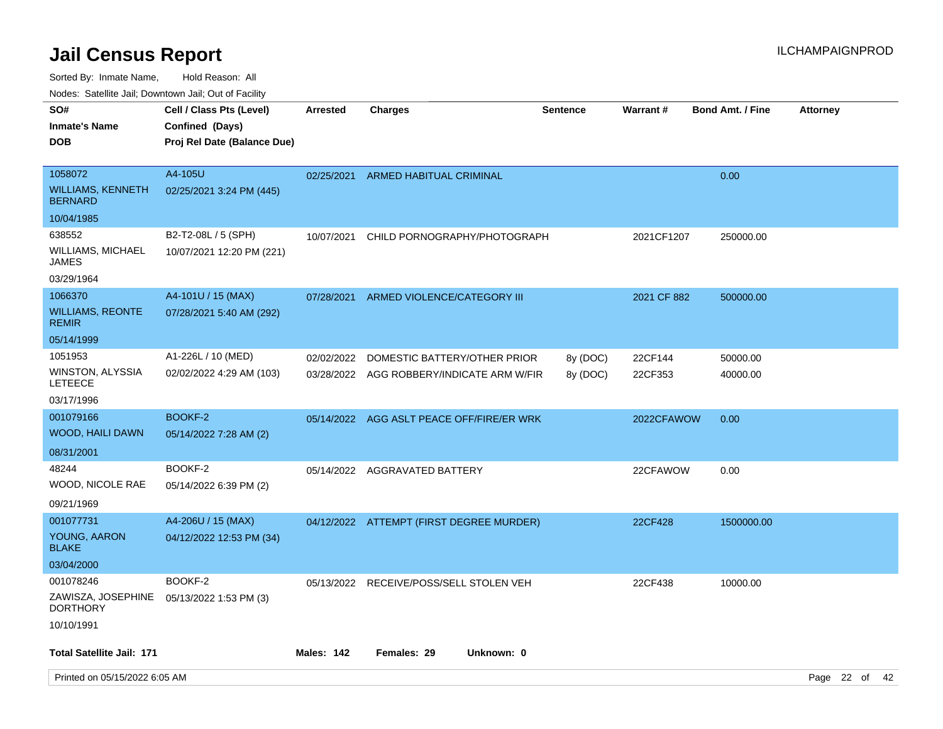Sorted By: Inmate Name, Hold Reason: All

Nodes: Satellite Jail; Downtown Jail; Out of Facility

| SO#<br><b>Inmate's Name</b><br><b>DOB</b>                   | Cell / Class Pts (Level)<br>Confined (Days)<br>Proj Rel Date (Balance Due) | Arrested          | Charges                                                                   | <b>Sentence</b>      | Warrant#           | <b>Bond Amt. / Fine</b> | <b>Attorney</b> |  |
|-------------------------------------------------------------|----------------------------------------------------------------------------|-------------------|---------------------------------------------------------------------------|----------------------|--------------------|-------------------------|-----------------|--|
| 1058072<br><b>WILLIAMS, KENNETH</b><br><b>BERNARD</b>       | A4-105U<br>02/25/2021 3:24 PM (445)                                        | 02/25/2021        | ARMED HABITUAL CRIMINAL                                                   |                      |                    | 0.00                    |                 |  |
| 10/04/1985                                                  |                                                                            |                   |                                                                           |                      |                    |                         |                 |  |
| 638552<br><b>WILLIAMS, MICHAEL</b><br><b>JAMES</b>          | B2-T2-08L / 5 (SPH)<br>10/07/2021 12:20 PM (221)                           | 10/07/2021        | CHILD PORNOGRAPHY/PHOTOGRAPH                                              |                      | 2021CF1207         | 250000.00               |                 |  |
| 03/29/1964                                                  |                                                                            |                   |                                                                           |                      |                    |                         |                 |  |
| 1066370<br><b>WILLIAMS, REONTE</b><br><b>REMIR</b>          | A4-101U / 15 (MAX)<br>07/28/2021 5:40 AM (292)                             | 07/28/2021        | ARMED VIOLENCE/CATEGORY III                                               |                      | 2021 CF 882        | 500000.00               |                 |  |
| 05/14/1999                                                  |                                                                            |                   |                                                                           |                      |                    |                         |                 |  |
| 1051953<br>WINSTON, ALYSSIA<br><b>LETEECE</b><br>03/17/1996 | A1-226L / 10 (MED)<br>02/02/2022 4:29 AM (103)                             | 02/02/2022        | DOMESTIC BATTERY/OTHER PRIOR<br>03/28/2022 AGG ROBBERY/INDICATE ARM W/FIR | 8y (DOC)<br>8y (DOC) | 22CF144<br>22CF353 | 50000.00<br>40000.00    |                 |  |
| 001079166<br>WOOD, HAILI DAWN                               | BOOKF-2                                                                    |                   | 05/14/2022 AGG ASLT PEACE OFF/FIRE/ER WRK                                 |                      | 2022CFAWOW         | 0.00                    |                 |  |
|                                                             | 05/14/2022 7:28 AM (2)                                                     |                   |                                                                           |                      |                    |                         |                 |  |
| 08/31/2001<br>48244                                         | BOOKF-2                                                                    |                   |                                                                           |                      |                    |                         |                 |  |
| WOOD, NICOLE RAE                                            | 05/14/2022 6:39 PM (2)                                                     |                   | 05/14/2022 AGGRAVATED BATTERY                                             |                      | 22CFAWOW           | 0.00                    |                 |  |
| 09/21/1969                                                  |                                                                            |                   |                                                                           |                      |                    |                         |                 |  |
| 001077731                                                   | A4-206U / 15 (MAX)                                                         |                   | 04/12/2022 ATTEMPT (FIRST DEGREE MURDER)                                  |                      | 22CF428            | 1500000.00              |                 |  |
| YOUNG, AARON<br><b>BLAKE</b>                                | 04/12/2022 12:53 PM (34)                                                   |                   |                                                                           |                      |                    |                         |                 |  |
| 03/04/2000                                                  |                                                                            |                   |                                                                           |                      |                    |                         |                 |  |
| 001078246                                                   | BOOKF-2                                                                    |                   | 05/13/2022 RECEIVE/POSS/SELL STOLEN VEH                                   |                      | 22CF438            | 10000.00                |                 |  |
| ZAWISZA, JOSEPHINE<br><b>DORTHORY</b>                       | 05/13/2022 1:53 PM (3)                                                     |                   |                                                                           |                      |                    |                         |                 |  |
| 10/10/1991                                                  |                                                                            |                   |                                                                           |                      |                    |                         |                 |  |
| <b>Total Satellite Jail: 171</b>                            |                                                                            | <b>Males: 142</b> | Females: 29<br>Unknown: 0                                                 |                      |                    |                         |                 |  |
| Printed on 05/15/2022 6:05 AM                               |                                                                            |                   |                                                                           |                      |                    |                         | Page 22 of 42   |  |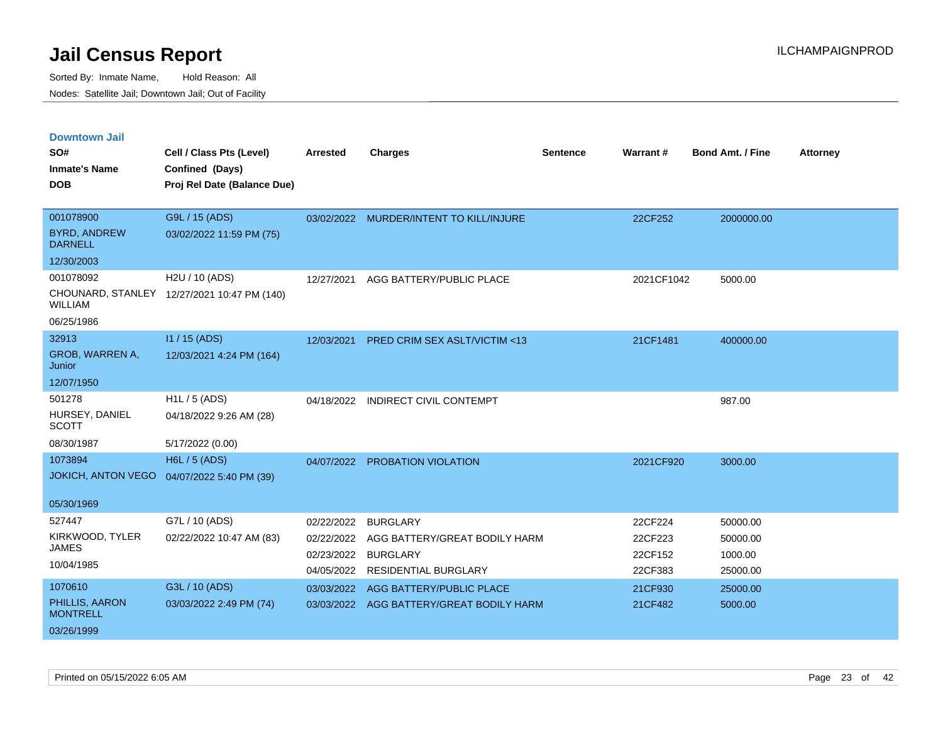| <b>Downtown Jail</b><br>SO#           | Cell / Class Pts (Level)                    | <b>Arrested</b> | <b>Charges</b>                           | <b>Sentence</b> | Warrant#   | <b>Bond Amt. / Fine</b> | <b>Attorney</b> |
|---------------------------------------|---------------------------------------------|-----------------|------------------------------------------|-----------------|------------|-------------------------|-----------------|
| <b>Inmate's Name</b>                  | Confined (Days)                             |                 |                                          |                 |            |                         |                 |
| <b>DOB</b>                            | Proj Rel Date (Balance Due)                 |                 |                                          |                 |            |                         |                 |
|                                       |                                             |                 |                                          |                 |            |                         |                 |
| 001078900                             | G9L / 15 (ADS)                              |                 | 03/02/2022 MURDER/INTENT TO KILL/INJURE  |                 | 22CF252    | 2000000.00              |                 |
| <b>BYRD, ANDREW</b><br><b>DARNELL</b> | 03/02/2022 11:59 PM (75)                    |                 |                                          |                 |            |                         |                 |
| 12/30/2003                            |                                             |                 |                                          |                 |            |                         |                 |
| 001078092                             | H2U / 10 (ADS)                              | 12/27/2021      | AGG BATTERY/PUBLIC PLACE                 |                 | 2021CF1042 | 5000.00                 |                 |
| <b>WILLIAM</b>                        | CHOUNARD, STANLEY 12/27/2021 10:47 PM (140) |                 |                                          |                 |            |                         |                 |
| 06/25/1986                            |                                             |                 |                                          |                 |            |                         |                 |
| 32913                                 | $11/15$ (ADS)                               | 12/03/2021      | PRED CRIM SEX ASLT/VICTIM <13            |                 | 21CF1481   | 400000.00               |                 |
| GROB, WARREN A,<br>Junior             | 12/03/2021 4:24 PM (164)                    |                 |                                          |                 |            |                         |                 |
| 12/07/1950                            |                                             |                 |                                          |                 |            |                         |                 |
| 501278                                | $H1L / 5$ (ADS)                             | 04/18/2022      | <b>INDIRECT CIVIL CONTEMPT</b>           |                 |            | 987.00                  |                 |
| HURSEY, DANIEL<br><b>SCOTT</b>        | 04/18/2022 9:26 AM (28)                     |                 |                                          |                 |            |                         |                 |
| 08/30/1987                            | 5/17/2022 (0.00)                            |                 |                                          |                 |            |                         |                 |
| 1073894                               | <b>H6L / 5 (ADS)</b>                        |                 | 04/07/2022 PROBATION VIOLATION           |                 | 2021CF920  | 3000.00                 |                 |
| <b>JOKICH, ANTON VEGO</b>             | 04/07/2022 5:40 PM (39)                     |                 |                                          |                 |            |                         |                 |
| 05/30/1969                            |                                             |                 |                                          |                 |            |                         |                 |
| 527447                                | G7L / 10 (ADS)                              | 02/22/2022      | <b>BURGLARY</b>                          |                 | 22CF224    | 50000.00                |                 |
| KIRKWOOD, TYLER                       | 02/22/2022 10:47 AM (83)                    | 02/22/2022      | AGG BATTERY/GREAT BODILY HARM            |                 | 22CF223    | 50000.00                |                 |
| <b>JAMES</b>                          |                                             | 02/23/2022      | <b>BURGLARY</b>                          |                 | 22CF152    | 1000.00                 |                 |
| 10/04/1985                            |                                             | 04/05/2022      | <b>RESIDENTIAL BURGLARY</b>              |                 | 22CF383    | 25000.00                |                 |
| 1070610                               | G3L / 10 (ADS)                              | 03/03/2022      | AGG BATTERY/PUBLIC PLACE                 |                 | 21CF930    | 25000.00                |                 |
| PHILLIS, AARON<br><b>MONTRELL</b>     | 03/03/2022 2:49 PM (74)                     |                 | 03/03/2022 AGG BATTERY/GREAT BODILY HARM |                 | 21CF482    | 5000.00                 |                 |
| 03/26/1999                            |                                             |                 |                                          |                 |            |                         |                 |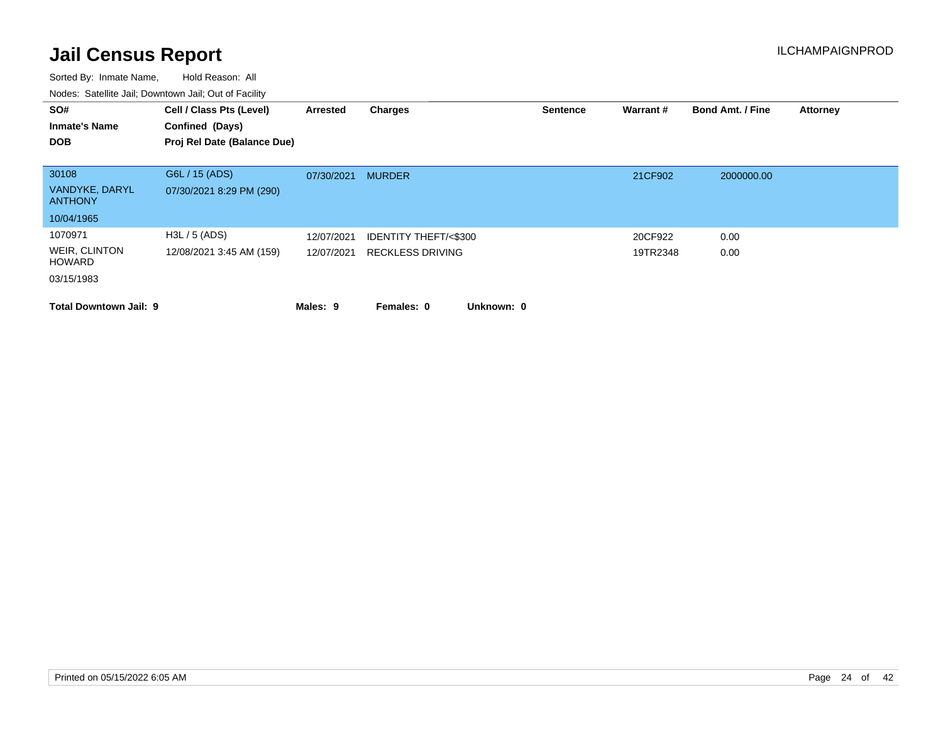| SO#<br><b>Inmate's Name</b>                             | Cell / Class Pts (Level)<br>Confined (Days) | Arrested                 | Charges                                                    |            | <b>Sentence</b> | Warrant#            | <b>Bond Amt. / Fine</b> | <b>Attorney</b> |
|---------------------------------------------------------|---------------------------------------------|--------------------------|------------------------------------------------------------|------------|-----------------|---------------------|-------------------------|-----------------|
| <b>DOB</b>                                              | Proj Rel Date (Balance Due)                 |                          |                                                            |            |                 |                     |                         |                 |
| 30108<br>VANDYKE, DARYL<br><b>ANTHONY</b>               | G6L / 15 (ADS)<br>07/30/2021 8:29 PM (290)  | 07/30/2021               | <b>MURDER</b>                                              |            |                 | 21CF902             | 2000000.00              |                 |
| 10/04/1965                                              |                                             |                          |                                                            |            |                 |                     |                         |                 |
| 1070971<br>WEIR, CLINTON<br><b>HOWARD</b><br>03/15/1983 | H3L / 5 (ADS)<br>12/08/2021 3:45 AM (159)   | 12/07/2021<br>12/07/2021 | <b>IDENTITY THEFT/&lt;\$300</b><br><b>RECKLESS DRIVING</b> |            |                 | 20CF922<br>19TR2348 | 0.00<br>0.00            |                 |
| <b>Total Downtown Jail: 9</b>                           |                                             | Males: 9                 | Females: 0                                                 | Unknown: 0 |                 |                     |                         |                 |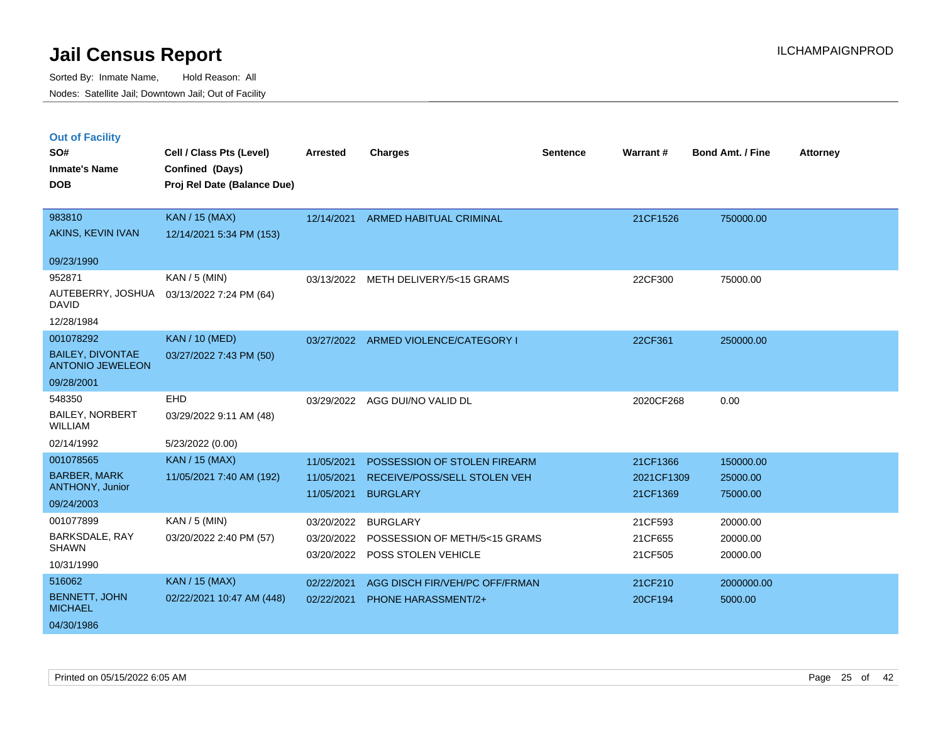|  | <b>Out of Facility</b> |  |
|--|------------------------|--|
|  |                        |  |
|  |                        |  |

| SO#<br><b>Inmate's Name</b><br><b>DOB</b>                                | Cell / Class Pts (Level)<br>Confined (Days)<br>Proj Rel Date (Balance Due) | <b>Arrested</b>                        | <b>Charges</b>                                                                  | <b>Sentence</b> | Warrant#                           | <b>Bond Amt. / Fine</b>           | <b>Attorney</b> |
|--------------------------------------------------------------------------|----------------------------------------------------------------------------|----------------------------------------|---------------------------------------------------------------------------------|-----------------|------------------------------------|-----------------------------------|-----------------|
| 983810<br>AKINS, KEVIN IVAN                                              | <b>KAN / 15 (MAX)</b><br>12/14/2021 5:34 PM (153)                          | 12/14/2021                             | ARMED HABITUAL CRIMINAL                                                         |                 | 21CF1526                           | 750000.00                         |                 |
| 09/23/1990                                                               |                                                                            |                                        |                                                                                 |                 |                                    |                                   |                 |
| 952871<br>AUTEBERRY, JOSHUA<br><b>DAVID</b><br>12/28/1984                | $KAN / 5$ (MIN)<br>03/13/2022 7:24 PM (64)                                 | 03/13/2022                             | METH DELIVERY/5<15 GRAMS                                                        |                 | 22CF300                            | 75000.00                          |                 |
| 001078292                                                                | <b>KAN / 10 (MED)</b>                                                      |                                        | 03/27/2022 ARMED VIOLENCE/CATEGORY I                                            |                 | 22CF361                            | 250000.00                         |                 |
| <b>BAILEY, DIVONTAE</b><br><b>ANTONIO JEWELEON</b>                       | 03/27/2022 7:43 PM (50)                                                    |                                        |                                                                                 |                 |                                    |                                   |                 |
| 09/28/2001                                                               |                                                                            |                                        |                                                                                 |                 |                                    |                                   |                 |
| 548350<br><b>BAILEY, NORBERT</b><br>WILLIAM                              | EHD<br>03/29/2022 9:11 AM (48)                                             | 03/29/2022                             | AGG DUI/NO VALID DL                                                             |                 | 2020CF268                          | 0.00                              |                 |
| 02/14/1992                                                               | 5/23/2022 (0.00)                                                           |                                        |                                                                                 |                 |                                    |                                   |                 |
| 001078565<br><b>BARBER, MARK</b><br><b>ANTHONY, Junior</b><br>09/24/2003 | <b>KAN / 15 (MAX)</b><br>11/05/2021 7:40 AM (192)                          | 11/05/2021<br>11/05/2021<br>11/05/2021 | POSSESSION OF STOLEN FIREARM<br>RECEIVE/POSS/SELL STOLEN VEH<br><b>BURGLARY</b> |                 | 21CF1366<br>2021CF1309<br>21CF1369 | 150000.00<br>25000.00<br>75000.00 |                 |
| 001077899<br>BARKSDALE, RAY<br><b>SHAWN</b><br>10/31/1990                | KAN / 5 (MIN)<br>03/20/2022 2:40 PM (57)                                   | 03/20/2022<br>03/20/2022<br>03/20/2022 | <b>BURGLARY</b><br>POSSESSION OF METH/5<15 GRAMS<br>POSS STOLEN VEHICLE         |                 | 21CF593<br>21CF655<br>21CF505      | 20000.00<br>20000.00<br>20000.00  |                 |
| 516062<br><b>BENNETT, JOHN</b><br><b>MICHAEL</b><br>04/30/1986           | <b>KAN / 15 (MAX)</b><br>02/22/2021 10:47 AM (448)                         | 02/22/2021<br>02/22/2021               | AGG DISCH FIR/VEH/PC OFF/FRMAN<br><b>PHONE HARASSMENT/2+</b>                    |                 | 21CF210<br>20CF194                 | 2000000.00<br>5000.00             |                 |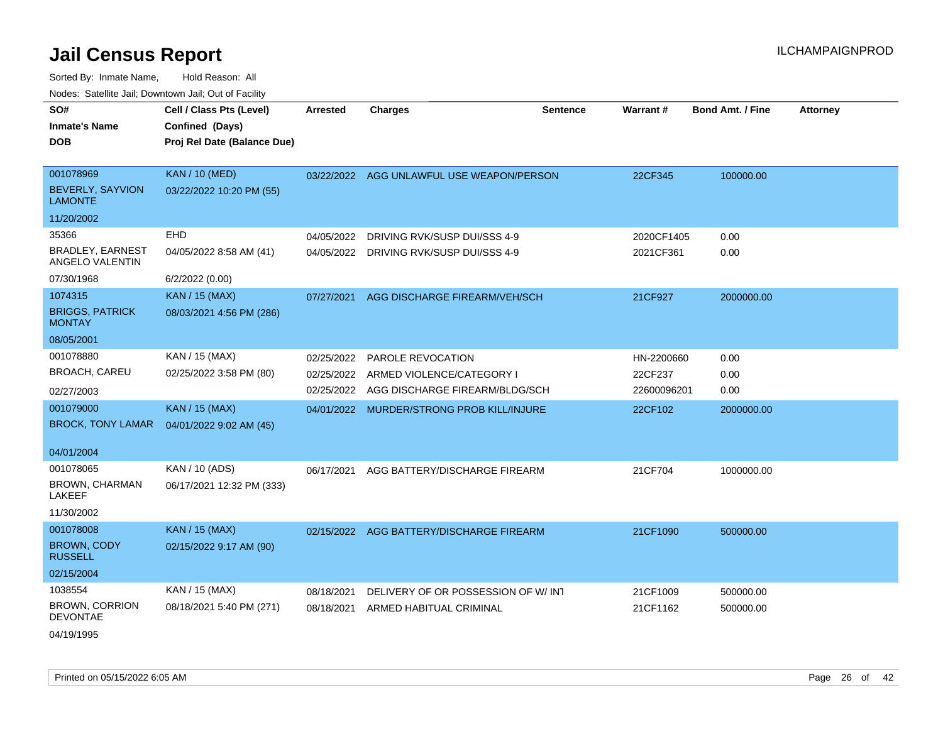| SO#<br><b>Inmate's Name</b><br><b>DOB</b>              | Cell / Class Pts (Level)<br>Confined (Days)<br>Proj Rel Date (Balance Due) | <b>Arrested</b> | <b>Charges</b>                            | Sentence | Warrant#    | <b>Bond Amt. / Fine</b> | <b>Attorney</b> |
|--------------------------------------------------------|----------------------------------------------------------------------------|-----------------|-------------------------------------------|----------|-------------|-------------------------|-----------------|
| 001078969<br><b>BEVERLY, SAYVION</b><br><b>LAMONTE</b> | <b>KAN / 10 (MED)</b><br>03/22/2022 10:20 PM (55)                          |                 | 03/22/2022 AGG UNLAWFUL USE WEAPON/PERSON |          | 22CF345     | 100000.00               |                 |
| 11/20/2002                                             |                                                                            |                 |                                           |          |             |                         |                 |
| 35366                                                  | <b>EHD</b>                                                                 | 04/05/2022      | DRIVING RVK/SUSP DUI/SSS 4-9              |          | 2020CF1405  | 0.00                    |                 |
| <b>BRADLEY, EARNEST</b><br>ANGELO VALENTIN             | 04/05/2022 8:58 AM (41)                                                    | 04/05/2022      | DRIVING RVK/SUSP DUI/SSS 4-9              |          | 2021CF361   | 0.00                    |                 |
| 07/30/1968                                             | 6/2/2022 (0.00)                                                            |                 |                                           |          |             |                         |                 |
| 1074315                                                | <b>KAN / 15 (MAX)</b>                                                      | 07/27/2021      | AGG DISCHARGE FIREARM/VEH/SCH             |          | 21CF927     | 2000000.00              |                 |
| <b>BRIGGS, PATRICK</b><br><b>MONTAY</b>                | 08/03/2021 4:56 PM (286)                                                   |                 |                                           |          |             |                         |                 |
| 08/05/2001                                             |                                                                            |                 |                                           |          |             |                         |                 |
| 001078880                                              | KAN / 15 (MAX)                                                             | 02/25/2022      | <b>PAROLE REVOCATION</b>                  |          | HN-2200660  | 0.00                    |                 |
| BROACH, CAREU                                          | 02/25/2022 3:58 PM (80)                                                    | 02/25/2022      | ARMED VIOLENCE/CATEGORY I                 |          | 22CF237     | 0.00                    |                 |
| 02/27/2003                                             |                                                                            | 02/25/2022      | AGG DISCHARGE FIREARM/BLDG/SCH            |          | 22600096201 | 0.00                    |                 |
| 001079000                                              | <b>KAN / 15 (MAX)</b>                                                      |                 | 04/01/2022 MURDER/STRONG PROB KILL/INJURE |          | 22CF102     | 2000000.00              |                 |
| <b>BROCK, TONY LAMAR</b>                               | 04/01/2022 9:02 AM (45)                                                    |                 |                                           |          |             |                         |                 |
| 04/01/2004                                             |                                                                            |                 |                                           |          |             |                         |                 |
| 001078065                                              | KAN / 10 (ADS)                                                             | 06/17/2021      | AGG BATTERY/DISCHARGE FIREARM             |          | 21CF704     | 1000000.00              |                 |
| BROWN, CHARMAN<br><b>LAKEEF</b>                        | 06/17/2021 12:32 PM (333)                                                  |                 |                                           |          |             |                         |                 |
| 11/30/2002                                             |                                                                            |                 |                                           |          |             |                         |                 |
| 001078008                                              | <b>KAN / 15 (MAX)</b>                                                      |                 | 02/15/2022 AGG BATTERY/DISCHARGE FIREARM  |          | 21CF1090    | 500000.00               |                 |
| <b>BROWN, CODY</b><br><b>RUSSELL</b>                   | 02/15/2022 9:17 AM (90)                                                    |                 |                                           |          |             |                         |                 |
| 02/15/2004                                             |                                                                            |                 |                                           |          |             |                         |                 |
| 1038554                                                | KAN / 15 (MAX)                                                             | 08/18/2021      | DELIVERY OF OR POSSESSION OF W/INT        |          | 21CF1009    | 500000.00               |                 |
| <b>BROWN, CORRION</b><br><b>DEVONTAE</b>               | 08/18/2021 5:40 PM (271)                                                   | 08/18/2021      | ARMED HABITUAL CRIMINAL                   |          | 21CF1162    | 500000.00               |                 |
| 04/19/1995                                             |                                                                            |                 |                                           |          |             |                         |                 |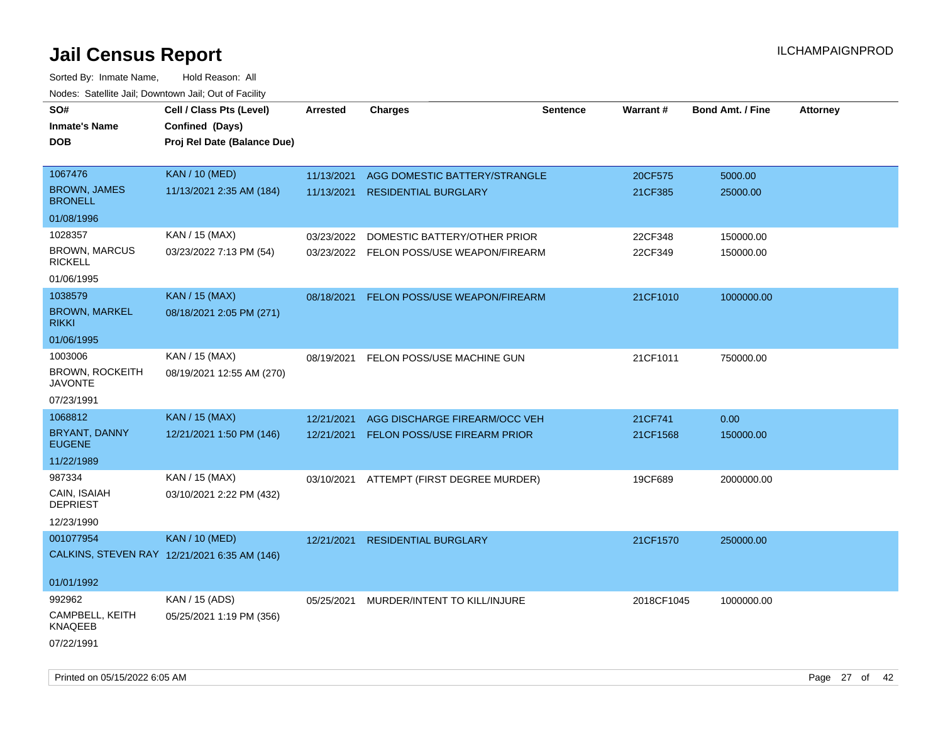| SO#<br><b>Inmate's Name</b><br><b>DOB</b>                                       | Cell / Class Pts (Level)<br>Confined (Days)<br>Proj Rel Date (Balance Due) | Arrested                 | <b>Charges</b>                                                           | <b>Sentence</b> | Warrant#            | <b>Bond Amt. / Fine</b> | <b>Attorney</b> |
|---------------------------------------------------------------------------------|----------------------------------------------------------------------------|--------------------------|--------------------------------------------------------------------------|-----------------|---------------------|-------------------------|-----------------|
| 1067476<br><b>BROWN, JAMES</b><br><b>BRONELL</b>                                | <b>KAN / 10 (MED)</b><br>11/13/2021 2:35 AM (184)                          | 11/13/2021<br>11/13/2021 | AGG DOMESTIC BATTERY/STRANGLE<br><b>RESIDENTIAL BURGLARY</b>             |                 | 20CF575<br>21CF385  | 5000.00<br>25000.00     |                 |
| 01/08/1996                                                                      |                                                                            |                          |                                                                          |                 |                     |                         |                 |
| 1028357<br><b>BROWN, MARCUS</b><br><b>RICKELL</b><br>01/06/1995                 | KAN / 15 (MAX)<br>03/23/2022 7:13 PM (54)                                  | 03/23/2022               | DOMESTIC BATTERY/OTHER PRIOR<br>03/23/2022 FELON POSS/USE WEAPON/FIREARM |                 | 22CF348<br>22CF349  | 150000.00<br>150000.00  |                 |
| 1038579<br><b>BROWN, MARKEL</b><br><b>RIKKI</b>                                 | <b>KAN / 15 (MAX)</b><br>08/18/2021 2:05 PM (271)                          | 08/18/2021               | FELON POSS/USE WEAPON/FIREARM                                            |                 | 21CF1010            | 1000000.00              |                 |
| 01/06/1995<br>1003006<br><b>BROWN, ROCKEITH</b><br><b>JAVONTE</b><br>07/23/1991 | KAN / 15 (MAX)<br>08/19/2021 12:55 AM (270)                                | 08/19/2021               | FELON POSS/USE MACHINE GUN                                               |                 | 21CF1011            | 750000.00               |                 |
| 1068812<br>BRYANT, DANNY<br><b>EUGENE</b>                                       | KAN / 15 (MAX)<br>12/21/2021 1:50 PM (146)                                 | 12/21/2021<br>12/21/2021 | AGG DISCHARGE FIREARM/OCC VEH<br><b>FELON POSS/USE FIREARM PRIOR</b>     |                 | 21CF741<br>21CF1568 | 0.00<br>150000.00       |                 |
| 11/22/1989                                                                      |                                                                            |                          |                                                                          |                 |                     |                         |                 |
| 987334<br>CAIN, ISAIAH<br><b>DEPRIEST</b><br>12/23/1990                         | KAN / 15 (MAX)<br>03/10/2021 2:22 PM (432)                                 |                          | 03/10/2021 ATTEMPT (FIRST DEGREE MURDER)                                 |                 | 19CF689             | 2000000.00              |                 |
| 001077954<br>01/01/1992                                                         | <b>KAN / 10 (MED)</b><br>CALKINS, STEVEN RAY 12/21/2021 6:35 AM (146)      | 12/21/2021               | <b>RESIDENTIAL BURGLARY</b>                                              |                 | 21CF1570            | 250000.00               |                 |
| 992962<br>CAMPBELL, KEITH<br><b>KNAQEEB</b><br>07/22/1991                       | KAN / 15 (ADS)<br>05/25/2021 1:19 PM (356)                                 |                          | 05/25/2021 MURDER/INTENT TO KILL/INJURE                                  |                 | 2018CF1045          | 1000000.00              |                 |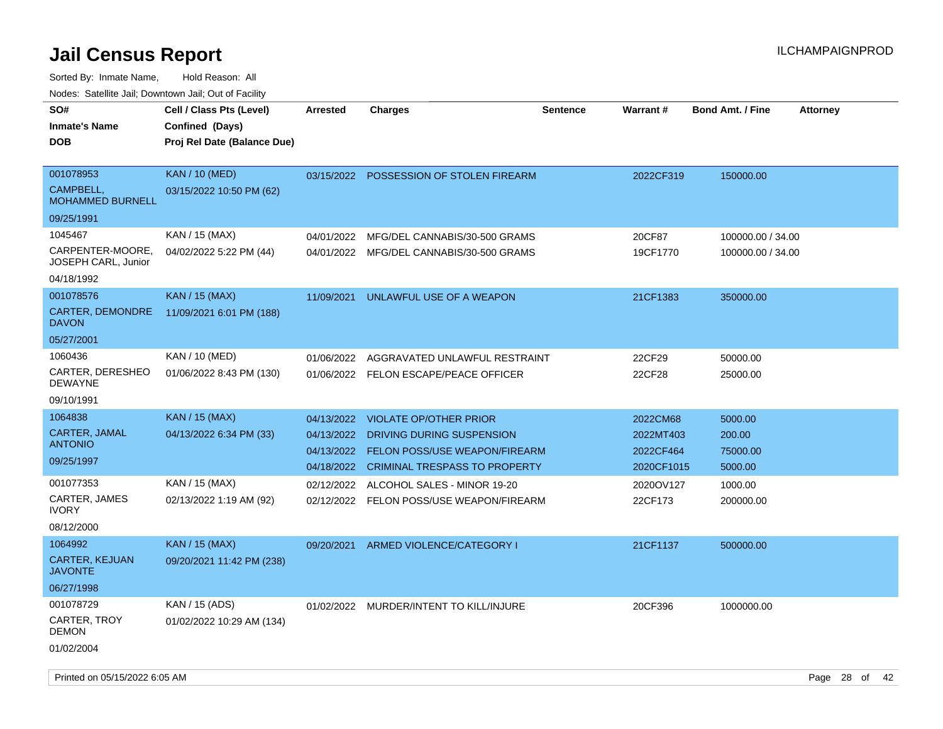| SO#<br><b>Inmate's Name</b><br><b>DOB</b>                                                              | Cell / Class Pts (Level)<br>Confined (Days)<br>Proj Rel Date (Balance Due)                    | <b>Arrested</b>                                                                  | <b>Charges</b>                                                                                                                                                                                      | <b>Sentence</b> | Warrant#                                                                 | <b>Bond Amt. / Fine</b>                                          | <b>Attorney</b> |
|--------------------------------------------------------------------------------------------------------|-----------------------------------------------------------------------------------------------|----------------------------------------------------------------------------------|-----------------------------------------------------------------------------------------------------------------------------------------------------------------------------------------------------|-----------------|--------------------------------------------------------------------------|------------------------------------------------------------------|-----------------|
| 001078953<br>CAMPBELL,<br><b>MOHAMMED BURNELL</b><br>09/25/1991                                        | <b>KAN / 10 (MED)</b><br>03/15/2022 10:50 PM (62)                                             | 03/15/2022                                                                       | POSSESSION OF STOLEN FIREARM                                                                                                                                                                        |                 | 2022CF319                                                                | 150000.00                                                        |                 |
| 1045467<br>CARPENTER-MOORE,<br>JOSEPH CARL, Junior<br>04/18/1992                                       | KAN / 15 (MAX)<br>04/02/2022 5:22 PM (44)                                                     | 04/01/2022<br>04/01/2022                                                         | MFG/DEL CANNABIS/30-500 GRAMS<br>MFG/DEL CANNABIS/30-500 GRAMS                                                                                                                                      |                 | 20CF87<br>19CF1770                                                       | 100000.00 / 34.00<br>100000.00 / 34.00                           |                 |
| 001078576<br>CARTER, DEMONDRE<br><b>DAVON</b><br>05/27/2001                                            | <b>KAN / 15 (MAX)</b><br>11/09/2021 6:01 PM (188)                                             | 11/09/2021                                                                       | UNLAWFUL USE OF A WEAPON                                                                                                                                                                            |                 | 21CF1383                                                                 | 350000.00                                                        |                 |
| 1060436<br>CARTER, DERESHEO<br><b>DEWAYNE</b><br>09/10/1991                                            | KAN / 10 (MED)<br>01/06/2022 8:43 PM (130)                                                    | 01/06/2022<br>01/06/2022                                                         | AGGRAVATED UNLAWFUL RESTRAINT<br>FELON ESCAPE/PEACE OFFICER                                                                                                                                         |                 | 22CF29<br>22CF28                                                         | 50000.00<br>25000.00                                             |                 |
| 1064838<br>CARTER, JAMAL<br><b>ANTONIO</b><br>09/25/1997<br>001077353<br>CARTER, JAMES<br><b>IVORY</b> | <b>KAN / 15 (MAX)</b><br>04/13/2022 6:34 PM (33)<br>KAN / 15 (MAX)<br>02/13/2022 1:19 AM (92) | 04/13/2022<br>04/13/2022<br>04/13/2022<br>04/18/2022<br>02/12/2022<br>02/12/2022 | <b>VIOLATE OP/OTHER PRIOR</b><br>DRIVING DURING SUSPENSION<br>FELON POSS/USE WEAPON/FIREARM<br><b>CRIMINAL TRESPASS TO PROPERTY</b><br>ALCOHOL SALES - MINOR 19-20<br>FELON POSS/USE WEAPON/FIREARM |                 | 2022CM68<br>2022MT403<br>2022CF464<br>2020CF1015<br>2020OV127<br>22CF173 | 5000.00<br>200.00<br>75000.00<br>5000.00<br>1000.00<br>200000.00 |                 |
| 08/12/2000<br>1064992<br><b>CARTER, KEJUAN</b><br><b>JAVONTE</b>                                       | KAN / 15 (MAX)<br>09/20/2021 11:42 PM (238)                                                   | 09/20/2021                                                                       | ARMED VIOLENCE/CATEGORY I                                                                                                                                                                           |                 | 21CF1137                                                                 | 500000.00                                                        |                 |
| 06/27/1998<br>001078729<br>CARTER, TROY<br><b>DEMON</b><br>01/02/2004                                  | KAN / 15 (ADS)<br>01/02/2022 10:29 AM (134)                                                   |                                                                                  | 01/02/2022 MURDER/INTENT TO KILL/INJURE                                                                                                                                                             |                 | 20CF396                                                                  | 1000000.00                                                       |                 |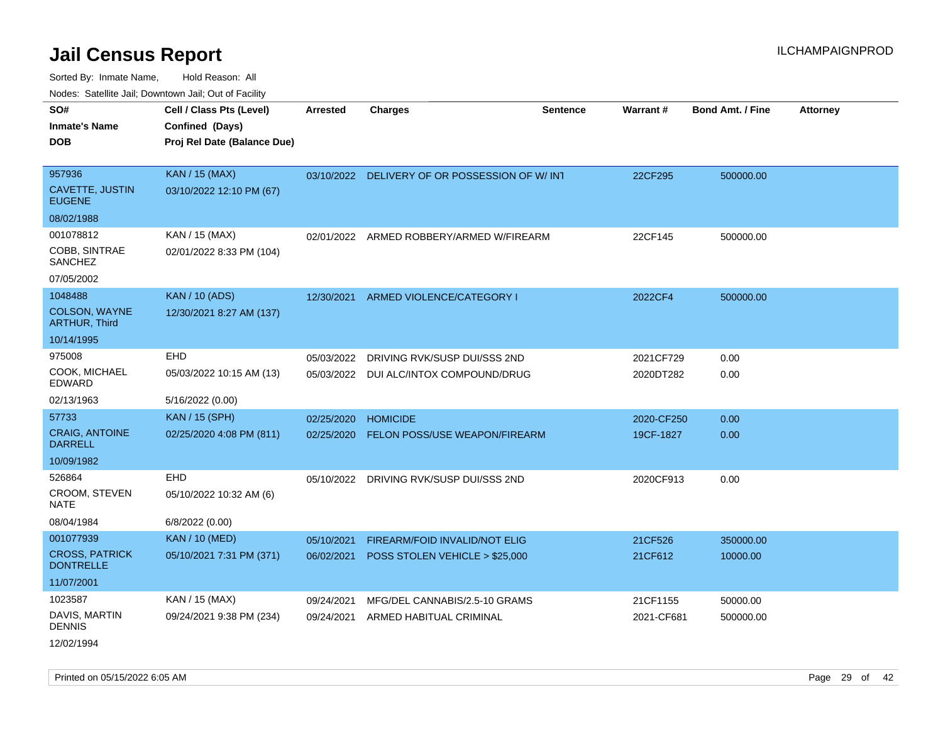Sorted By: Inmate Name, Hold Reason: All Nodes: Satellite Jail; Downtown Jail; Out of Facility

| roaco. Calcinio dan, Domnomi dan, Cal or Fability |                                                                            |                 |                                          |                 |                 |                         |                 |
|---------------------------------------------------|----------------------------------------------------------------------------|-----------------|------------------------------------------|-----------------|-----------------|-------------------------|-----------------|
| SO#<br>Inmate's Name<br><b>DOB</b>                | Cell / Class Pts (Level)<br>Confined (Days)<br>Proj Rel Date (Balance Due) | <b>Arrested</b> | <b>Charges</b>                           | <b>Sentence</b> | <b>Warrant#</b> | <b>Bond Amt. / Fine</b> | <b>Attorney</b> |
| 957936                                            | <b>KAN / 15 (MAX)</b>                                                      | 03/10/2022      | DELIVERY OF OR POSSESSION OF W/INT       |                 | 22CF295         | 500000.00               |                 |
| CAVETTE, JUSTIN<br><b>EUGENE</b>                  | 03/10/2022 12:10 PM (67)                                                   |                 |                                          |                 |                 |                         |                 |
| 08/02/1988                                        |                                                                            |                 |                                          |                 |                 |                         |                 |
| 001078812                                         | KAN / 15 (MAX)                                                             |                 | 02/01/2022 ARMED ROBBERY/ARMED W/FIREARM |                 | 22CF145         | 500000.00               |                 |
| COBB, SINTRAE<br>SANCHEZ                          | 02/01/2022 8:33 PM (104)                                                   |                 |                                          |                 |                 |                         |                 |
| 07/05/2002                                        |                                                                            |                 |                                          |                 |                 |                         |                 |
| 1048488                                           | <b>KAN / 10 (ADS)</b>                                                      |                 | 12/30/2021 ARMED VIOLENCE/CATEGORY I     |                 | 2022CF4         | 500000.00               |                 |
| <b>COLSON, WAYNE</b><br><b>ARTHUR, Third</b>      | 12/30/2021 8:27 AM (137)                                                   |                 |                                          |                 |                 |                         |                 |
| 10/14/1995                                        |                                                                            |                 |                                          |                 |                 |                         |                 |
| 975008                                            | <b>EHD</b>                                                                 | 05/03/2022      | DRIVING RVK/SUSP DUI/SSS 2ND             |                 | 2021CF729       | 0.00                    |                 |
| COOK, MICHAEL<br>EDWARD                           | 05/03/2022 10:15 AM (13)                                                   |                 | 05/03/2022 DUI ALC/INTOX COMPOUND/DRUG   |                 | 2020DT282       | 0.00                    |                 |
| 02/13/1963                                        | 5/16/2022 (0.00)                                                           |                 |                                          |                 |                 |                         |                 |
| 57733                                             | <b>KAN / 15 (SPH)</b>                                                      | 02/25/2020      | <b>HOMICIDE</b>                          |                 | 2020-CF250      | 0.00                    |                 |
| <b>CRAIG, ANTOINE</b><br><b>DARRELL</b>           | 02/25/2020 4:08 PM (811)                                                   | 02/25/2020      | FELON POSS/USE WEAPON/FIREARM            |                 | 19CF-1827       | 0.00                    |                 |
| 10/09/1982                                        |                                                                            |                 |                                          |                 |                 |                         |                 |
| 526864                                            | <b>EHD</b>                                                                 | 05/10/2022      | DRIVING RVK/SUSP DUI/SSS 2ND             |                 | 2020CF913       | 0.00                    |                 |
| CROOM, STEVEN<br>NATE                             | 05/10/2022 10:32 AM (6)                                                    |                 |                                          |                 |                 |                         |                 |
| 08/04/1984                                        | 6/8/2022 (0.00)                                                            |                 |                                          |                 |                 |                         |                 |
| 001077939                                         | <b>KAN / 10 (MED)</b>                                                      | 05/10/2021      | FIREARM/FOID INVALID/NOT ELIG            |                 | 21CF526         | 350000.00               |                 |
| <b>CROSS, PATRICK</b><br><b>DONTRELLE</b>         | 05/10/2021 7:31 PM (371)                                                   | 06/02/2021      | POSS STOLEN VEHICLE > \$25,000           |                 | 21CF612         | 10000.00                |                 |
| 11/07/2001                                        |                                                                            |                 |                                          |                 |                 |                         |                 |
| 1023587                                           | KAN / 15 (MAX)                                                             | 09/24/2021      | MFG/DEL CANNABIS/2.5-10 GRAMS            |                 | 21CF1155        | 50000.00                |                 |
| DAVIS, MARTIN<br><b>DENNIS</b>                    | 09/24/2021 9:38 PM (234)                                                   | 09/24/2021      | ARMED HABITUAL CRIMINAL                  |                 | 2021-CF681      | 500000.00               |                 |
|                                                   |                                                                            |                 |                                          |                 |                 |                         |                 |

12/02/1994

Printed on 05/15/2022 6:05 AM Page 29 of 42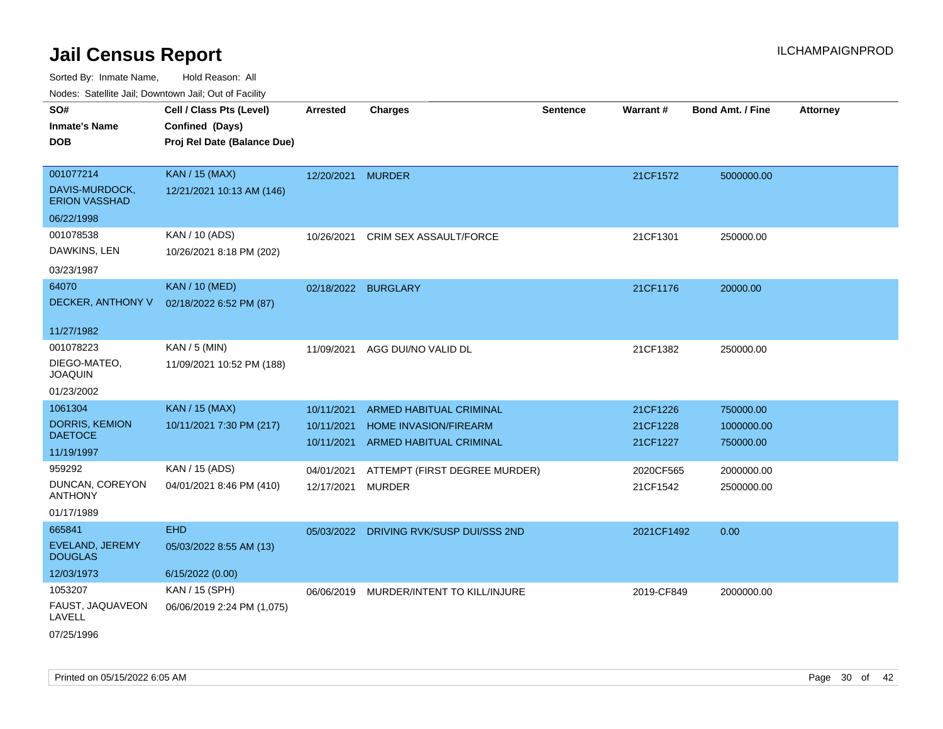| SO#                                     | Cell / Class Pts (Level)    | <b>Arrested</b>   | <b>Charges</b>                          | <b>Sentence</b> | <b>Warrant#</b> | <b>Bond Amt. / Fine</b> | <b>Attorney</b> |
|-----------------------------------------|-----------------------------|-------------------|-----------------------------------------|-----------------|-----------------|-------------------------|-----------------|
| <b>Inmate's Name</b>                    | Confined (Days)             |                   |                                         |                 |                 |                         |                 |
| <b>DOB</b>                              | Proj Rel Date (Balance Due) |                   |                                         |                 |                 |                         |                 |
|                                         |                             |                   |                                         |                 |                 |                         |                 |
| 001077214                               | <b>KAN / 15 (MAX)</b>       | 12/20/2021 MURDER |                                         |                 | 21CF1572        | 5000000.00              |                 |
| DAVIS-MURDOCK,<br><b>ERION VASSHAD</b>  | 12/21/2021 10:13 AM (146)   |                   |                                         |                 |                 |                         |                 |
| 06/22/1998                              |                             |                   |                                         |                 |                 |                         |                 |
| 001078538                               | KAN / 10 (ADS)              | 10/26/2021        | <b>CRIM SEX ASSAULT/FORCE</b>           |                 | 21CF1301        | 250000.00               |                 |
| DAWKINS, LEN                            | 10/26/2021 8:18 PM (202)    |                   |                                         |                 |                 |                         |                 |
| 03/23/1987                              |                             |                   |                                         |                 |                 |                         |                 |
| 64070                                   | <b>KAN / 10 (MED)</b>       |                   | 02/18/2022 BURGLARY                     |                 | 21CF1176        | 20000.00                |                 |
| DECKER, ANTHONY V                       | 02/18/2022 6:52 PM (87)     |                   |                                         |                 |                 |                         |                 |
|                                         |                             |                   |                                         |                 |                 |                         |                 |
| 11/27/1982                              |                             |                   |                                         |                 |                 |                         |                 |
| 001078223                               | KAN / 5 (MIN)               | 11/09/2021        | AGG DUI/NO VALID DL                     |                 | 21CF1382        | 250000.00               |                 |
| DIEGO-MATEO,                            | 11/09/2021 10:52 PM (188)   |                   |                                         |                 |                 |                         |                 |
| <b>JOAQUIN</b>                          |                             |                   |                                         |                 |                 |                         |                 |
| 01/23/2002                              |                             |                   |                                         |                 |                 |                         |                 |
| 1061304                                 | <b>KAN / 15 (MAX)</b>       | 10/11/2021        | ARMED HABITUAL CRIMINAL                 |                 | 21CF1226        | 750000.00               |                 |
| <b>DORRIS, KEMION</b><br><b>DAETOCE</b> | 10/11/2021 7:30 PM (217)    | 10/11/2021        | HOME INVASION/FIREARM                   |                 | 21CF1228        | 1000000.00              |                 |
| 11/19/1997                              |                             | 10/11/2021        | ARMED HABITUAL CRIMINAL                 |                 | 21CF1227        | 750000.00               |                 |
|                                         |                             |                   |                                         |                 |                 |                         |                 |
| 959292                                  | KAN / 15 (ADS)              | 04/01/2021        | ATTEMPT (FIRST DEGREE MURDER)           |                 | 2020CF565       | 2000000.00              |                 |
| DUNCAN, COREYON<br><b>ANTHONY</b>       | 04/01/2021 8:46 PM (410)    | 12/17/2021        | <b>MURDER</b>                           |                 | 21CF1542        | 2500000.00              |                 |
| 01/17/1989                              |                             |                   |                                         |                 |                 |                         |                 |
| 665841                                  | <b>EHD</b>                  |                   | 05/03/2022 DRIVING RVK/SUSP DUI/SSS 2ND |                 | 2021CF1492      | 0.00                    |                 |
| EVELAND, JEREMY<br><b>DOUGLAS</b>       | 05/03/2022 8:55 AM (13)     |                   |                                         |                 |                 |                         |                 |
| 12/03/1973                              | 6/15/2022 (0.00)            |                   |                                         |                 |                 |                         |                 |
| 1053207                                 | KAN / 15 (SPH)              |                   | 06/06/2019 MURDER/INTENT TO KILL/INJURE |                 | 2019-CF849      | 2000000.00              |                 |
| FAUST, JAQUAVEON<br>LAVELL              | 06/06/2019 2:24 PM (1,075)  |                   |                                         |                 |                 |                         |                 |
| 07/25/1996                              |                             |                   |                                         |                 |                 |                         |                 |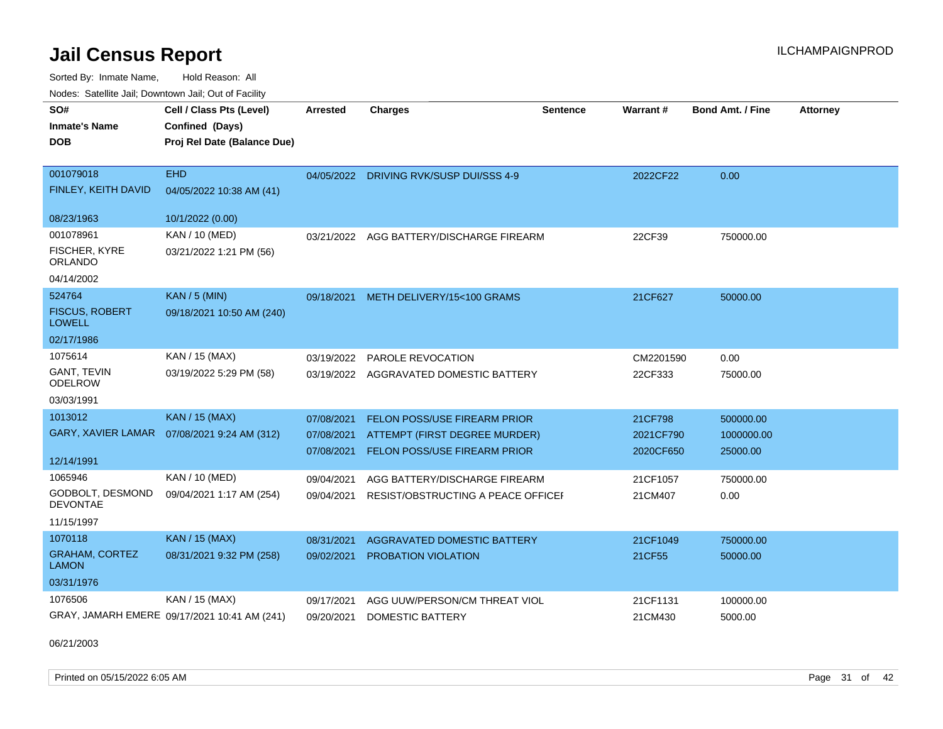Sorted By: Inmate Name, Hold Reason: All

|  |  | Nodes: Satellite Jail; Downtown Jail; Out of Facility |  |  |
|--|--|-------------------------------------------------------|--|--|
|--|--|-------------------------------------------------------|--|--|

| SO#<br><b>Inmate's Name</b><br><b>DOB</b> | Cell / Class Pts (Level)<br>Confined (Days)<br>Proj Rel Date (Balance Due) | Arrested   | <b>Charges</b>                           | <b>Sentence</b> | <b>Warrant#</b> | <b>Bond Amt. / Fine</b> | <b>Attorney</b> |
|-------------------------------------------|----------------------------------------------------------------------------|------------|------------------------------------------|-----------------|-----------------|-------------------------|-----------------|
| 001079018                                 | <b>EHD</b>                                                                 |            | 04/05/2022 DRIVING RVK/SUSP DUI/SSS 4-9  |                 | 2022CF22        | 0.00                    |                 |
| FINLEY, KEITH DAVID                       | 04/05/2022 10:38 AM (41)                                                   |            |                                          |                 |                 |                         |                 |
| 08/23/1963                                | 10/1/2022 (0.00)                                                           |            |                                          |                 |                 |                         |                 |
| 001078961                                 | KAN / 10 (MED)                                                             |            | 03/21/2022 AGG BATTERY/DISCHARGE FIREARM |                 | 22CF39          | 750000.00               |                 |
| FISCHER, KYRE<br><b>ORLANDO</b>           | 03/21/2022 1:21 PM (56)                                                    |            |                                          |                 |                 |                         |                 |
| 04/14/2002                                |                                                                            |            |                                          |                 |                 |                         |                 |
| 524764                                    | <b>KAN / 5 (MIN)</b>                                                       |            | 09/18/2021 METH DELIVERY/15<100 GRAMS    |                 | 21CF627         | 50000.00                |                 |
| <b>FISCUS, ROBERT</b><br><b>LOWELL</b>    | 09/18/2021 10:50 AM (240)                                                  |            |                                          |                 |                 |                         |                 |
| 02/17/1986                                |                                                                            |            |                                          |                 |                 |                         |                 |
| 1075614                                   | KAN / 15 (MAX)                                                             | 03/19/2022 | <b>PAROLE REVOCATION</b>                 |                 | CM2201590       | 0.00                    |                 |
| <b>GANT, TEVIN</b><br><b>ODELROW</b>      | 03/19/2022 5:29 PM (58)                                                    | 03/19/2022 | AGGRAVATED DOMESTIC BATTERY              |                 | 22CF333         | 75000.00                |                 |
| 03/03/1991                                |                                                                            |            |                                          |                 |                 |                         |                 |
| 1013012                                   | <b>KAN / 15 (MAX)</b>                                                      | 07/08/2021 | <b>FELON POSS/USE FIREARM PRIOR</b>      |                 | 21CF798         | 500000.00               |                 |
| <b>GARY, XAVIER LAMAR</b>                 | 07/08/2021 9:24 AM (312)                                                   | 07/08/2021 | ATTEMPT (FIRST DEGREE MURDER)            |                 | 2021CF790       | 1000000.00              |                 |
| 12/14/1991                                |                                                                            | 07/08/2021 | <b>FELON POSS/USE FIREARM PRIOR</b>      |                 | 2020CF650       | 25000.00                |                 |
| 1065946                                   | KAN / 10 (MED)                                                             | 09/04/2021 | AGG BATTERY/DISCHARGE FIREARM            |                 | 21CF1057        | 750000.00               |                 |
| GODBOLT, DESMOND<br><b>DEVONTAE</b>       | 09/04/2021 1:17 AM (254)                                                   | 09/04/2021 | RESIST/OBSTRUCTING A PEACE OFFICEI       |                 | 21CM407         | 0.00                    |                 |
| 11/15/1997                                |                                                                            |            |                                          |                 |                 |                         |                 |
| 1070118                                   | <b>KAN / 15 (MAX)</b>                                                      | 08/31/2021 | AGGRAVATED DOMESTIC BATTERY              |                 | 21CF1049        | 750000.00               |                 |
| <b>GRAHAM, CORTEZ</b><br><b>LAMON</b>     | 08/31/2021 9:32 PM (258)                                                   | 09/02/2021 | PROBATION VIOLATION                      |                 | 21CF55          | 50000.00                |                 |
| 03/31/1976                                |                                                                            |            |                                          |                 |                 |                         |                 |
| 1076506                                   | KAN / 15 (MAX)                                                             | 09/17/2021 | AGG UUW/PERSON/CM THREAT VIOL            |                 | 21CF1131        | 100000.00               |                 |
|                                           | GRAY, JAMARH EMERE 09/17/2021 10:41 AM (241)                               | 09/20/2021 | <b>DOMESTIC BATTERY</b>                  |                 | 21CM430         | 5000.00                 |                 |

06/21/2003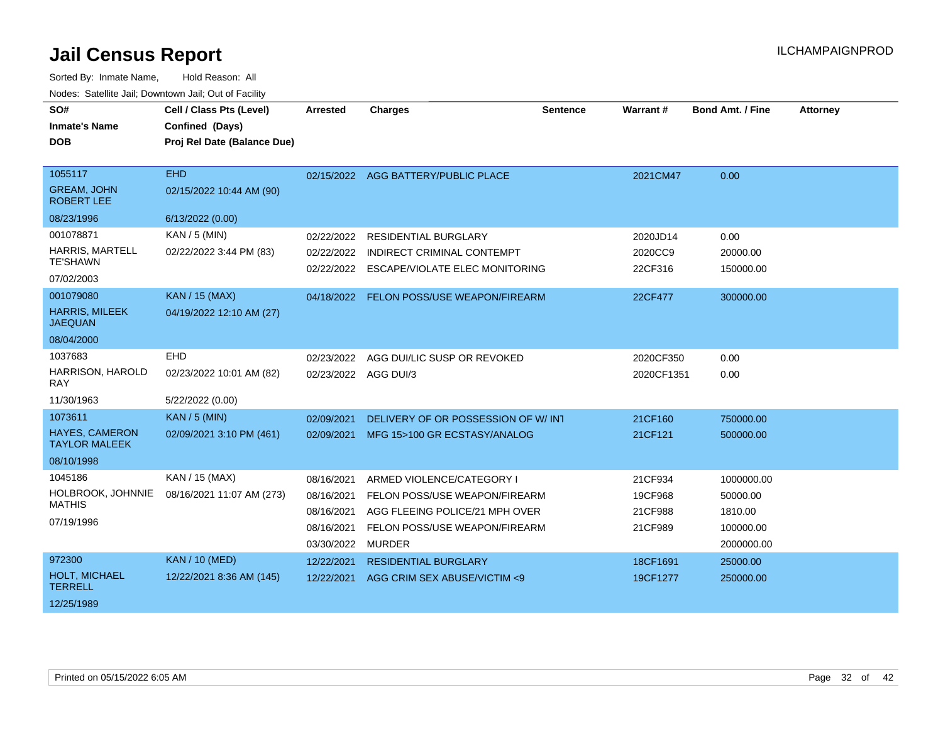| SO#<br><b>Inmate's Name</b><br><b>DOB</b>          | Cell / Class Pts (Level)<br>Confined (Days)<br>Proj Rel Date (Balance Due) | Arrested             | <b>Charges</b>                            | <b>Sentence</b> | <b>Warrant#</b> | <b>Bond Amt. / Fine</b> | <b>Attorney</b> |
|----------------------------------------------------|----------------------------------------------------------------------------|----------------------|-------------------------------------------|-----------------|-----------------|-------------------------|-----------------|
| 1055117<br><b>GREAM, JOHN</b><br><b>ROBERT LEE</b> | <b>EHD</b><br>02/15/2022 10:44 AM (90)                                     |                      | 02/15/2022 AGG BATTERY/PUBLIC PLACE       |                 | 2021CM47        | 0.00                    |                 |
| 08/23/1996                                         | 6/13/2022 (0.00)                                                           |                      |                                           |                 |                 |                         |                 |
| 001078871                                          | $KAN / 5$ (MIN)                                                            | 02/22/2022           | <b>RESIDENTIAL BURGLARY</b>               |                 | 2020JD14        | 0.00                    |                 |
| <b>HARRIS, MARTELL</b><br><b>TE'SHAWN</b>          | 02/22/2022 3:44 PM (83)                                                    | 02/22/2022           | INDIRECT CRIMINAL CONTEMPT                |                 | 2020CC9         | 20000.00                |                 |
|                                                    |                                                                            |                      | 02/22/2022 ESCAPE/VIOLATE ELEC MONITORING |                 | 22CF316         | 150000.00               |                 |
| 07/02/2003                                         |                                                                            |                      |                                           |                 |                 |                         |                 |
| 001079080                                          | <b>KAN / 15 (MAX)</b>                                                      |                      | 04/18/2022 FELON POSS/USE WEAPON/FIREARM  |                 | 22CF477         | 300000.00               |                 |
| <b>HARRIS, MILEEK</b><br><b>JAEQUAN</b>            | 04/19/2022 12:10 AM (27)                                                   |                      |                                           |                 |                 |                         |                 |
| 08/04/2000                                         |                                                                            |                      |                                           |                 |                 |                         |                 |
| 1037683                                            | EHD                                                                        | 02/23/2022           | AGG DUI/LIC SUSP OR REVOKED               |                 | 2020CF350       | 0.00                    |                 |
| HARRISON, HAROLD<br>RAY                            | 02/23/2022 10:01 AM (82)                                                   | 02/23/2022 AGG DUI/3 |                                           |                 | 2020CF1351      | 0.00                    |                 |
| 11/30/1963                                         | 5/22/2022 (0.00)                                                           |                      |                                           |                 |                 |                         |                 |
| 1073611                                            | <b>KAN / 5 (MIN)</b>                                                       | 02/09/2021           | DELIVERY OF OR POSSESSION OF W/INT        |                 | 21CF160         | 750000.00               |                 |
| <b>HAYES, CAMERON</b><br><b>TAYLOR MALEEK</b>      | 02/09/2021 3:10 PM (461)                                                   | 02/09/2021           | MFG 15>100 GR ECSTASY/ANALOG              |                 | 21CF121         | 500000.00               |                 |
| 08/10/1998                                         |                                                                            |                      |                                           |                 |                 |                         |                 |
| 1045186                                            | KAN / 15 (MAX)                                                             | 08/16/2021           | ARMED VIOLENCE/CATEGORY I                 |                 | 21CF934         | 1000000.00              |                 |
| HOLBROOK, JOHNNIE                                  | 08/16/2021 11:07 AM (273)                                                  | 08/16/2021           | FELON POSS/USE WEAPON/FIREARM             |                 | 19CF968         | 50000.00                |                 |
| <b>MATHIS</b>                                      |                                                                            | 08/16/2021           | AGG FLEEING POLICE/21 MPH OVER            |                 | 21CF988         | 1810.00                 |                 |
| 07/19/1996                                         |                                                                            | 08/16/2021           | FELON POSS/USE WEAPON/FIREARM             |                 | 21CF989         | 100000.00               |                 |
|                                                    |                                                                            | 03/30/2022           | MURDER                                    |                 |                 | 2000000.00              |                 |
| 972300                                             | <b>KAN / 10 (MED)</b>                                                      | 12/22/2021           | <b>RESIDENTIAL BURGLARY</b>               |                 | 18CF1691        | 25000.00                |                 |
| <b>HOLT, MICHAEL</b><br><b>TERRELL</b>             | 12/22/2021 8:36 AM (145)                                                   | 12/22/2021           | AGG CRIM SEX ABUSE/VICTIM <9              |                 | 19CF1277        | 250000.00               |                 |
| 12/25/1989                                         |                                                                            |                      |                                           |                 |                 |                         |                 |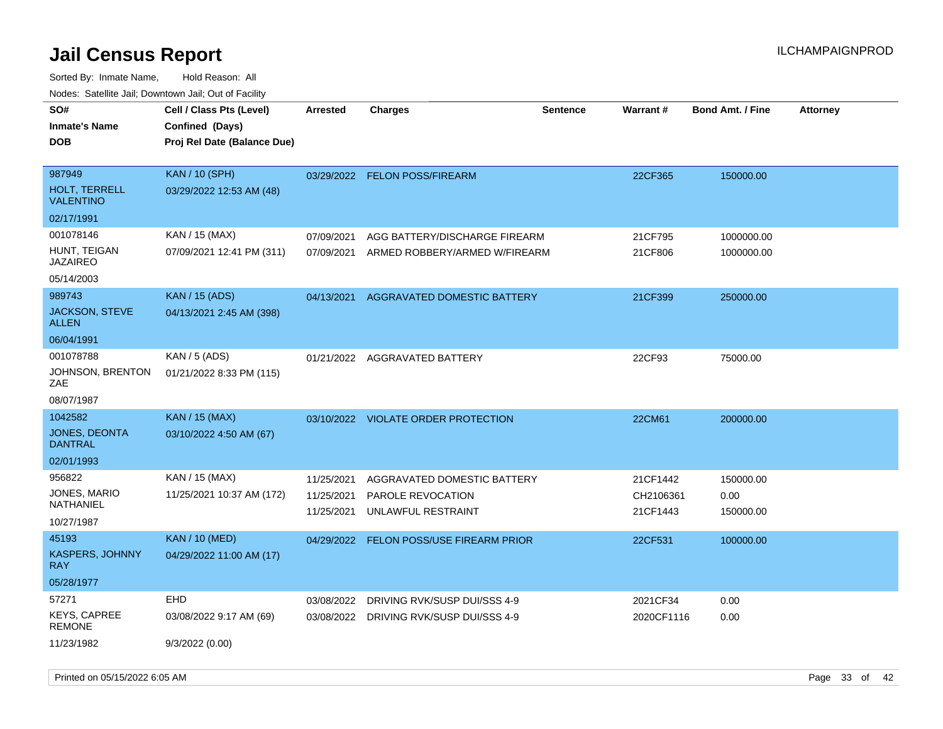| rouco. Calcinic Jan, Downtown Jan, Out of Facility |                             |                 |                                     |                 |            |                         |                 |
|----------------------------------------------------|-----------------------------|-----------------|-------------------------------------|-----------------|------------|-------------------------|-----------------|
| SO#                                                | Cell / Class Pts (Level)    | <b>Arrested</b> | <b>Charges</b>                      | <b>Sentence</b> | Warrant#   | <b>Bond Amt. / Fine</b> | <b>Attorney</b> |
| <b>Inmate's Name</b>                               | Confined (Days)             |                 |                                     |                 |            |                         |                 |
| DOB                                                | Proj Rel Date (Balance Due) |                 |                                     |                 |            |                         |                 |
|                                                    |                             |                 |                                     |                 |            |                         |                 |
| 987949                                             | <b>KAN / 10 (SPH)</b>       |                 | 03/29/2022 FELON POSS/FIREARM       |                 | 22CF365    | 150000.00               |                 |
| <b>HOLT, TERRELL</b><br><b>VALENTINO</b>           | 03/29/2022 12:53 AM (48)    |                 |                                     |                 |            |                         |                 |
| 02/17/1991                                         |                             |                 |                                     |                 |            |                         |                 |
| 001078146                                          | KAN / 15 (MAX)              | 07/09/2021      | AGG BATTERY/DISCHARGE FIREARM       |                 | 21CF795    | 1000000.00              |                 |
| HUNT, TEIGAN<br>JAZAIREO                           | 07/09/2021 12:41 PM (311)   | 07/09/2021      | ARMED ROBBERY/ARMED W/FIREARM       |                 | 21CF806    | 1000000.00              |                 |
| 05/14/2003                                         |                             |                 |                                     |                 |            |                         |                 |
| 989743                                             | <b>KAN / 15 (ADS)</b>       | 04/13/2021      | AGGRAVATED DOMESTIC BATTERY         |                 | 21CF399    | 250000.00               |                 |
| JACKSON, STEVE<br>ALLEN                            | 04/13/2021 2:45 AM (398)    |                 |                                     |                 |            |                         |                 |
| 06/04/1991                                         |                             |                 |                                     |                 |            |                         |                 |
| 001078788                                          | KAN / 5 (ADS)               |                 | 01/21/2022 AGGRAVATED BATTERY       |                 | 22CF93     | 75000.00                |                 |
| JOHNSON, BRENTON<br>ZAE                            | 01/21/2022 8:33 PM (115)    |                 |                                     |                 |            |                         |                 |
| 08/07/1987                                         |                             |                 |                                     |                 |            |                         |                 |
| 1042582                                            | <b>KAN</b> / 15 (MAX)       |                 | 03/10/2022 VIOLATE ORDER PROTECTION |                 | 22CM61     | 200000.00               |                 |
| JONES, DEONTA<br>DANTRAL                           | 03/10/2022 4:50 AM (67)     |                 |                                     |                 |            |                         |                 |
| 02/01/1993                                         |                             |                 |                                     |                 |            |                         |                 |
| 956822                                             | KAN / 15 (MAX)              | 11/25/2021      | AGGRAVATED DOMESTIC BATTERY         |                 | 21CF1442   | 150000.00               |                 |
| JONES, MARIO                                       | 11/25/2021 10:37 AM (172)   | 11/25/2021      | PAROLE REVOCATION                   |                 | CH2106361  | 0.00                    |                 |
| NATHANIEL                                          |                             | 11/25/2021      | UNLAWFUL RESTRAINT                  |                 | 21CF1443   | 150000.00               |                 |
| 10/27/1987                                         |                             |                 |                                     |                 |            |                         |                 |
| 45193                                              | <b>KAN / 10 (MED)</b>       | 04/29/2022      | <b>FELON POSS/USE FIREARM PRIOR</b> |                 | 22CF531    | 100000.00               |                 |
| KASPERS, JOHNNY<br>RAY.                            | 04/29/2022 11:00 AM (17)    |                 |                                     |                 |            |                         |                 |
| 05/28/1977                                         |                             |                 |                                     |                 |            |                         |                 |
| 57271                                              | EHD                         | 03/08/2022      | DRIVING RVK/SUSP DUI/SSS 4-9        |                 | 2021CF34   | 0.00                    |                 |
| KEYS, CAPREE<br>REMONE                             | 03/08/2022 9:17 AM (69)     | 03/08/2022      | DRIVING RVK/SUSP DUI/SSS 4-9        |                 | 2020CF1116 | 0.00                    |                 |
| 11/23/1982                                         | 9/3/2022(0.00)              |                 |                                     |                 |            |                         |                 |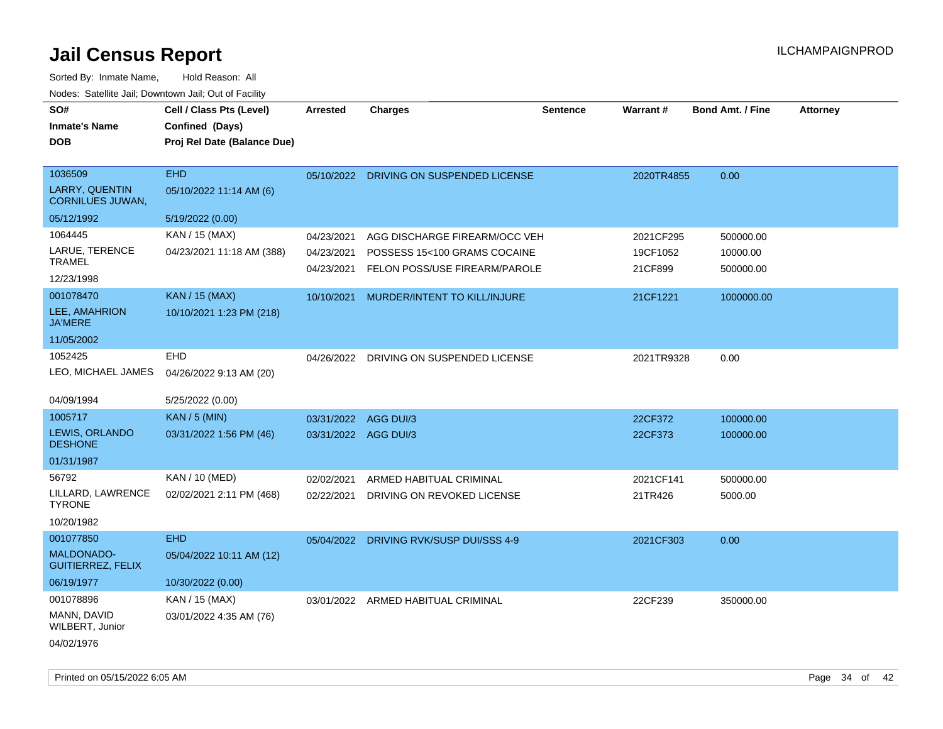| SO#<br><b>Inmate's Name</b><br><b>DOB</b>                   | Cell / Class Pts (Level)<br>Confined (Days)<br>Proj Rel Date (Balance Due) | <b>Arrested</b>                        | <b>Charges</b>                                                                                 | <b>Sentence</b> | <b>Warrant#</b>                  | <b>Bond Amt. / Fine</b>            | <b>Attorney</b> |
|-------------------------------------------------------------|----------------------------------------------------------------------------|----------------------------------------|------------------------------------------------------------------------------------------------|-----------------|----------------------------------|------------------------------------|-----------------|
| 1036509<br><b>LARRY, QUENTIN</b><br><b>CORNILUES JUWAN,</b> | <b>EHD</b><br>05/10/2022 11:14 AM (6)                                      | 05/10/2022                             | DRIVING ON SUSPENDED LICENSE                                                                   |                 | 2020TR4855                       | 0.00                               |                 |
| 05/12/1992                                                  | 5/19/2022 (0.00)                                                           |                                        |                                                                                                |                 |                                  |                                    |                 |
| 1064445<br>LARUE, TERENCE<br><b>TRAMEL</b><br>12/23/1998    | KAN / 15 (MAX)<br>04/23/2021 11:18 AM (388)                                | 04/23/2021<br>04/23/2021<br>04/23/2021 | AGG DISCHARGE FIREARM/OCC VEH<br>POSSESS 15<100 GRAMS COCAINE<br>FELON POSS/USE FIREARM/PAROLE |                 | 2021CF295<br>19CF1052<br>21CF899 | 500000.00<br>10000.00<br>500000.00 |                 |
| 001078470<br>LEE, AMAHRION<br><b>JA'MERE</b>                | <b>KAN / 15 (MAX)</b><br>10/10/2021 1:23 PM (218)                          | 10/10/2021                             | MURDER/INTENT TO KILL/INJURE                                                                   |                 | 21CF1221                         | 1000000.00                         |                 |
| 11/05/2002<br>1052425<br>LEO, MICHAEL JAMES<br>04/09/1994   | <b>EHD</b><br>04/26/2022 9:13 AM (20)<br>5/25/2022 (0.00)                  |                                        | 04/26/2022 DRIVING ON SUSPENDED LICENSE                                                        |                 | 2021TR9328                       | 0.00                               |                 |
| 1005717                                                     | <b>KAN / 5 (MIN)</b>                                                       | 03/31/2022 AGG DUI/3                   |                                                                                                |                 | 22CF372                          | 100000.00                          |                 |
| LEWIS, ORLANDO<br><b>DESHONE</b>                            | 03/31/2022 1:56 PM (46)                                                    | 03/31/2022 AGG DUI/3                   |                                                                                                |                 | 22CF373                          | 100000.00                          |                 |
| 01/31/1987                                                  |                                                                            |                                        |                                                                                                |                 |                                  |                                    |                 |
| 56792<br>LILLARD, LAWRENCE<br><b>TYRONE</b><br>10/20/1982   | KAN / 10 (MED)<br>02/02/2021 2:11 PM (468)                                 | 02/02/2021<br>02/22/2021               | ARMED HABITUAL CRIMINAL<br>DRIVING ON REVOKED LICENSE                                          |                 | 2021CF141<br>21TR426             | 500000.00<br>5000.00               |                 |
| 001077850<br><b>MALDONADO-</b><br><b>GUITIERREZ, FELIX</b>  | <b>EHD</b><br>05/04/2022 10:11 AM (12)                                     |                                        | 05/04/2022 DRIVING RVK/SUSP DUI/SSS 4-9                                                        |                 | 2021CF303                        | 0.00                               |                 |
| 06/19/1977                                                  | 10/30/2022 (0.00)                                                          |                                        |                                                                                                |                 |                                  |                                    |                 |
| 001078896<br>MANN, DAVID<br>WILBERT, Junior<br>04/02/1976   | KAN / 15 (MAX)<br>03/01/2022 4:35 AM (76)                                  |                                        | 03/01/2022 ARMED HABITUAL CRIMINAL                                                             |                 | 22CF239                          | 350000.00                          |                 |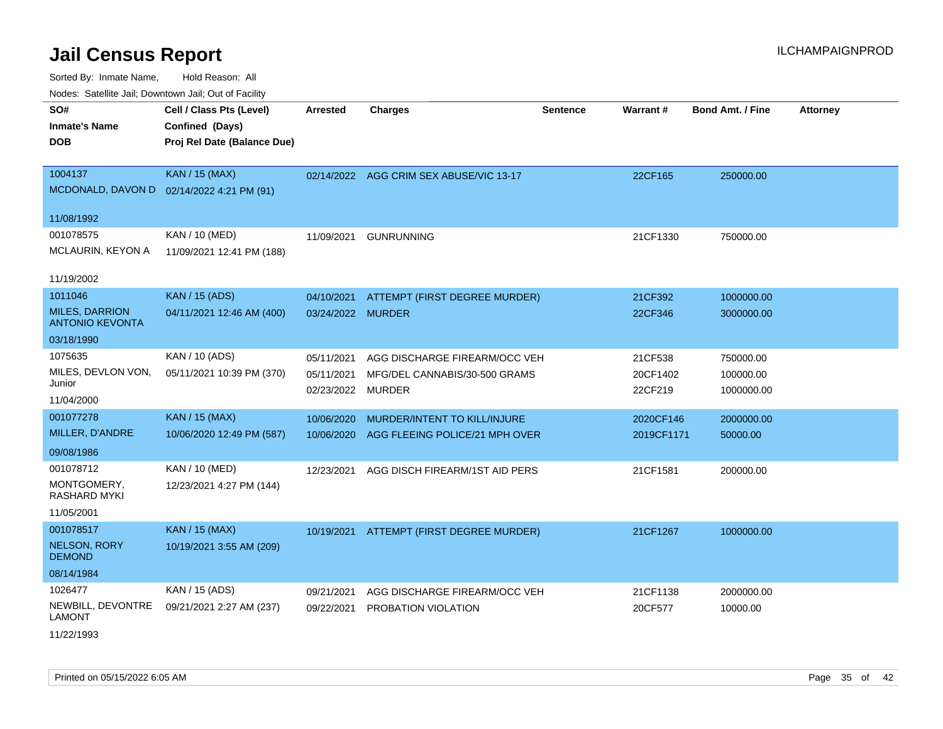Sorted By: Inmate Name, Hold Reason: All Nodes: Satellite Jail; Downtown Jail; Out of Facility

| routs. Saltille Jali, Downlown Jali, Out of Facility |                                           |                   |                                          |                 |            |                         |                 |  |
|------------------------------------------------------|-------------------------------------------|-------------------|------------------------------------------|-----------------|------------|-------------------------|-----------------|--|
| SO#                                                  | Cell / Class Pts (Level)                  | <b>Arrested</b>   | <b>Charges</b>                           | <b>Sentence</b> | Warrant#   | <b>Bond Amt. / Fine</b> | <b>Attorney</b> |  |
| <b>Inmate's Name</b>                                 | Confined (Days)                           |                   |                                          |                 |            |                         |                 |  |
| <b>DOB</b>                                           | Proj Rel Date (Balance Due)               |                   |                                          |                 |            |                         |                 |  |
|                                                      |                                           |                   |                                          |                 |            |                         |                 |  |
| 1004137                                              | <b>KAN / 15 (MAX)</b>                     |                   | 02/14/2022 AGG CRIM SEX ABUSE/VIC 13-17  |                 | 22CF165    | 250000.00               |                 |  |
|                                                      | MCDONALD, DAVON D 02/14/2022 4:21 PM (91) |                   |                                          |                 |            |                         |                 |  |
| 11/08/1992                                           |                                           |                   |                                          |                 |            |                         |                 |  |
| 001078575                                            | KAN / 10 (MED)                            | 11/09/2021        | <b>GUNRUNNING</b>                        |                 | 21CF1330   | 750000.00               |                 |  |
| <b>MCLAURIN, KEYON A</b>                             | 11/09/2021 12:41 PM (188)                 |                   |                                          |                 |            |                         |                 |  |
|                                                      |                                           |                   |                                          |                 |            |                         |                 |  |
| 11/19/2002                                           |                                           |                   |                                          |                 |            |                         |                 |  |
| 1011046                                              | <b>KAN / 15 (ADS)</b>                     | 04/10/2021        | ATTEMPT (FIRST DEGREE MURDER)            |                 | 21CF392    | 1000000.00              |                 |  |
| <b>MILES, DARRION</b><br><b>ANTONIO KEVONTA</b>      | 04/11/2021 12:46 AM (400)                 | 03/24/2022 MURDER |                                          |                 | 22CF346    | 3000000.00              |                 |  |
| 03/18/1990                                           |                                           |                   |                                          |                 |            |                         |                 |  |
| 1075635                                              | KAN / 10 (ADS)                            | 05/11/2021        | AGG DISCHARGE FIREARM/OCC VEH            |                 | 21CF538    | 750000.00               |                 |  |
| MILES, DEVLON VON,                                   | 05/11/2021 10:39 PM (370)                 | 05/11/2021        | MFG/DEL CANNABIS/30-500 GRAMS            |                 | 20CF1402   | 100000.00               |                 |  |
| Junior                                               |                                           | 02/23/2022        | MURDER                                   |                 | 22CF219    | 1000000.00              |                 |  |
| 11/04/2000                                           |                                           |                   |                                          |                 |            |                         |                 |  |
| 001077278                                            | <b>KAN / 15 (MAX)</b>                     | 10/06/2020        | MURDER/INTENT TO KILL/INJURE             |                 | 2020CF146  | 2000000.00              |                 |  |
| MILLER, D'ANDRE                                      | 10/06/2020 12:49 PM (587)                 | 10/06/2020        | AGG FLEEING POLICE/21 MPH OVER           |                 | 2019CF1171 | 50000.00                |                 |  |
| 09/08/1986                                           |                                           |                   |                                          |                 |            |                         |                 |  |
| 001078712                                            | KAN / 10 (MED)                            | 12/23/2021        | AGG DISCH FIREARM/1ST AID PERS           |                 | 21CF1581   | 200000.00               |                 |  |
| MONTGOMERY,<br>RASHARD MYKI                          | 12/23/2021 4:27 PM (144)                  |                   |                                          |                 |            |                         |                 |  |
| 11/05/2001                                           |                                           |                   |                                          |                 |            |                         |                 |  |
| 001078517                                            | <b>KAN / 15 (MAX)</b>                     |                   | 10/19/2021 ATTEMPT (FIRST DEGREE MURDER) |                 | 21CF1267   | 1000000.00              |                 |  |
| <b>NELSON, RORY</b><br><b>DEMOND</b>                 | 10/19/2021 3:55 AM (209)                  |                   |                                          |                 |            |                         |                 |  |
| 08/14/1984                                           |                                           |                   |                                          |                 |            |                         |                 |  |
| 1026477                                              | KAN / 15 (ADS)                            | 09/21/2021        | AGG DISCHARGE FIREARM/OCC VEH            |                 | 21CF1138   | 2000000.00              |                 |  |
| NEWBILL, DEVONTRE<br><b>LAMONT</b>                   | 09/21/2021 2:27 AM (237)                  | 09/22/2021        | PROBATION VIOLATION                      |                 | 20CF577    | 10000.00                |                 |  |
| 11,0011000                                           |                                           |                   |                                          |                 |            |                         |                 |  |

11/22/1993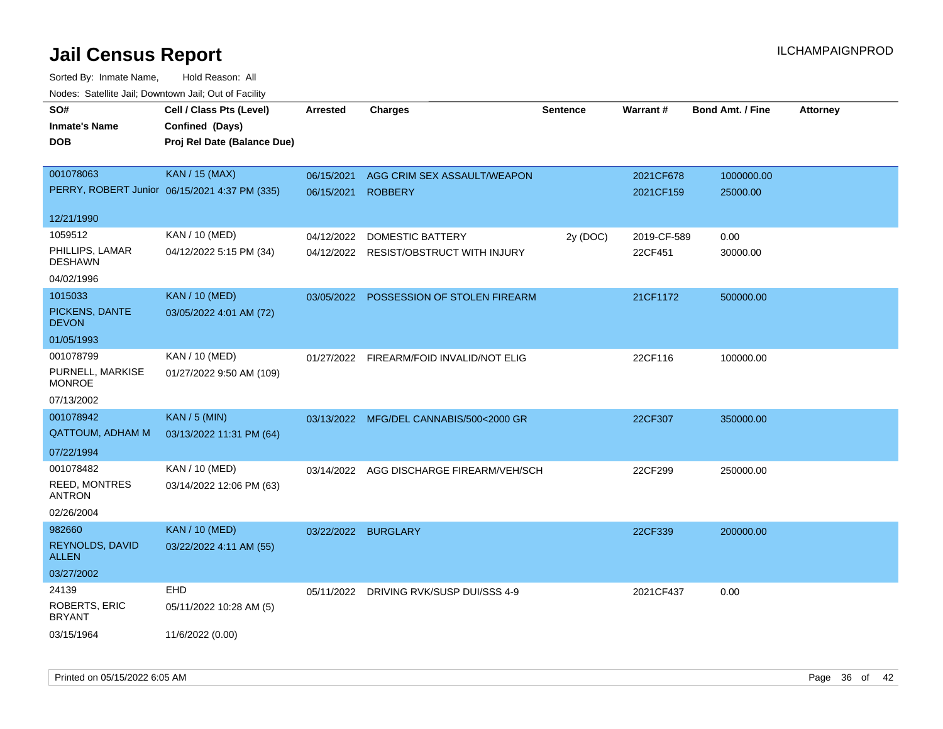| Todoo. Catolino can, Bomnomi can, Cat of Faoint<br>SO# | Cell / Class Pts (Level)                      | <b>Arrested</b> | <b>Charges</b>                           | <b>Sentence</b> | Warrant#    | <b>Bond Amt. / Fine</b> | <b>Attorney</b> |
|--------------------------------------------------------|-----------------------------------------------|-----------------|------------------------------------------|-----------------|-------------|-------------------------|-----------------|
| <b>Inmate's Name</b>                                   | Confined (Days)                               |                 |                                          |                 |             |                         |                 |
| <b>DOB</b>                                             | Proj Rel Date (Balance Due)                   |                 |                                          |                 |             |                         |                 |
|                                                        |                                               |                 |                                          |                 |             |                         |                 |
| 001078063                                              | <b>KAN / 15 (MAX)</b>                         | 06/15/2021      | AGG CRIM SEX ASSAULT/WEAPON              |                 | 2021CF678   | 1000000.00              |                 |
|                                                        | PERRY, ROBERT Junior 06/15/2021 4:37 PM (335) | 06/15/2021      | <b>ROBBERY</b>                           |                 | 2021CF159   | 25000.00                |                 |
| 12/21/1990                                             |                                               |                 |                                          |                 |             |                         |                 |
| 1059512                                                | KAN / 10 (MED)                                | 04/12/2022      | <b>DOMESTIC BATTERY</b>                  | 2y (DOC)        | 2019-CF-589 | 0.00                    |                 |
| PHILLIPS, LAMAR<br><b>DESHAWN</b>                      | 04/12/2022 5:15 PM (34)                       |                 | 04/12/2022 RESIST/OBSTRUCT WITH INJURY   |                 | 22CF451     | 30000.00                |                 |
| 04/02/1996                                             |                                               |                 |                                          |                 |             |                         |                 |
| 1015033                                                | <b>KAN / 10 (MED)</b>                         |                 | 03/05/2022 POSSESSION OF STOLEN FIREARM  |                 | 21CF1172    | 500000.00               |                 |
| PICKENS, DANTE<br><b>DEVON</b>                         | 03/05/2022 4:01 AM (72)                       |                 |                                          |                 |             |                         |                 |
| 01/05/1993                                             |                                               |                 |                                          |                 |             |                         |                 |
| 001078799                                              | KAN / 10 (MED)                                |                 | 01/27/2022 FIREARM/FOID INVALID/NOT ELIG |                 | 22CF116     | 100000.00               |                 |
| PURNELL, MARKISE<br><b>MONROE</b>                      | 01/27/2022 9:50 AM (109)                      |                 |                                          |                 |             |                         |                 |
| 07/13/2002                                             |                                               |                 |                                          |                 |             |                         |                 |
| 001078942                                              | <b>KAN / 5 (MIN)</b>                          |                 | 03/13/2022 MFG/DEL CANNABIS/500<2000 GR  |                 | 22CF307     | 350000.00               |                 |
| <b>QATTOUM, ADHAM M</b>                                | 03/13/2022 11:31 PM (64)                      |                 |                                          |                 |             |                         |                 |
| 07/22/1994                                             |                                               |                 |                                          |                 |             |                         |                 |
| 001078482                                              | KAN / 10 (MED)                                | 03/14/2022      | AGG DISCHARGE FIREARM/VEH/SCH            |                 | 22CF299     | 250000.00               |                 |
| <b>REED, MONTRES</b><br><b>ANTRON</b>                  | 03/14/2022 12:06 PM (63)                      |                 |                                          |                 |             |                         |                 |
| 02/26/2004                                             |                                               |                 |                                          |                 |             |                         |                 |
| 982660                                                 | <b>KAN / 10 (MED)</b>                         |                 | 03/22/2022 BURGLARY                      |                 | 22CF339     | 200000.00               |                 |
| REYNOLDS, DAVID<br><b>ALLEN</b>                        | 03/22/2022 4:11 AM (55)                       |                 |                                          |                 |             |                         |                 |
| 03/27/2002                                             |                                               |                 |                                          |                 |             |                         |                 |
| 24139                                                  | EHD                                           |                 | 05/11/2022 DRIVING RVK/SUSP DUI/SSS 4-9  |                 | 2021CF437   | 0.00                    |                 |
| <b>ROBERTS, ERIC</b><br><b>BRYANT</b>                  | 05/11/2022 10:28 AM (5)                       |                 |                                          |                 |             |                         |                 |
| 03/15/1964                                             | 11/6/2022 (0.00)                              |                 |                                          |                 |             |                         |                 |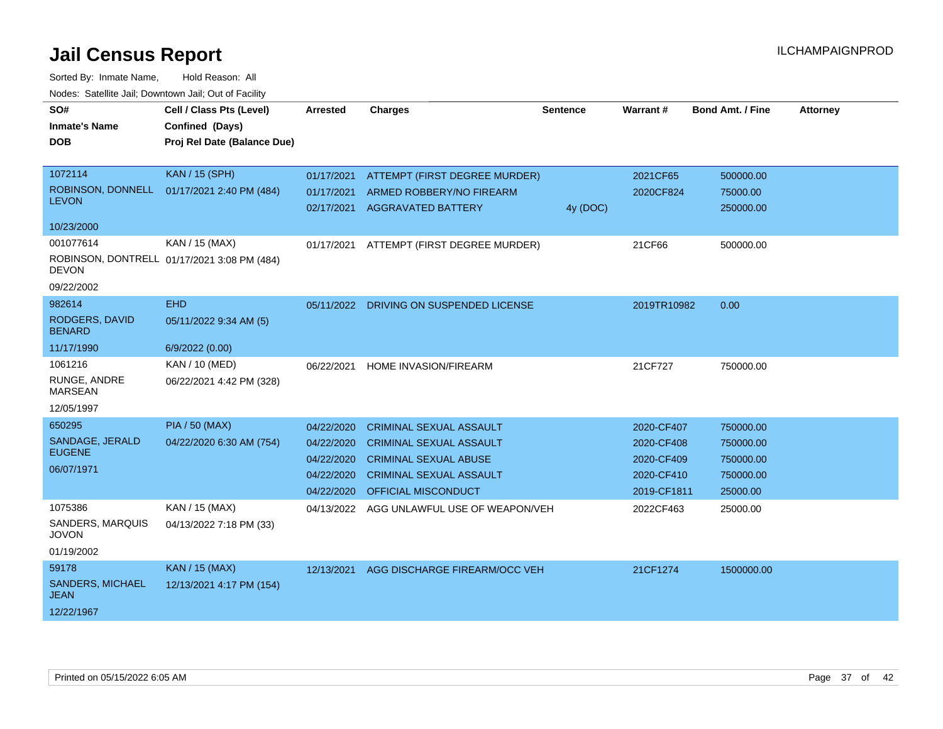| SO#<br><b>Inmate's Name</b><br>DOB                        | Cell / Class Pts (Level)<br>Confined (Days)<br>Proj Rel Date (Balance Due) | <b>Arrested</b>                                                    | <b>Charges</b>                                                                                                                                                   | <b>Sentence</b> | Warrant#                                                            | <b>Bond Amt. / Fine</b>                                      | <b>Attorney</b> |
|-----------------------------------------------------------|----------------------------------------------------------------------------|--------------------------------------------------------------------|------------------------------------------------------------------------------------------------------------------------------------------------------------------|-----------------|---------------------------------------------------------------------|--------------------------------------------------------------|-----------------|
| 1072114<br><b>LEVON</b><br>10/23/2000                     | <b>KAN / 15 (SPH)</b><br>ROBINSON, DONNELL 01/17/2021 2:40 PM (484)        | 01/17/2021<br>01/17/2021<br>02/17/2021                             | ATTEMPT (FIRST DEGREE MURDER)<br>ARMED ROBBERY/NO FIREARM<br>AGGRAVATED BATTERY                                                                                  | 4y (DOC)        | 2021CF65<br>2020CF824                                               | 500000.00<br>75000.00<br>250000.00                           |                 |
| 001077614<br><b>DEVON</b><br>09/22/2002                   | KAN / 15 (MAX)<br>ROBINSON, DONTRELL 01/17/2021 3:08 PM (484)              | 01/17/2021                                                         | ATTEMPT (FIRST DEGREE MURDER)                                                                                                                                    |                 | 21CF66                                                              | 500000.00                                                    |                 |
| 982614<br>RODGERS, DAVID<br><b>BENARD</b><br>11/17/1990   | <b>EHD</b><br>05/11/2022 9:34 AM (5)<br>6/9/2022 (0.00)                    | 05/11/2022                                                         | DRIVING ON SUSPENDED LICENSE                                                                                                                                     |                 | 2019TR10982                                                         | 0.00                                                         |                 |
| 1061216<br>RUNGE, ANDRE<br><b>MARSEAN</b><br>12/05/1997   | KAN / 10 (MED)<br>06/22/2021 4:42 PM (328)                                 | 06/22/2021                                                         | HOME INVASION/FIREARM                                                                                                                                            |                 | 21CF727                                                             | 750000.00                                                    |                 |
| 650295<br>SANDAGE, JERALD<br><b>EUGENE</b><br>06/07/1971  | <b>PIA / 50 (MAX)</b><br>04/22/2020 6:30 AM (754)                          | 04/22/2020<br>04/22/2020<br>04/22/2020<br>04/22/2020<br>04/22/2020 | <b>CRIMINAL SEXUAL ASSAULT</b><br><b>CRIMINAL SEXUAL ASSAULT</b><br><b>CRIMINAL SEXUAL ABUSE</b><br><b>CRIMINAL SEXUAL ASSAULT</b><br><b>OFFICIAL MISCONDUCT</b> |                 | 2020-CF407<br>2020-CF408<br>2020-CF409<br>2020-CF410<br>2019-CF1811 | 750000.00<br>750000.00<br>750000.00<br>750000.00<br>25000.00 |                 |
| 1075386<br>SANDERS, MARQUIS<br><b>JOVON</b><br>01/19/2002 | KAN / 15 (MAX)<br>04/13/2022 7:18 PM (33)                                  | 04/13/2022                                                         | AGG UNLAWFUL USE OF WEAPON/VEH                                                                                                                                   |                 | 2022CF463                                                           | 25000.00                                                     |                 |
| 59178<br>SANDERS, MICHAEL<br>JEAN<br>12/22/1967           | <b>KAN / 15 (MAX)</b><br>12/13/2021 4:17 PM (154)                          | 12/13/2021                                                         | AGG DISCHARGE FIREARM/OCC VEH                                                                                                                                    |                 | 21CF1274                                                            | 1500000.00                                                   |                 |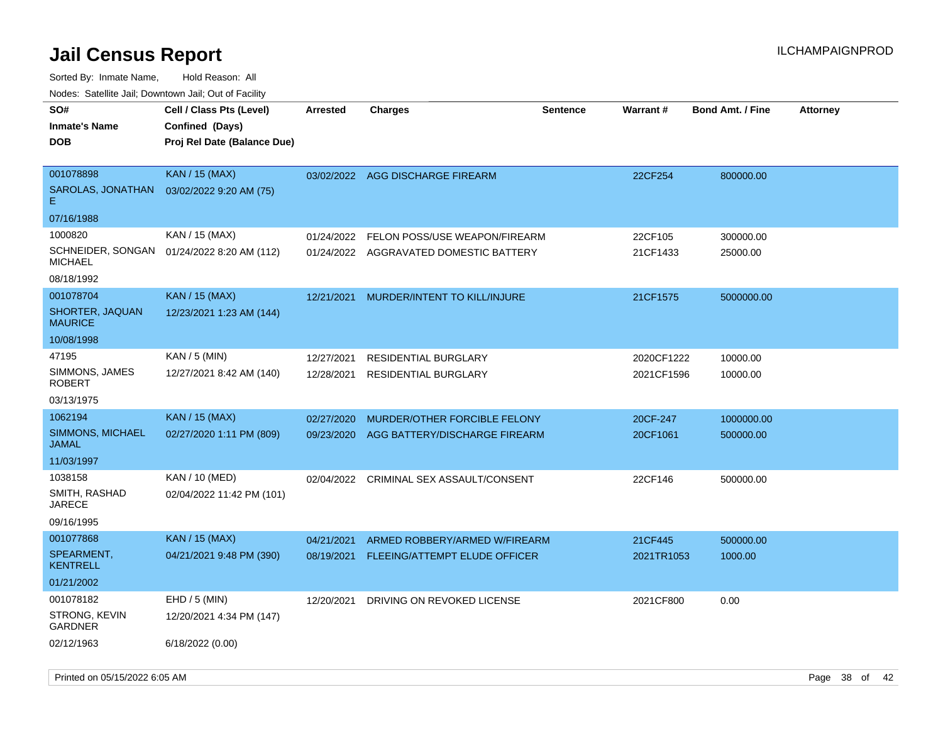| roaco. Catolino dall, Downtown dall, Out of Fability         |                                                                            |                          |                                                                         |                 |                          |                         |                 |
|--------------------------------------------------------------|----------------------------------------------------------------------------|--------------------------|-------------------------------------------------------------------------|-----------------|--------------------------|-------------------------|-----------------|
| SO#<br><b>Inmate's Name</b><br><b>DOB</b>                    | Cell / Class Pts (Level)<br>Confined (Days)<br>Proj Rel Date (Balance Due) | <b>Arrested</b>          | Charges                                                                 | <b>Sentence</b> | Warrant#                 | <b>Bond Amt. / Fine</b> | <b>Attorney</b> |
| 001078898<br>SAROLAS, JONATHAN<br>Е.<br>07/16/1988           | <b>KAN / 15 (MAX)</b><br>03/02/2022 9:20 AM (75)                           |                          | 03/02/2022 AGG DISCHARGE FIREARM                                        |                 | 22CF254                  | 800000.00               |                 |
| 1000820<br>SCHNEIDER, SONGAN<br>MICHAEL<br>08/18/1992        | KAN / 15 (MAX)<br>01/24/2022 8:20 AM (112)                                 | 01/24/2022               | FELON POSS/USE WEAPON/FIREARM<br>01/24/2022 AGGRAVATED DOMESTIC BATTERY |                 | 22CF105<br>21CF1433      | 300000.00<br>25000.00   |                 |
| 001078704<br>SHORTER, JAQUAN<br><b>MAURICE</b><br>10/08/1998 | <b>KAN / 15 (MAX)</b><br>12/23/2021 1:23 AM (144)                          | 12/21/2021               | MURDER/INTENT TO KILL/INJURE                                            |                 | 21CF1575                 | 5000000.00              |                 |
| 47195<br>SIMMONS, JAMES<br>ROBERT<br>03/13/1975              | KAN / 5 (MIN)<br>12/27/2021 8:42 AM (140)                                  | 12/27/2021<br>12/28/2021 | <b>RESIDENTIAL BURGLARY</b><br>RESIDENTIAL BURGLARY                     |                 | 2020CF1222<br>2021CF1596 | 10000.00<br>10000.00    |                 |
| 1062194<br>SIMMONS, MICHAEL<br>JAMAL<br>11/03/1997           | <b>KAN / 15 (MAX)</b><br>02/27/2020 1:11 PM (809)                          | 02/27/2020<br>09/23/2020 | MURDER/OTHER FORCIBLE FELONY<br>AGG BATTERY/DISCHARGE FIREARM           |                 | 20CF-247<br>20CF1061     | 1000000.00<br>500000.00 |                 |
| 1038158<br>SMITH, RASHAD<br>JARECE<br>09/16/1995             | KAN / 10 (MED)<br>02/04/2022 11:42 PM (101)                                | 02/04/2022               | CRIMINAL SEX ASSAULT/CONSENT                                            |                 | 22CF146                  | 500000.00               |                 |
| 001077868<br>SPEARMENT,<br><b>KENTRELL</b><br>01/21/2002     | <b>KAN / 15 (MAX)</b><br>04/21/2021 9:48 PM (390)                          | 04/21/2021<br>08/19/2021 | ARMED ROBBERY/ARMED W/FIREARM<br>FLEEING/ATTEMPT ELUDE OFFICER          |                 | 21CF445<br>2021TR1053    | 500000.00<br>1000.00    |                 |
| 001078182<br>STRONG, KEVIN<br>GARDNER<br>02/12/1963          | $EHD / 5$ (MIN)<br>12/20/2021 4:34 PM (147)<br>6/18/2022 (0.00)            | 12/20/2021               | DRIVING ON REVOKED LICENSE                                              |                 | 2021CF800                | 0.00                    |                 |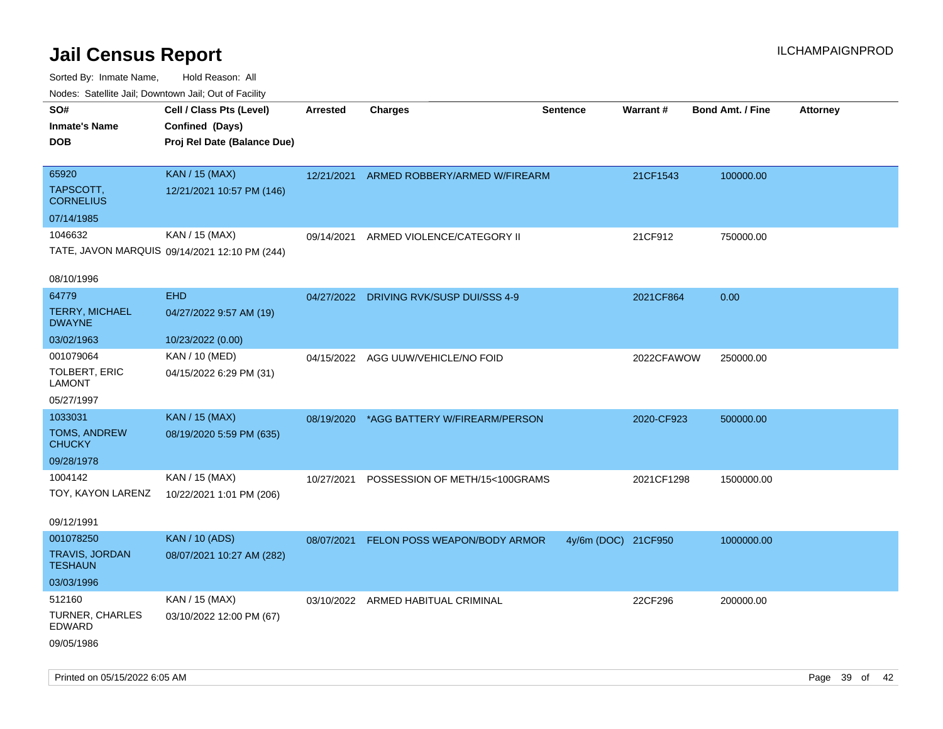| ivous. Saleling Jali, Downtown Jali, Out of Facility |                                               |                 |                                          |                     |                 |                         |                 |
|------------------------------------------------------|-----------------------------------------------|-----------------|------------------------------------------|---------------------|-----------------|-------------------------|-----------------|
| SO#                                                  | Cell / Class Pts (Level)                      | <b>Arrested</b> | <b>Charges</b>                           | <b>Sentence</b>     | <b>Warrant#</b> | <b>Bond Amt. / Fine</b> | <b>Attorney</b> |
| <b>Inmate's Name</b>                                 | Confined (Days)                               |                 |                                          |                     |                 |                         |                 |
| <b>DOB</b>                                           | Proj Rel Date (Balance Due)                   |                 |                                          |                     |                 |                         |                 |
|                                                      |                                               |                 |                                          |                     |                 |                         |                 |
| 65920                                                | <b>KAN / 15 (MAX)</b>                         |                 | 12/21/2021 ARMED ROBBERY/ARMED W/FIREARM |                     | 21CF1543        | 100000.00               |                 |
| TAPSCOTT,<br><b>CORNELIUS</b>                        | 12/21/2021 10:57 PM (146)                     |                 |                                          |                     |                 |                         |                 |
| 07/14/1985                                           |                                               |                 |                                          |                     |                 |                         |                 |
| 1046632                                              | KAN / 15 (MAX)                                | 09/14/2021      | ARMED VIOLENCE/CATEGORY II               |                     | 21CF912         | 750000.00               |                 |
|                                                      | TATE, JAVON MARQUIS 09/14/2021 12:10 PM (244) |                 |                                          |                     |                 |                         |                 |
|                                                      |                                               |                 |                                          |                     |                 |                         |                 |
| 08/10/1996                                           |                                               |                 |                                          |                     |                 |                         |                 |
| 64779                                                | <b>EHD</b>                                    | 04/27/2022      | DRIVING RVK/SUSP DUI/SSS 4-9             |                     | 2021CF864       | 0.00                    |                 |
| <b>TERRY, MICHAEL</b><br><b>DWAYNE</b>               | 04/27/2022 9:57 AM (19)                       |                 |                                          |                     |                 |                         |                 |
| 03/02/1963                                           | 10/23/2022 (0.00)                             |                 |                                          |                     |                 |                         |                 |
| 001079064                                            | KAN / 10 (MED)                                | 04/15/2022      | AGG UUW/VEHICLE/NO FOID                  |                     | 2022CFAWOW      | 250000.00               |                 |
| TOLBERT, ERIC<br><b>LAMONT</b>                       | 04/15/2022 6:29 PM (31)                       |                 |                                          |                     |                 |                         |                 |
| 05/27/1997                                           |                                               |                 |                                          |                     |                 |                         |                 |
| 1033031                                              | <b>KAN / 15 (MAX)</b>                         | 08/19/2020      | *AGG BATTERY W/FIREARM/PERSON            |                     | 2020-CF923      | 500000.00               |                 |
| TOMS, ANDREW<br><b>CHUCKY</b>                        | 08/19/2020 5:59 PM (635)                      |                 |                                          |                     |                 |                         |                 |
| 09/28/1978                                           |                                               |                 |                                          |                     |                 |                         |                 |
| 1004142                                              | KAN / 15 (MAX)                                | 10/27/2021      | POSSESSION OF METH/15<100GRAMS           |                     | 2021CF1298      | 1500000.00              |                 |
| TOY, KAYON LARENZ                                    | 10/22/2021 1:01 PM (206)                      |                 |                                          |                     |                 |                         |                 |
|                                                      |                                               |                 |                                          |                     |                 |                         |                 |
| 09/12/1991                                           |                                               |                 |                                          |                     |                 |                         |                 |
| 001078250                                            | <b>KAN / 10 (ADS)</b>                         | 08/07/2021      | FELON POSS WEAPON/BODY ARMOR             | 4y/6m (DOC) 21CF950 |                 | 1000000.00              |                 |
| <b>TRAVIS, JORDAN</b><br><b>TESHAUN</b>              | 08/07/2021 10:27 AM (282)                     |                 |                                          |                     |                 |                         |                 |
| 03/03/1996                                           |                                               |                 |                                          |                     |                 |                         |                 |
| 512160                                               | KAN / 15 (MAX)                                |                 | 03/10/2022 ARMED HABITUAL CRIMINAL       |                     | 22CF296         | 200000.00               |                 |
| <b>TURNER, CHARLES</b><br>EDWARD                     | 03/10/2022 12:00 PM (67)                      |                 |                                          |                     |                 |                         |                 |
| 09/05/1986                                           |                                               |                 |                                          |                     |                 |                         |                 |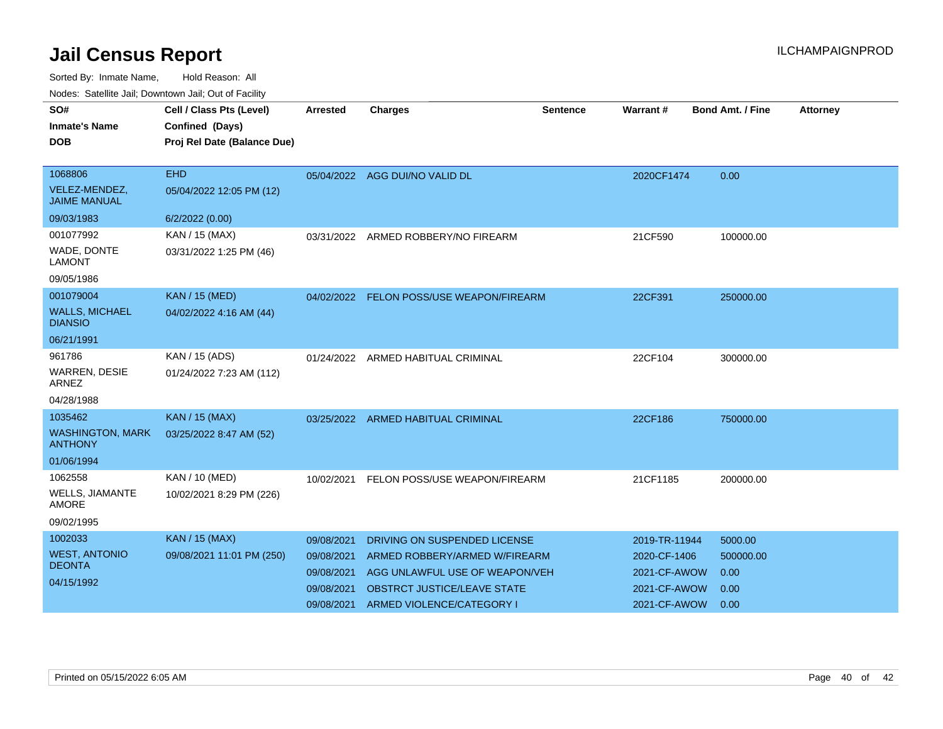| SO#<br><b>Inmate's Name</b><br><b>DOB</b>                          | Cell / Class Pts (Level)<br>Confined (Days)<br>Proj Rel Date (Balance Due) | <b>Arrested</b>                                                    | <b>Charges</b>                                                                                                                                                     | Sentence | Warrant #                                                                     | <b>Bond Amt. / Fine</b>                      | <b>Attorney</b> |
|--------------------------------------------------------------------|----------------------------------------------------------------------------|--------------------------------------------------------------------|--------------------------------------------------------------------------------------------------------------------------------------------------------------------|----------|-------------------------------------------------------------------------------|----------------------------------------------|-----------------|
| 1068806<br>VELEZ-MENDEZ,<br><b>JAIME MANUAL</b><br>09/03/1983      | <b>EHD</b><br>05/04/2022 12:05 PM (12)<br>6/2/2022 (0.00)                  |                                                                    | 05/04/2022 AGG DUI/NO VALID DL                                                                                                                                     |          | 2020CF1474                                                                    | 0.00                                         |                 |
| 001077992<br>WADE, DONTE<br><b>LAMONT</b><br>09/05/1986            | KAN / 15 (MAX)<br>03/31/2022 1:25 PM (46)                                  | 03/31/2022                                                         | ARMED ROBBERY/NO FIREARM                                                                                                                                           |          | 21CF590                                                                       | 100000.00                                    |                 |
| 001079004<br><b>WALLS, MICHAEL</b><br><b>DIANSIO</b><br>06/21/1991 | <b>KAN / 15 (MED)</b><br>04/02/2022 4:16 AM (44)                           |                                                                    | 04/02/2022 FELON POSS/USE WEAPON/FIREARM                                                                                                                           |          | 22CF391                                                                       | 250000.00                                    |                 |
| 961786<br>WARREN, DESIE<br><b>ARNEZ</b><br>04/28/1988              | KAN / 15 (ADS)<br>01/24/2022 7:23 AM (112)                                 |                                                                    | 01/24/2022 ARMED HABITUAL CRIMINAL                                                                                                                                 |          | 22CF104                                                                       | 300000.00                                    |                 |
| 1035462<br><b>WASHINGTON, MARK</b><br><b>ANTHONY</b><br>01/06/1994 | <b>KAN / 15 (MAX)</b><br>03/25/2022 8:47 AM (52)                           | 03/25/2022                                                         | <b>ARMED HABITUAL CRIMINAL</b>                                                                                                                                     |          | 22CF186                                                                       | 750000.00                                    |                 |
| 1062558<br>WELLS, JIAMANTE<br><b>AMORE</b><br>09/02/1995           | KAN / 10 (MED)<br>10/02/2021 8:29 PM (226)                                 | 10/02/2021                                                         | FELON POSS/USE WEAPON/FIREARM                                                                                                                                      |          | 21CF1185                                                                      | 200000.00                                    |                 |
| 1002033<br><b>WEST, ANTONIO</b><br><b>DEONTA</b><br>04/15/1992     | <b>KAN / 15 (MAX)</b><br>09/08/2021 11:01 PM (250)                         | 09/08/2021<br>09/08/2021<br>09/08/2021<br>09/08/2021<br>09/08/2021 | DRIVING ON SUSPENDED LICENSE<br>ARMED ROBBERY/ARMED W/FIREARM<br>AGG UNLAWFUL USE OF WEAPON/VEH<br><b>OBSTRCT JUSTICE/LEAVE STATE</b><br>ARMED VIOLENCE/CATEGORY I |          | 2019-TR-11944<br>2020-CF-1406<br>2021-CF-AWOW<br>2021-CF-AWOW<br>2021-CF-AWOW | 5000.00<br>500000.00<br>0.00<br>0.00<br>0.00 |                 |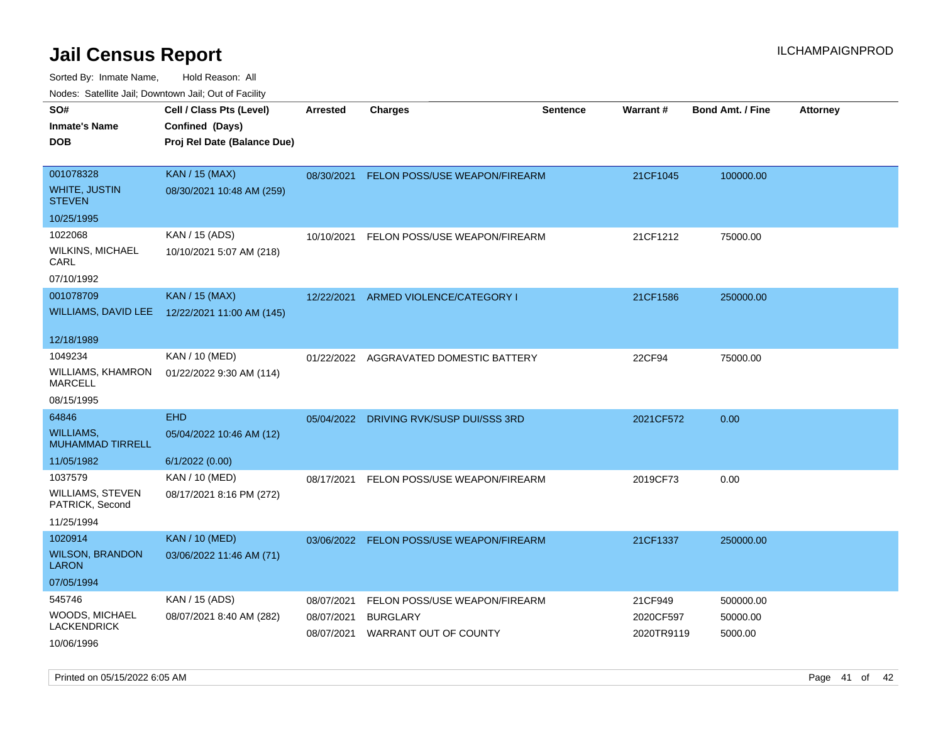| Todoo. Catolino can, Bomnomi can, Cat of Faoint   |                                                                            |                          |                                          |                 |                         |                         |                 |
|---------------------------------------------------|----------------------------------------------------------------------------|--------------------------|------------------------------------------|-----------------|-------------------------|-------------------------|-----------------|
| SO#<br><b>Inmate's Name</b><br>DOB                | Cell / Class Pts (Level)<br>Confined (Days)<br>Proj Rel Date (Balance Due) | <b>Arrested</b>          | <b>Charges</b>                           | <b>Sentence</b> | <b>Warrant#</b>         | <b>Bond Amt. / Fine</b> | <b>Attorney</b> |
| 001078328<br>WHITE, JUSTIN<br><b>STEVEN</b>       | <b>KAN / 15 (MAX)</b><br>08/30/2021 10:48 AM (259)                         |                          | 08/30/2021 FELON POSS/USE WEAPON/FIREARM |                 | 21CF1045                | 100000.00               |                 |
| 10/25/1995                                        |                                                                            |                          |                                          |                 |                         |                         |                 |
| 1022068<br>WILKINS, MICHAEL<br>CARL<br>07/10/1992 | KAN / 15 (ADS)<br>10/10/2021 5:07 AM (218)                                 | 10/10/2021               | FELON POSS/USE WEAPON/FIREARM            |                 | 21CF1212                | 75000.00                |                 |
| 001078709                                         | <b>KAN / 15 (MAX)</b>                                                      |                          |                                          |                 |                         |                         |                 |
|                                                   | WILLIAMS, DAVID LEE 12/22/2021 11:00 AM (145)                              | 12/22/2021               | ARMED VIOLENCE/CATEGORY I                |                 | 21CF1586                | 250000.00               |                 |
| 12/18/1989                                        |                                                                            |                          |                                          |                 |                         |                         |                 |
| 1049234<br>WILLIAMS, KHAMRON<br>MARCELL           | KAN / 10 (MED)<br>01/22/2022 9:30 AM (114)                                 | 01/22/2022               | AGGRAVATED DOMESTIC BATTERY              |                 | 22CF94                  | 75000.00                |                 |
| 08/15/1995                                        |                                                                            |                          |                                          |                 |                         |                         |                 |
| 64846                                             | <b>EHD</b>                                                                 | 05/04/2022               | DRIVING RVK/SUSP DUI/SSS 3RD             |                 | 2021CF572               | 0.00                    |                 |
| WILLIAMS.<br><b>MUHAMMAD TIRRELL</b>              | 05/04/2022 10:46 AM (12)                                                   |                          |                                          |                 |                         |                         |                 |
| 11/05/1982                                        | 6/1/2022 (0.00)                                                            |                          |                                          |                 |                         |                         |                 |
| 1037579                                           | KAN / 10 (MED)                                                             | 08/17/2021               | FELON POSS/USE WEAPON/FIREARM            |                 | 2019CF73                | 0.00                    |                 |
| WILLIAMS, STEVEN<br>PATRICK, Second               | 08/17/2021 8:16 PM (272)                                                   |                          |                                          |                 |                         |                         |                 |
| 11/25/1994                                        |                                                                            |                          |                                          |                 |                         |                         |                 |
| 1020914                                           | <b>KAN / 10 (MED)</b>                                                      |                          | 03/06/2022 FELON POSS/USE WEAPON/FIREARM |                 | 21CF1337                | 250000.00               |                 |
| <b>WILSON, BRANDON</b><br>LARON                   | 03/06/2022 11:46 AM (71)                                                   |                          |                                          |                 |                         |                         |                 |
| 07/05/1994                                        |                                                                            |                          |                                          |                 |                         |                         |                 |
| 545746                                            | KAN / 15 (ADS)                                                             | 08/07/2021               | FELON POSS/USE WEAPON/FIREARM            |                 | 21CF949                 | 500000.00               |                 |
| WOODS, MICHAEL<br>LACKENDRICK                     | 08/07/2021 8:40 AM (282)                                                   | 08/07/2021<br>08/07/2021 | <b>BURGLARY</b><br>WARRANT OUT OF COUNTY |                 | 2020CF597<br>2020TR9119 | 50000.00<br>5000.00     |                 |
| 10/06/1996                                        |                                                                            |                          |                                          |                 |                         |                         |                 |